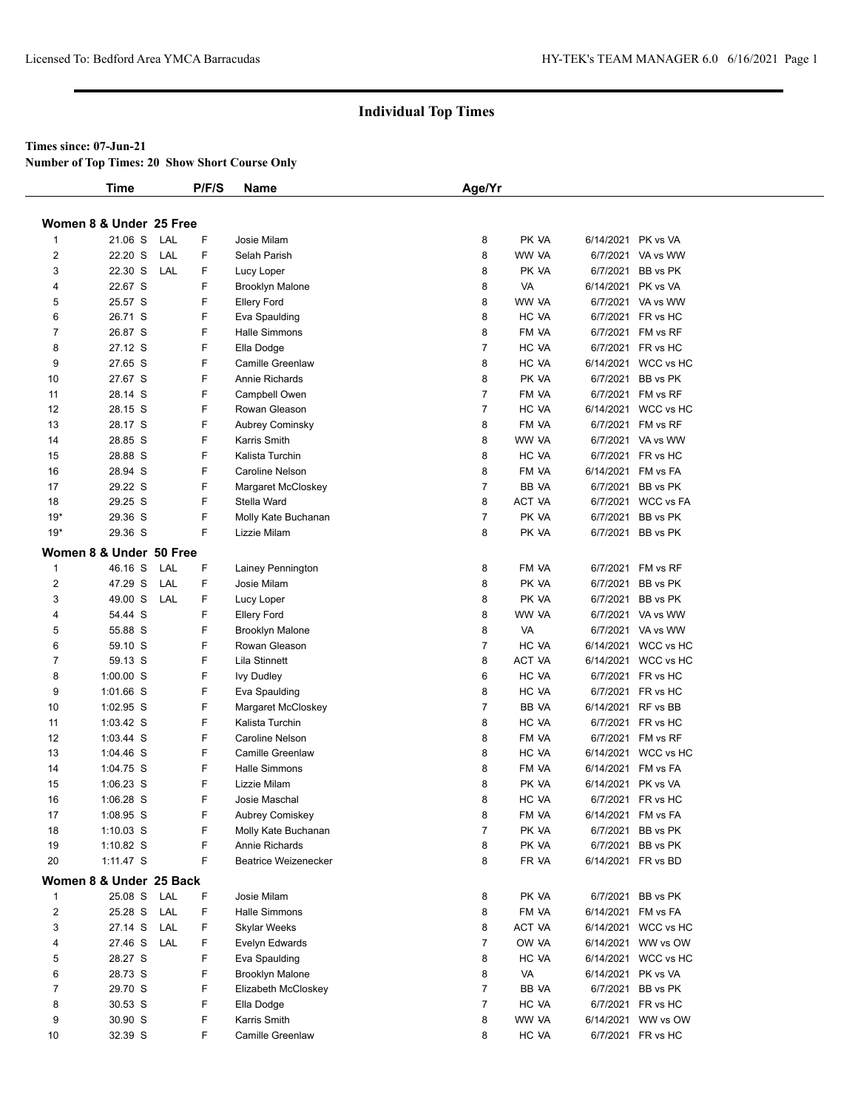#### **Times since: 07-Jun-21**

**Number of Top Times: 20 Show Short Course Only**

|                         | <b>Time</b>             |     | P/F/S | Name                        | Age/Yr         |               |                     |
|-------------------------|-------------------------|-----|-------|-----------------------------|----------------|---------------|---------------------|
|                         | Women 8 & Under 25 Free |     |       |                             |                |               |                     |
| 1                       | 21.06 S                 | LAL | F     | Josie Milam                 | 8              | PK VA         | 6/14/2021 PK vs VA  |
| 2                       | 22.20 S                 | LAL | F.    | Selah Parish                | 8              | WW VA         | 6/7/2021 VA vs WW   |
| 3                       | 22.30 S                 | LAL | F     | Lucy Loper                  | 8              | PK VA         | 6/7/2021 BB vs PK   |
| 4                       | 22.67 S                 |     | F.    | <b>Brooklyn Malone</b>      | 8              | VA            | 6/14/2021 PK vs VA  |
| 5                       | 25.57 S                 |     | F     | Ellery Ford                 | 8              | WW VA         | 6/7/2021 VA vs WW   |
| 6                       | 26.71 S                 |     | F     | Eva Spaulding               | 8              | HC VA         | 6/7/2021 FR vs HC   |
| 7                       | 26.87 S                 |     | F     | Halle Simmons               | 8              | FM VA         | 6/7/2021 FM vs RF   |
| 8                       | 27.12 S                 |     | F     | Ella Dodge                  | $\overline{7}$ | HC VA         | 6/7/2021 FR vs HC   |
| 9                       | 27.65 S                 |     | F     | <b>Camille Greenlaw</b>     | 8              | HC VA         | 6/14/2021 WCC vs HC |
| 10                      | 27.67 S                 |     | F     | Annie Richards              | 8              | PK VA         | 6/7/2021 BB vs PK   |
| 11                      | 28.14 S                 |     | F     | Campbell Owen               | $\overline{7}$ | FM VA         | 6/7/2021 FM vs RF   |
| 12                      | 28.15 S                 |     | F     | Rowan Gleason               | $\overline{7}$ | HC VA         | 6/14/2021 WCC vs HC |
| 13                      | 28.17 S                 |     | F     | <b>Aubrey Cominsky</b>      | 8              | FM VA         | 6/7/2021 FM vs RF   |
| 14                      | 28.85 S                 |     | F     | Karris Smith                | 8              | WW VA         | 6/7/2021 VA vs WW   |
| 15                      | 28.88 S                 |     | F     | Kalista Turchin             | 8              | HC VA         | 6/7/2021 FR vs HC   |
| 16                      | 28.94 S                 |     | F     |                             | 8              | FM VA         | 6/14/2021 FM vs FA  |
|                         |                         |     | F     | Caroline Nelson             | $\overline{7}$ |               |                     |
| 17                      | 29.22 S                 |     |       | Margaret McCloskey          |                | <b>BB VA</b>  | 6/7/2021 BB vs PK   |
| 18                      | 29.25 S                 |     | F     | Stella Ward                 | 8              | <b>ACT VA</b> | 6/7/2021 WCC vs FA  |
| $19*$                   | 29.36 S                 |     | F     | Molly Kate Buchanan         | $\overline{7}$ | PK VA         | 6/7/2021 BB vs PK   |
| $19*$                   | 29.36 S                 |     | F.    | Lizzie Milam                | 8              | PK VA         | 6/7/2021 BB vs PK   |
|                         | Women 8 & Under 50 Free |     |       |                             |                |               |                     |
| $\mathbf{1}$            | 46.16 S                 | LAL | F.    | Lainey Pennington           | 8              | FM VA         | 6/7/2021 FM vs RF   |
| $\overline{2}$          | 47.29 S                 | LAL | F     | Josie Milam                 | 8              | PK VA         | 6/7/2021 BB vs PK   |
| 3                       | 49.00 S                 | LAL | F     | Lucy Loper                  | 8              | PK VA         | 6/7/2021 BB vs PK   |
| 4                       | 54.44 S                 |     | F     | <b>Ellery Ford</b>          | 8              | WW VA         | 6/7/2021 VA vs WW   |
| 5                       | 55.88 S                 |     | F     | <b>Brooklyn Malone</b>      | 8              | VA            | 6/7/2021 VA vs WW   |
| 6                       | 59.10 S                 |     | F     | Rowan Gleason               | $\overline{7}$ | HC VA         | 6/14/2021 WCC vs HC |
| 7                       | 59.13 S                 |     | F     | Lila Stinnett               | 8              | ACT VA        | 6/14/2021 WCC vs HC |
| 8                       | $1:00.00$ S             |     | F     | <b>Ivy Dudley</b>           | 6              | HC VA         | 6/7/2021 FR vs HC   |
| 9                       | 1:01.66 S               |     | F     | Eva Spaulding               | 8              | HC VA         | 6/7/2021 FR vs HC   |
| 10                      | 1:02.95 S               |     | F     | Margaret McCloskey          | $\overline{7}$ | BB VA         | 6/14/2021 RF vs BB  |
| 11                      | $1:03.42$ S             |     | F     | Kalista Turchin             | 8              | HC VA         | 6/7/2021 FR vs HC   |
| 12                      | 1:03.44 S               |     | F     | <b>Caroline Nelson</b>      | 8              | FM VA         | 6/7/2021 FM vs RF   |
| 13                      | $1:04.46$ S             |     | F     | Camille Greenlaw            | 8              | HC VA         | 6/14/2021 WCC vs HC |
| 14                      | 1:04.75 S               |     | F     | <b>Halle Simmons</b>        | 8              | FM VA         | 6/14/2021 FM vs FA  |
| 15                      | $1:06.23$ S             |     | F     | Lizzie Milam                | 8              | PK VA         | 6/14/2021 PK vs VA  |
| 16                      | 1:06.28 S               |     | F.    | Josie Maschal               | 8              | HC VA         | 6/7/2021 FR vs HC   |
| 17                      | 1:08.95 S               |     | F     | Aubrey Comiskey             | 8              | FM VA         | 6/14/2021 FM vs FA  |
| 18                      | $1:10.03$ S             |     | F     | Molly Kate Buchanan         | $\overline{7}$ | PK VA         | 6/7/2021 BB vs PK   |
| 19                      | $1:10.82$ S             |     | F     | Annie Richards              | 8              | PK VA         | 6/7/2021 BB vs PK   |
| 20                      | $1:11.47$ S             |     | F     | <b>Beatrice Weizenecker</b> | 8              | FR VA         | 6/14/2021 FR vs BD  |
|                         | Women 8 & Under 25 Back |     |       |                             |                |               |                     |
| $\mathbf{1}$            | 25.08 S                 | LAL | F     | Josie Milam                 | 8              | PK VA         | 6/7/2021 BB vs PK   |
| $\overline{\mathbf{c}}$ | 25.28 S                 | LAL | F     | Halle Simmons               | 8              | FM VA         | 6/14/2021 FM vs FA  |
| 3                       | 27.14 S                 | LAL | F.    | <b>Skylar Weeks</b>         | 8              | ACT VA        | 6/14/2021 WCC vs HC |
| 4                       | 27.46 S                 | LAL | F     | Evelyn Edwards              | $\overline{7}$ | OW VA         | 6/14/2021 WW vs OW  |
| 5                       | 28.27 S                 |     | F     | Eva Spaulding               | 8              | HC VA         | 6/14/2021 WCC vs HC |
| 6                       | 28.73 S                 |     | F     | <b>Brooklyn Malone</b>      | 8              | VA            | 6/14/2021 PK vs VA  |
| 7                       | 29.70 S                 |     | F     | Elizabeth McCloskey         | $\overline{7}$ | BB VA         | 6/7/2021 BB vs PK   |
| 8                       | 30.53 S                 |     | F     | Ella Dodge                  | $\overline{7}$ | HC VA         | 6/7/2021 FR vs HC   |
| 9                       | 30.90 S                 |     | F     | Karris Smith                | 8              | WW VA         | 6/14/2021 WW vs OW  |
| 10                      | 32.39 S                 |     | F.    | Camille Greenlaw            | 8              | HC VA         | 6/7/2021 FR vs HC   |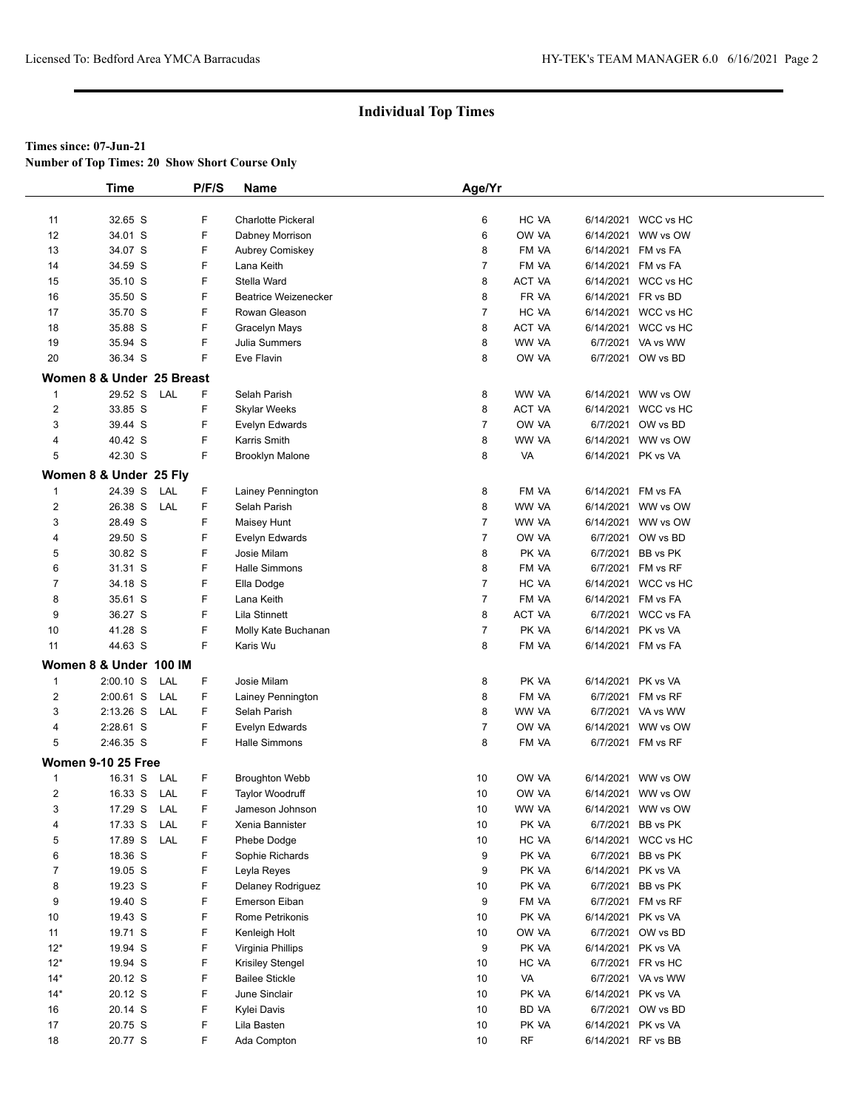**Number of Top Times: 20 Show Short Course Only**

|                | <b>Time</b>               | P/F/S    | Name                        | Age/Yr         |               |                    |                     |  |
|----------------|---------------------------|----------|-----------------------------|----------------|---------------|--------------------|---------------------|--|
|                |                           |          |                             |                |               |                    |                     |  |
| 11             | 32.65 S                   | F        | <b>Charlotte Pickeral</b>   | 6              | HC VA         |                    | 6/14/2021 WCC vs HC |  |
| 12             | 34.01 S                   | F        | Dabney Morrison             | 6              | OW VA         |                    | 6/14/2021 WW vs OW  |  |
| 13             | 34.07 S                   | F        | <b>Aubrey Comiskey</b>      | 8              | FM VA         |                    | 6/14/2021 FM vs FA  |  |
| 14             | 34.59 S                   | F        | Lana Keith                  | 7              | FM VA         |                    | 6/14/2021 FM vs FA  |  |
| 15             | 35.10 S                   | F        | Stella Ward                 | 8              | <b>ACT VA</b> |                    | 6/14/2021 WCC vs HC |  |
| 16             | 35.50 S                   | F        | <b>Beatrice Weizenecker</b> | 8              | FR VA         |                    | 6/14/2021 FR vs BD  |  |
| 17             | 35.70 S                   | F        | Rowan Gleason               | 7              | HC VA         |                    | 6/14/2021 WCC vs HC |  |
| 18             | 35.88 S                   | F        | Gracelyn Mays               | 8              | ACT VA        |                    | 6/14/2021 WCC vs HC |  |
| 19             | 35.94 S                   | F        | Julia Summers               | 8              | WW VA         |                    | 6/7/2021 VA vs WW   |  |
| 20             | 36.34 S                   | F        | Eve Flavin                  | 8              | OW VA         |                    | 6/7/2021 OW vs BD   |  |
|                | Women 8 & Under 25 Breast |          |                             |                |               |                    |                     |  |
| $\mathbf{1}$   | 29.52 S LAL               | F        | Selah Parish                | 8              | WW VA         |                    | 6/14/2021 WW vs OW  |  |
| $\overline{2}$ | 33.85 S                   | F        | Skylar Weeks                | 8              | <b>ACT VA</b> |                    | 6/14/2021 WCC vs HC |  |
| 3              | 39.44 S                   | F        | Evelyn Edwards              | 7              | OW VA         |                    | 6/7/2021 OW vs BD   |  |
| 4              | 40.42 S                   | F        | Karris Smith                | 8              | WW VA         |                    | 6/14/2021 WW vs OW  |  |
| 5              | 42.30 S                   | F        | <b>Brooklyn Malone</b>      | 8              | VA            | 6/14/2021 PK vs VA |                     |  |
|                |                           |          |                             |                |               |                    |                     |  |
|                | Women 8 & Under 25 Fly    |          |                             |                |               |                    |                     |  |
| $\mathbf{1}$   | 24.39 S                   | LAL<br>F | Lainey Pennington           | 8              | FM VA         | 6/14/2021 FM vs FA |                     |  |
| $\overline{2}$ | 26.38 S                   | LAL<br>F | Selah Parish                | 8              | WW VA         |                    | 6/14/2021 WW vs OW  |  |
| 3              | 28.49 S                   | F        | Maisey Hunt                 | 7              | WW VA         |                    | 6/14/2021 WW vs OW  |  |
| 4              | 29.50 S                   | F        | Evelyn Edwards              | $\overline{7}$ | OW VA         |                    | 6/7/2021 OW vs BD   |  |
| 5              | 30.82 S                   | F        | Josie Milam                 | 8              | PK VA         |                    | 6/7/2021 BB vs PK   |  |
| 6              | 31.31 S                   | F        | <b>Halle Simmons</b>        | 8              | FM VA         |                    | 6/7/2021 FM vs RF   |  |
| $\overline{7}$ | 34.18 S                   | F        | Ella Dodge                  | 7              | HC VA         |                    | 6/14/2021 WCC vs HC |  |
| 8              | 35.61 S                   | F        | Lana Keith                  | 7              | FM VA         |                    | 6/14/2021 FM vs FA  |  |
| 9              | 36.27 S                   | F        | Lila Stinnett               | 8              | ACT VA        |                    | 6/7/2021 WCC vs FA  |  |
| 10             | 41.28 S                   | F        | Molly Kate Buchanan         | $\overline{7}$ | PK VA         | 6/14/2021 PK vs VA |                     |  |
| 11             | 44.63 S                   | F.       | Karis Wu                    | 8              | FM VA         |                    | 6/14/2021 FM vs FA  |  |
|                | Women 8 & Under 100 IM    |          |                             |                |               |                    |                     |  |
| $\mathbf{1}$   | $2:00.10$ S               | LAL<br>F | Josie Milam                 | 8              | PK VA         | 6/14/2021 PK vs VA |                     |  |
| 2              | $2:00.61$ S               | LAL<br>F | Lainey Pennington           | 8              | FM VA         |                    | 6/7/2021 FM vs RF   |  |
| 3              | $2:13.26$ S               | LAL<br>F | Selah Parish                | 8              | WW VA         |                    | 6/7/2021 VA vs WW   |  |
| 4              | 2:28.61 S                 | F        | Evelyn Edwards              | 7              | OW VA         |                    | 6/14/2021 WW vs OW  |  |
| 5              | 2:46.35 S                 | F        | <b>Halle Simmons</b>        | 8              | FM VA         |                    | 6/7/2021 FM vs RF   |  |
|                | <b>Women 9-10 25 Free</b> |          |                             |                |               |                    |                     |  |
| $\mathbf 1$    | 16.31 S                   | LAL<br>F | <b>Broughton Webb</b>       | 10             | OW VA         |                    | 6/14/2021 WW vs OW  |  |
| $\overline{2}$ | 16.33 S LAL               | F        | <b>Taylor Woodruff</b>      | 10             | OW VA         |                    | 6/14/2021 WW vs OW  |  |
| 3              | 17.29 S LAL               | F        | Jameson Johnson             | 10             | WW VA         |                    | 6/14/2021 WW vs OW  |  |
| 4              | 17.33 S                   | LAL<br>F | Xenia Bannister             | 10             | PK VA         |                    | 6/7/2021 BB vs PK   |  |
| 5              | 17.89 S                   | LAL<br>F | Phebe Dodge                 | 10             | HC VA         |                    | 6/14/2021 WCC vs HC |  |
| 6              | 18.36 S                   | F        | Sophie Richards             | 9              | PK VA         |                    | 6/7/2021 BB vs PK   |  |
| 7              | 19.05 S                   | F        | Leyla Reyes                 | 9              | PK VA         | 6/14/2021 PK vs VA |                     |  |
| 8              | 19.23 S                   | F        | Delaney Rodriguez           | 10             | PK VA         |                    | 6/7/2021 BB vs PK   |  |
| 9              | 19.40 S                   | F        | Emerson Eiban               | 9              | FM VA         |                    | 6/7/2021 FM vs RF   |  |
| 10             | 19.43 S                   | F        | Rome Petrikonis             | 10             | PK VA         |                    | 6/14/2021 PK vs VA  |  |
| 11             | 19.71 S                   | F        | Kenleigh Holt               | 10             | OW VA         |                    | 6/7/2021 OW vs BD   |  |
| $12*$          | 19.94 S                   | F        | Virginia Phillips           | 9              | PK VA         |                    | 6/14/2021 PK vs VA  |  |
| $12*$          | 19.94 S                   | F        | Krisiley Stengel            | 10             | HC VA         |                    | 6/7/2021 FR vs HC   |  |
| $14*$          | 20.12 S                   | F        | <b>Bailee Stickle</b>       | 10             | VA            |                    | 6/7/2021 VA vs WW   |  |
| $14*$          | 20.12 S                   | F        | June Sinclair               | 10             | PK VA         |                    | 6/14/2021 PK vs VA  |  |
| 16             | 20.14 S                   | F        | Kylei Davis                 | 10             | BD VA         |                    | 6/7/2021 OW vs BD   |  |
| 17             | 20.75 S                   | F        | Lila Basten                 | 10             | PK VA         |                    | 6/14/2021 PK vs VA  |  |
| 18             | 20.77 S                   | F        | Ada Compton                 | 10             | RF            |                    | 6/14/2021 RF vs BB  |  |
|                |                           |          |                             |                |               |                    |                     |  |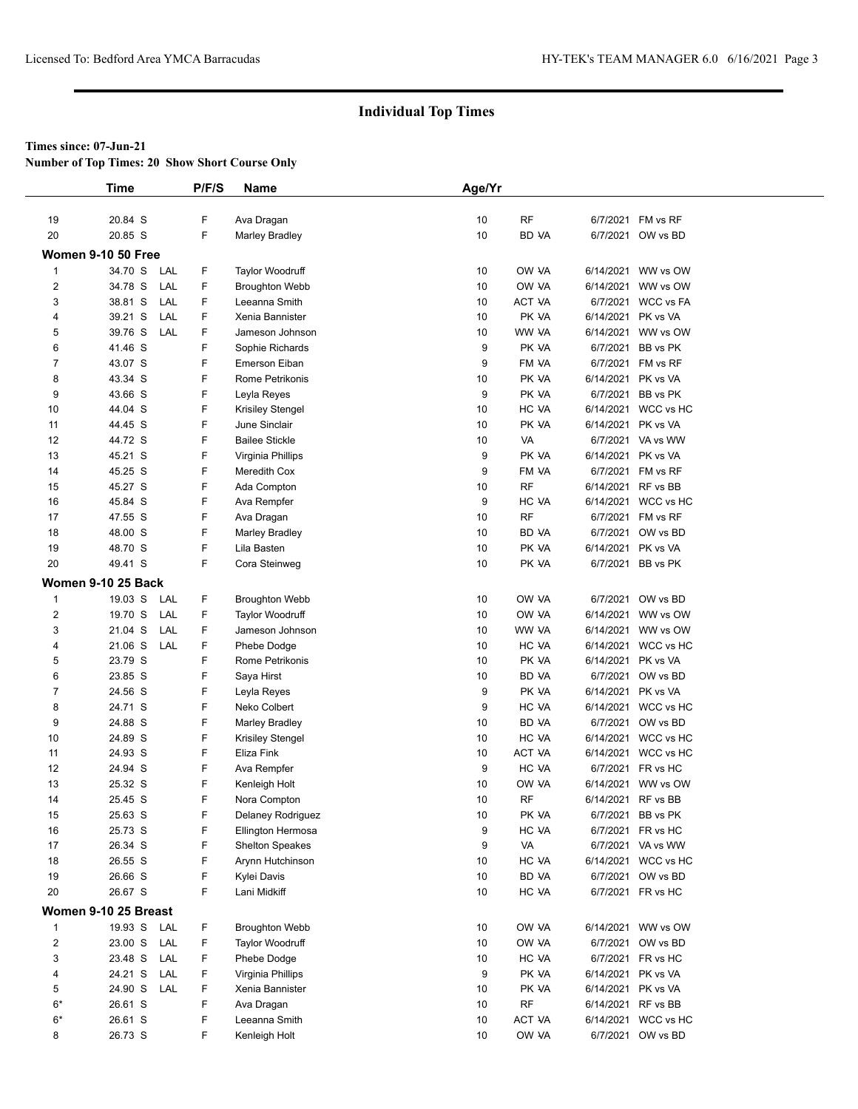**Number of Top Times: 20 Show Short Course Only**

|                         | <b>Time</b>               | P/F/S  | <b>Name</b>                          | Age/Yr   |                    |                    |                                          |
|-------------------------|---------------------------|--------|--------------------------------------|----------|--------------------|--------------------|------------------------------------------|
|                         |                           |        |                                      |          |                    |                    |                                          |
| 19                      | 20.84 S                   | F      | Ava Dragan                           | 10       | <b>RF</b>          |                    | 6/7/2021 FM vs RF                        |
| 20                      | 20.85 S                   | F      | <b>Marley Bradley</b>                | 10       | <b>BD VA</b>       |                    | 6/7/2021 OW vs BD                        |
|                         | <b>Women 9-10 50 Free</b> |        |                                      |          |                    |                    |                                          |
| $\mathbf{1}$            | 34.70 S<br>LAL            | F      | <b>Taylor Woodruff</b>               | 10       | OW VA              |                    | 6/14/2021 WW vs OW                       |
| $\overline{\mathbf{c}}$ | 34.78 S<br>LAL            | F      | <b>Broughton Webb</b>                | 10       | OW VA              |                    | 6/14/2021 WW vs OW                       |
| 3                       | 38.81 S<br>LAL            | F      | Leeanna Smith                        | 10       | ACT VA             |                    | 6/7/2021 WCC vs FA                       |
| 4                       | 39.21 S<br>LAL            | F      | Xenia Bannister                      | 10       | PK VA              | 6/14/2021 PK vs VA |                                          |
| 5                       | 39.76 S<br>LAL            | F      | Jameson Johnson                      | 10       | WW VA              |                    | 6/14/2021 WW vs OW                       |
| 6                       | 41.46 S                   | F      | Sophie Richards                      | 9        | PK VA              |                    | 6/7/2021 BB vs PK                        |
| 7                       | 43.07 S                   | F      | Emerson Eiban                        | 9        | FM VA              |                    | 6/7/2021 FM vs RF                        |
| 8                       | 43.34 S                   | F      | Rome Petrikonis                      | 10       | PK VA              | 6/14/2021 PK vs VA |                                          |
| 9                       | 43.66 S                   | F      | Leyla Reyes                          | 9        | PK VA              | 6/7/2021           | BB vs PK                                 |
| 10                      | 44.04 S                   | F      | Krisiley Stengel                     | 10       | HC VA              |                    | 6/14/2021 WCC vs HC                      |
| 11                      | 44.45 S                   | F      | June Sinclair                        | 10       | PK VA              | 6/14/2021 PK vs VA |                                          |
| 12                      | 44.72 S                   | F      | <b>Bailee Stickle</b>                | 10       | VA                 |                    | 6/7/2021 VA vs WW                        |
| 13                      | 45.21 S                   | F      | Virginia Phillips                    | 9        | PK VA              | 6/14/2021 PK vs VA |                                          |
| 14                      | 45.25 S                   | F      | Meredith Cox                         | 9        | FM VA              |                    | 6/7/2021 FM vs RF                        |
| 15                      | 45.27 S                   | F      | Ada Compton                          | 10       | <b>RF</b>          | 6/14/2021 RF vs BB |                                          |
| 16                      | 45.84 S                   | F<br>F | Ava Rempfer                          | 9        | HC VA<br><b>RF</b> |                    | 6/14/2021 WCC vs HC<br>6/7/2021 FM vs RF |
| 17                      | 47.55 S                   | F      | Ava Dragan                           | 10       | BD VA              |                    |                                          |
| 18<br>19                | 48.00 S<br>48.70 S        | F      | <b>Marley Bradley</b><br>Lila Basten | 10<br>10 | PK VA              | 6/14/2021 PK vs VA | 6/7/2021 OW vs BD                        |
| 20                      | 49.41 S                   | F      | Cora Steinweg                        | 10       | PK VA              |                    | 6/7/2021 BB vs PK                        |
|                         |                           |        |                                      |          |                    |                    |                                          |
|                         | <b>Women 9-10 25 Back</b> |        |                                      |          |                    |                    |                                          |
| $\mathbf{1}$            | 19.03 S<br>LAL            | F      | <b>Broughton Webb</b>                | 10       | OW VA              |                    | 6/7/2021 OW vs BD                        |
| $\overline{\mathbf{c}}$ | 19.70 S<br>LAL            | F      | <b>Taylor Woodruff</b>               | 10       | OW VA              |                    | 6/14/2021 WW vs OW                       |
| 3                       | 21.04 S<br>LAL            | F      | Jameson Johnson                      | 10       | WW VA              |                    | 6/14/2021 WW vs OW                       |
| 4                       | 21.06 S<br>LAL            | F      | Phebe Dodge                          | 10       | HC VA              |                    | 6/14/2021 WCC vs HC                      |
| 5<br>6                  | 23.79 S<br>23.85 S        | F<br>F | Rome Petrikonis<br>Saya Hirst        | 10<br>10 | PK VA<br>BD VA     | 6/14/2021 PK vs VA | 6/7/2021 OW vs BD                        |
| 7                       | 24.56 S                   | F      | Leyla Reyes                          | 9        | PK VA              | 6/14/2021 PK vs VA |                                          |
| 8                       | 24.71 S                   | F      | Neko Colbert                         | 9        | HC VA              |                    | 6/14/2021 WCC vs HC                      |
| 9                       | 24.88 S                   | F      | <b>Marley Bradley</b>                | 10       | <b>BD VA</b>       |                    | 6/7/2021 OW vs BD                        |
| 10                      | 24.89 S                   | F      | Krisiley Stengel                     | 10       | HC VA              |                    | 6/14/2021 WCC vs HC                      |
| 11                      | 24.93 S                   | F      | Eliza Fink                           | 10       | <b>ACT VA</b>      |                    | 6/14/2021 WCC vs HC                      |
| 12                      | 24.94 S                   | F      | Ava Rempfer                          | 9        | HC VA              |                    | 6/7/2021 FR vs HC                        |
| 13                      | 25.32 S                   | F      | Kenleigh Holt                        | 10       | OW VA              |                    | 6/14/2021 WW vs OW                       |
| 14                      | 25.45 S                   | F      | Nora Compton                         | 10       | <b>RF</b>          | 6/14/2021 RF vs BB |                                          |
| 15                      | 25.63 S                   | F      | Delaney Rodriguez                    | 10       | PK VA              |                    | 6/7/2021 BB vs PK                        |
| 16                      | 25.73 S                   | F      | Ellington Hermosa                    | 9        | HC VA              |                    | 6/7/2021 FR vs HC                        |
| 17                      | 26.34 S                   | F      | <b>Shelton Speakes</b>               | 9        | VA                 |                    | 6/7/2021 VA vs WW                        |
| 18                      | 26.55 S                   | F      | Arynn Hutchinson                     | 10       | HC VA              |                    | 6/14/2021 WCC vs HC                      |
| 19                      | 26.66 S                   | F      | Kylei Davis                          | 10       | BD VA              |                    | 6/7/2021 OW vs BD                        |
| 20                      | 26.67 S                   | F      | Lani Midkiff                         | 10       | HC VA              |                    | 6/7/2021 FR vs HC                        |
|                         | Women 9-10 25 Breast      |        |                                      |          |                    |                    |                                          |
| 1                       | 19.93 S<br>LAL            | F      | <b>Broughton Webb</b>                | 10       | OW VA              |                    | 6/14/2021 WW vs OW                       |
| $\overline{\mathbf{c}}$ | 23.00 S<br>LAL            | F      | Taylor Woodruff                      | 10       | OW VA              |                    | 6/7/2021 OW vs BD                        |
| 3                       | 23.48 S<br>LAL            | F      | Phebe Dodge                          | 10       | HC VA              |                    | 6/7/2021 FR vs HC                        |
| 4                       | 24.21 S<br>LAL            | F      | Virginia Phillips                    | 9        | PK VA              | 6/14/2021 PK vs VA |                                          |
| 5                       | 24.90 S<br>LAL            | F      | Xenia Bannister                      | 10       | PK VA              | 6/14/2021 PK vs VA |                                          |
| $6*$                    | 26.61 S                   | F      | Ava Dragan                           | 10       | <b>RF</b>          | 6/14/2021 RF vs BB |                                          |
| $6*$                    | 26.61 S                   | F      | Leeanna Smith                        | 10       | ACT VA             |                    | 6/14/2021 WCC vs HC                      |
| 8                       | 26.73 S                   | F.     | Kenleigh Holt                        | 10       | OW VA              |                    | 6/7/2021 OW vs BD                        |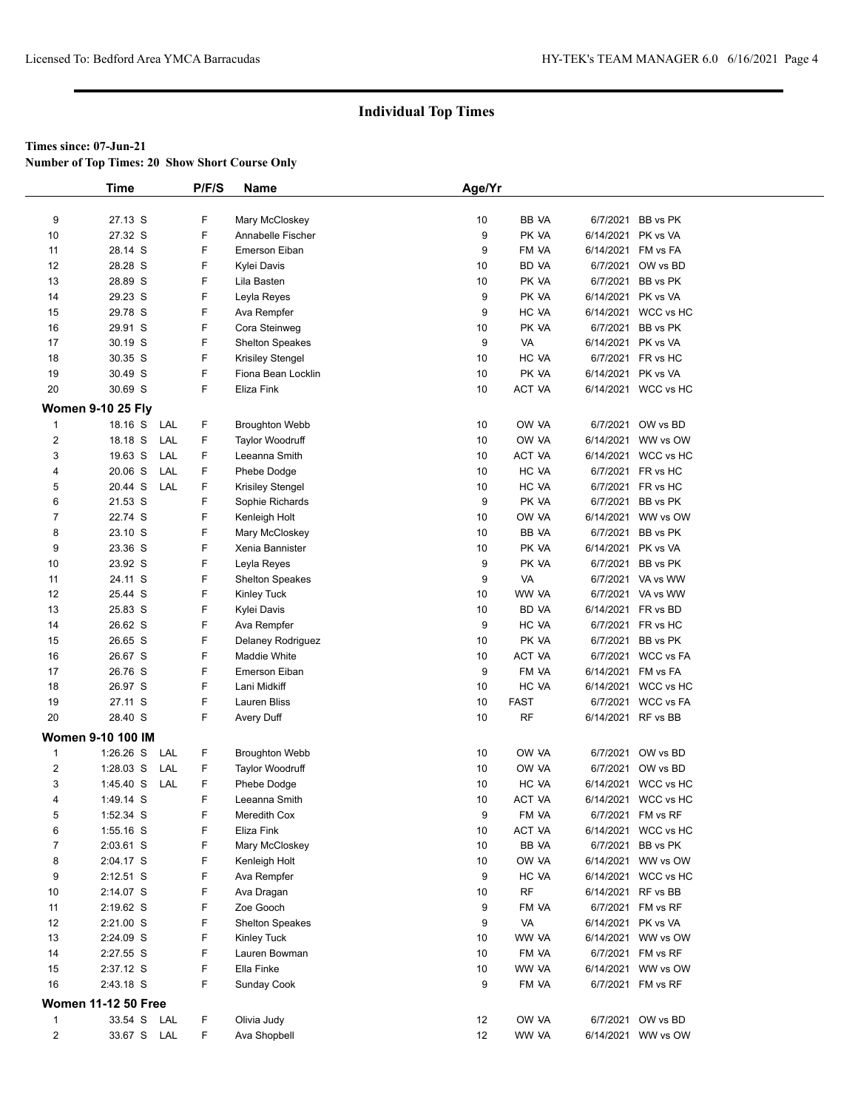**Number of Top Times: 20 Show Short Course Only**

|                  | <b>Time</b>                |     | P/F/S | Name                    | Age/Yr            |               |                    |                     |  |
|------------------|----------------------------|-----|-------|-------------------------|-------------------|---------------|--------------------|---------------------|--|
|                  |                            |     |       |                         |                   |               |                    |                     |  |
| 9                | 27.13 S                    |     | F     | Mary McCloskey          | 10                | BB VA         | 6/7/2021           | BB vs PK            |  |
| 10               | 27.32 S                    |     | F     | Annabelle Fischer       | 9                 | PK VA         | 6/14/2021          | PK vs VA            |  |
| 11               | 28.14 S                    |     | F     | <b>Emerson Eiban</b>    | 9                 | FM VA         | 6/14/2021          | FM vs FA            |  |
| 12               | 28.28 S                    |     | F     | Kylei Davis             | 10                | BD VA         | 6/7/2021           | OW vs BD            |  |
| 13               | 28.89 S                    |     | F     | Lila Basten             | 10                | PK VA         | 6/7/2021           | BB vs PK            |  |
| 14               | 29.23 S                    |     | F     | Leyla Reyes             | 9                 | PK VA         | 6/14/2021          | PK vs VA            |  |
| 15               | 29.78 S                    |     | F     | Ava Rempfer             | 9                 | HC VA         | 6/14/2021          | WCC vs HC           |  |
| 16               | 29.91 S                    |     | F     | Cora Steinweg           | 10                | PK VA         | 6/7/2021           | BB vs PK            |  |
| 17               | 30.19 S                    |     | F     | <b>Shelton Speakes</b>  | 9                 | VA            | 6/14/2021          | PK vs VA            |  |
| 18               | 30.35 S                    |     | F     | <b>Krisiley Stengel</b> | 10                | HC VA         | 6/7/2021           | FR vs HC            |  |
| 19               | 30.49 S                    |     | F     | Fiona Bean Locklin      | 10                | PK VA         | 6/14/2021          | PK vs VA            |  |
| 20               | 30.69 S                    |     | F     | Eliza Fink              | 10                | ACT VA        |                    | 6/14/2021 WCC vs HC |  |
|                  | <b>Women 9-10 25 Fly</b>   |     |       |                         |                   |               |                    |                     |  |
| $\mathbf 1$      | 18.16 S                    | LAL | F     | <b>Broughton Webb</b>   | 10                | OW VA         | 6/7/2021           | OW vs BD            |  |
| $\overline{2}$   | 18.18 S                    | LAL | F     | <b>Taylor Woodruff</b>  | 10                | OW VA         |                    | 6/14/2021 WW vs OW  |  |
| 3                | 19.63 S                    | LAL | F     | Leeanna Smith           | 10                | <b>ACT VA</b> |                    | 6/14/2021 WCC vs HC |  |
| 4                | 20.06 S                    | LAL | F     | Phebe Dodge             | 10                | HC VA         | 6/7/2021           | FR vs HC            |  |
| 5                | 20.44 S                    | LAL | F     | Krisiley Stengel        | 10                | HC VA         | 6/7/2021           | FR vs HC            |  |
| 6                | 21.53 S                    |     | F     | Sophie Richards         | 9                 | PK VA         | 6/7/2021           | BB vs PK            |  |
| $\overline{7}$   | 22.74 S                    |     | F     | Kenleigh Holt           | 10                | OW VA         | 6/14/2021          | WW vs OW            |  |
| 8                | 23.10 S                    |     | F     | Mary McCloskey          | 10                | BB VA         | 6/7/2021           | BB vs PK            |  |
| 9                | 23.36 S                    |     | F     | Xenia Bannister         | 10                | PK VA         | 6/14/2021          | PK vs VA            |  |
| 10               | 23.92 S                    |     | F     | Leyla Reyes             | 9                 | PK VA         | 6/7/2021           | BB vs PK            |  |
| 11               | 24.11 S                    |     | F     | <b>Shelton Speakes</b>  | 9                 | VA            | 6/7/2021           | VA vs WW            |  |
| 12               | 25.44 S                    |     | F     | Kinley Tuck             | 10                | WW VA         |                    | 6/7/2021 VA vs WW   |  |
| 13               | 25.83 S                    |     | F     | Kylei Davis             | 10                | BD VA         | 6/14/2021          | FR vs BD            |  |
| 14               | 26.62 S                    |     | F     | Ava Rempfer             | 9                 | HC VA         | 6/7/2021           | FR vs HC            |  |
| 15               | 26.65 S                    |     | F     | Delaney Rodriguez       | 10                | PK VA         | 6/7/2021           | BB vs PK            |  |
| 16               | 26.67 S                    |     | F     | Maddie White            | 10                | <b>ACT VA</b> | 6/7/2021           | <b>WCC vs FA</b>    |  |
| 17               | 26.76 S                    |     | F     | Emerson Eiban           | 9                 | FM VA         | 6/14/2021          | FM vs FA            |  |
| 18               | 26.97 S                    |     | F     | Lani Midkiff            | 10                | HC VA         |                    | 6/14/2021 WCC vs HC |  |
| 19               | 27.11 S                    |     | F     | Lauren Bliss            | 10                | <b>FAST</b>   | 6/7/2021           | <b>WCC vs FA</b>    |  |
| 20               | 28.40 S                    |     | F     | Avery Duff              | 10                | RF            | 6/14/2021 RF vs BB |                     |  |
|                  |                            |     |       |                         |                   |               |                    |                     |  |
|                  | <b>Women 9-10 100 IM</b>   |     |       |                         |                   |               |                    |                     |  |
| $\mathbf{1}$     | $1:26.26$ S                | LAL | F     | <b>Broughton Webb</b>   | 10                | OW VA         | 6/7/2021           | OW vs BD            |  |
| $\boldsymbol{2}$ | $1:28.03$ S                | LAL | F     | Taylor Woodruff         | 10                | OW VA         | 6/7/2021           | OW vs BD            |  |
| 3                | 1:45.40 S                  | LAL | F     | Phebe Dodge             | 10                | HC VA         | 6/14/2021          | WCC vs HC           |  |
| $\overline{4}$   | 1:49.14 S                  |     | F     | Leeanna Smith           | 10                | ACT VA        |                    | 6/14/2021 WCC vs HC |  |
| 5                | 1:52.34 S                  |     | F     | Meredith Cox            | 9                 | FM VA         |                    | 6/7/2021 FM vs RF   |  |
| 6                | 1:55.16 S                  |     | F     | Eliza Fink              | 10                | ACT VA        |                    | 6/14/2021 WCC vs HC |  |
| $\overline{7}$   | 2:03.61 S                  |     | F     | Mary McCloskey          | 10                | BB VA         | 6/7/2021           | BB vs PK            |  |
| 8                | 2:04.17 S                  |     | F     | Kenleigh Holt           | 10                | OW VA         |                    | 6/14/2021 WW vs OW  |  |
| 9                | 2:12.51 S                  |     | F     | Ava Rempfer             | 9                 | HC VA         |                    | 6/14/2021 WCC vs HC |  |
| 10               | 2:14.07 S                  |     | F     | Ava Dragan              | 10                | <b>RF</b>     | 6/14/2021          | RF vs BB            |  |
| 11               | 2:19.62 S                  |     | F     | Zoe Gooch               | 9                 | FM VA         | 6/7/2021           | FM vs RF            |  |
| 12               | $2:21.00$ S                |     | F     | <b>Shelton Speakes</b>  | 9                 | VA            | 6/14/2021          | PK vs VA            |  |
| 13               | 2:24.09 S                  |     | F     | Kinley Tuck             | 10                | WW VA         |                    | 6/14/2021 WW vs OW  |  |
| 14               | 2:27.55 S                  |     | F     | Lauren Bowman           | 10                | FM VA         |                    | 6/7/2021 FM vs RF   |  |
| 15               | 2:37.12 S                  |     | F     | Ella Finke              | 10                | WW VA         |                    | 6/14/2021 WW vs OW  |  |
| 16               | 2:43.18 S                  |     | F     | Sunday Cook             | 9                 | FM VA         |                    | 6/7/2021 FM vs RF   |  |
|                  | <b>Women 11-12 50 Free</b> |     |       |                         |                   |               |                    |                     |  |
| 1                | 33.54 S LAL                |     | F     | Olivia Judy             | 12                | OW VA         |                    | 6/7/2021 OW vs BD   |  |
| $\overline{2}$   | 33.67 S LAL                |     | F     | Ava Shopbell            | $12 \overline{ }$ | WW VA         |                    | 6/14/2021 WW vs OW  |  |
|                  |                            |     |       |                         |                   |               |                    |                     |  |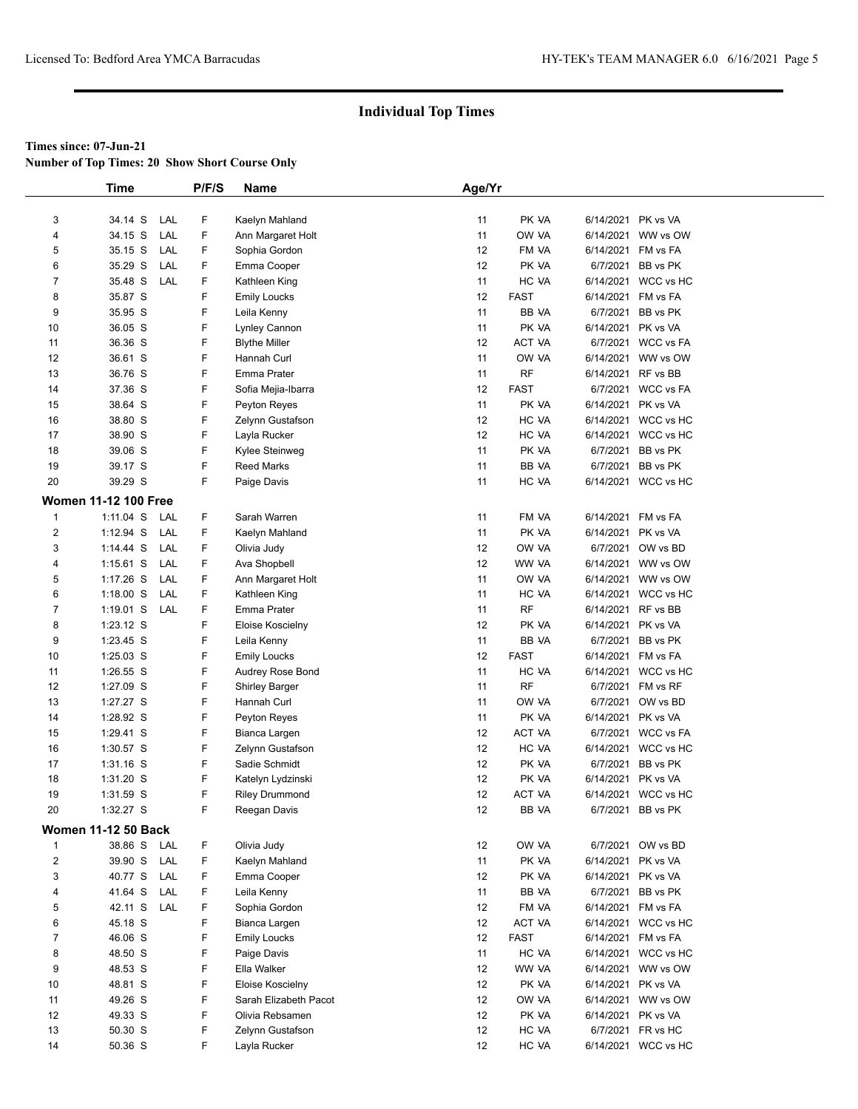**Number of Top Times: 20 Show Short Course Only**

|                | <b>Time</b>                 |     | P/F/S | <b>Name</b>           | Age/Yr |             |                    |                     |  |
|----------------|-----------------------------|-----|-------|-----------------------|--------|-------------|--------------------|---------------------|--|
|                |                             |     |       |                       |        |             |                    |                     |  |
| 3              | 34.14 S                     | LAL | F     | Kaelyn Mahland        | 11     | PK VA       | 6/14/2021 PK vs VA |                     |  |
| 4              | 34.15 S                     | LAL | F     | Ann Margaret Holt     | 11     | OW VA       | 6/14/2021          | WW vs OW            |  |
| 5              | 35.15 S                     | LAL | F     | Sophia Gordon         | 12     | FM VA       | 6/14/2021          | FM vs FA            |  |
| 6              | 35.29 S                     | LAL | F.    | Emma Cooper           | 12     | PK VA       | 6/7/2021           | BB vs PK            |  |
| $\overline{7}$ | 35.48 S                     | LAL | F     | Kathleen King         | 11     | HC VA       |                    | 6/14/2021 WCC vs HC |  |
| 8              | 35.87 S                     |     | F     | Emily Loucks          | 12     | <b>FAST</b> | 6/14/2021          | FM vs FA            |  |
| 9              | 35.95 S                     |     | F     | Leila Kenny           | 11     | BB VA       | 6/7/2021           | BB vs PK            |  |
| 10             | 36.05 S                     |     | F     | Lynley Cannon         | 11     | PK VA       | 6/14/2021          | PK vs VA            |  |
| 11             | 36.36 S                     |     | F     | <b>Blythe Miller</b>  | 12     | ACT VA      |                    | 6/7/2021 WCC vs FA  |  |
| 12             | 36.61 S                     |     | F     | Hannah Curl           | 11     | OW VA       | 6/14/2021          | WW vs OW            |  |
| 13             | 36.76 S                     |     | F     | Emma Prater           | 11     | <b>RF</b>   | 6/14/2021 RF vs BB |                     |  |
| 14             | 37.36 S                     |     | F     | Sofia Mejia-Ibarra    | 12     | <b>FAST</b> |                    | 6/7/2021 WCC vs FA  |  |
| 15             | 38.64 S                     |     | F     | Peyton Reyes          | 11     | PK VA       | 6/14/2021 PK vs VA |                     |  |
| 16             | 38.80 S                     |     | F     | Zelynn Gustafson      | 12     | HC VA       |                    | 6/14/2021 WCC vs HC |  |
| 17             | 38.90 S                     |     | F     | Layla Rucker          | 12     | HC VA       |                    | 6/14/2021 WCC vs HC |  |
| 18             | 39.06 S                     |     | F     | Kylee Steinweg        | 11     | PK VA       | 6/7/2021           | BB vs PK            |  |
| 19             | 39.17 S                     |     | F     | <b>Reed Marks</b>     | 11     | BB VA       | 6/7/2021           | BB vs PK            |  |
| 20             | 39.29 S                     |     | F     | Paige Davis           | 11     | HC VA       |                    | 6/14/2021 WCC vs HC |  |
|                | <b>Women 11-12 100 Free</b> |     |       |                       |        |             |                    |                     |  |
|                |                             | LAL | F     |                       | 11     |             |                    |                     |  |
| 1              | $1:11.04$ S                 |     |       | Sarah Warren          |        | FM VA       | 6/14/2021 FM vs FA |                     |  |
| $\overline{2}$ | 1:12.94 S                   | LAL | F     | Kaelyn Mahland        | 11     | PK VA       | 6/14/2021          | PK vs VA            |  |
| 3              | $1:14.44$ S                 | LAL | F     | Olivia Judy           | 12     | OW VA       |                    | 6/7/2021 OW vs BD   |  |
| 4              | $1:15.61$ S                 | LAL | F     | Ava Shopbell          | 12     | WW VA       |                    | 6/14/2021 WW vs OW  |  |
| 5              | $1:17.26$ S                 | LAL | F     | Ann Margaret Holt     | 11     | OW VA       | 6/14/2021          | WW vs OW            |  |
| 6              | $1:18.00$ S                 | LAL | F     | Kathleen King         | 11     | HC VA       | 6/14/2021          | WCC vs HC           |  |
| $\overline{7}$ | $1:19.01$ S                 | LAL | F     | Emma Prater           | 11     | <b>RF</b>   | 6/14/2021 RF vs BB |                     |  |
| 8              | 1:23.12 S                   |     | F     | Eloise Koscielny      | 12     | PK VA       | 6/14/2021          | PK vs VA            |  |
| 9              | 1:23.45 S                   |     | F     | Leila Kenny           | 11     | BB VA       |                    | 6/7/2021 BB vs PK   |  |
| 10             | 1:25.03 S                   |     | F     | <b>Emily Loucks</b>   | 12     | <b>FAST</b> | 6/14/2021 FM vs FA |                     |  |
| 11             | 1:26.55 S                   |     | F     | Audrey Rose Bond      | 11     | HC VA       | 6/14/2021          | WCC vs HC           |  |
| 12             | 1:27.09 S                   |     | F     | <b>Shirley Barger</b> | 11     | <b>RF</b>   | 6/7/2021           | FM vs RF            |  |
| 13             | 1:27.27 S                   |     | F     | Hannah Curl           | 11     | OW VA       | 6/7/2021           | OW vs BD            |  |
| 14             | 1:28.92 S                   |     | F     | Peyton Reyes          | 11     | PK VA       | 6/14/2021          | PK vs VA            |  |
| 15             | $1:29.41$ S                 |     | F     | Bianca Largen         | 12     | ACT VA      |                    | 6/7/2021 WCC vs FA  |  |
| 16             | 1:30.57 S                   |     | F     | Zelynn Gustafson      | 12     | HC VA       |                    | 6/14/2021 WCC vs HC |  |
| 17             | $1:31.16$ S                 |     | F     | Sadie Schmidt         | 12     | PK VA       | 6/7/2021           | BB vs PK            |  |
| 18             | 1:31.20 S                   |     | F     | Katelyn Lydzinski     | 12     | PK VA       | 6/14/2021          | PK vs VA            |  |
| 19             | $1:31.59$ S                 |     | F     | <b>Riley Drummond</b> | 12     | ACT VA      |                    | 6/14/2021 WCC vs HC |  |
| 20             | $1:32.27$ S                 |     | F     | Reegan Davis          | 12     | BB VA       |                    | 6/7/2021 BB vs PK   |  |
|                | <b>Women 11-12 50 Back</b>  |     |       |                       |        |             |                    |                     |  |
| 1              | 38.86 S                     | LAL | F     | Olivia Judy           | 12     | OW VA       |                    | 6/7/2021 OW vs BD   |  |
| $\overline{2}$ | 39.90 S                     | LAL | F     | Kaelyn Mahland        | 11     | PK VA       | 6/14/2021 PK vs VA |                     |  |
| 3              | 40.77 S                     | LAL | F     | Emma Cooper           | 12     | PK VA       | 6/14/2021 PK vs VA |                     |  |
| 4              | 41.64 S                     | LAL | F     | Leila Kenny           | 11     | BB VA       | 6/7/2021           | BB vs PK            |  |
| 5              | 42.11 S                     | LAL | F     | Sophia Gordon         | 12     | FM VA       | 6/14/2021          | FM vs FA            |  |
| 6              | 45.18 S                     |     | F     | Bianca Largen         | 12     | ACT VA      | 6/14/2021          | WCC vs HC           |  |
| $\overline{7}$ | 46.06 S                     |     | F.    | <b>Emily Loucks</b>   | 12     | <b>FAST</b> | 6/14/2021 FM vs FA |                     |  |
| 8              | 48.50 S                     |     | F     | Paige Davis           | 11     | HC VA       |                    | 6/14/2021 WCC vs HC |  |
| 9              | 48.53 S                     |     | F     | Ella Walker           | 12     | WW VA       |                    | 6/14/2021 WW vs OW  |  |
| 10             | 48.81 S                     |     | F.    | Eloise Koscielny      | 12     | PK VA       | 6/14/2021 PK vs VA |                     |  |
| 11             | 49.26 S                     |     | F     | Sarah Elizabeth Pacot | 12     | OW VA       | 6/14/2021          | WW vs OW            |  |
| 12             | 49.33 S                     |     | F     | Olivia Rebsamen       | 12     | PK VA       | 6/14/2021          | PK vs VA            |  |
| 13             | 50.30 S                     |     | F     | Zelynn Gustafson      | 12     | HC VA       |                    | 6/7/2021 FR vs HC   |  |
| 14             | 50.36 S                     |     | F     | Layla Rucker          | 12     | HC VA       |                    | 6/14/2021 WCC vs HC |  |
|                |                             |     |       |                       |        |             |                    |                     |  |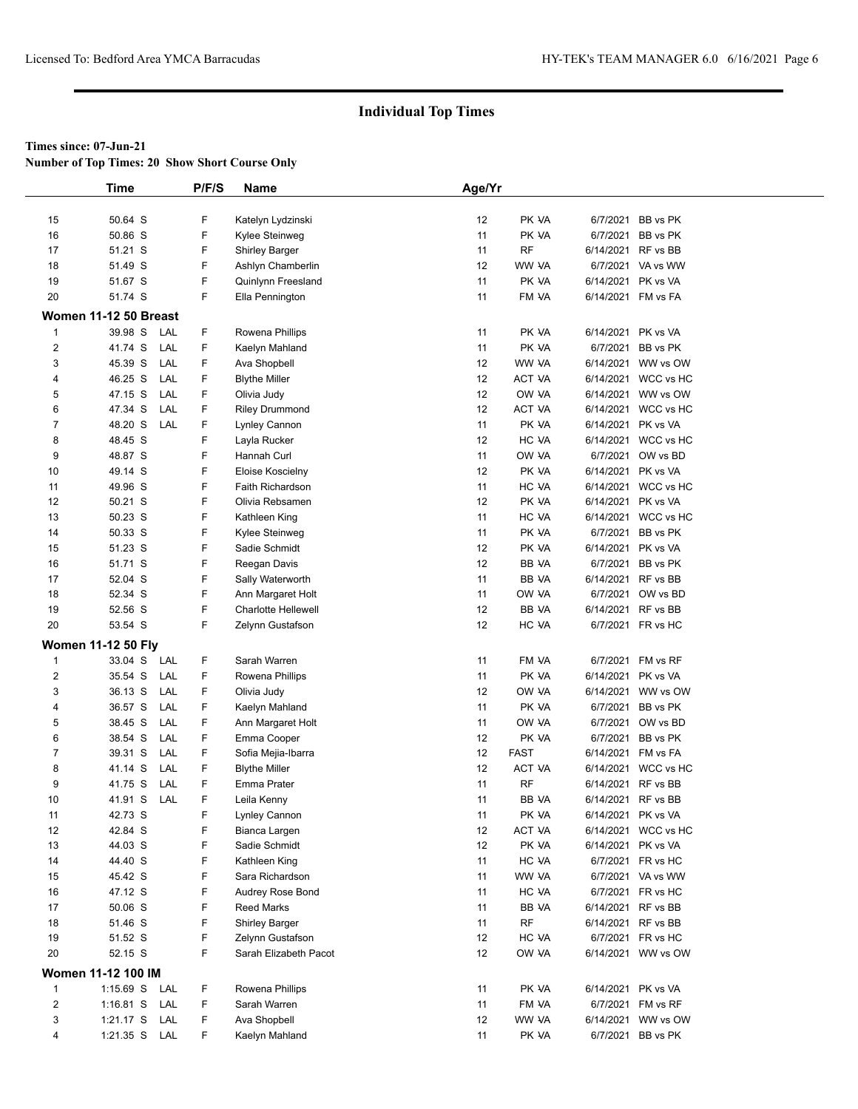**Number of Top Times: 20 Show Short Course Only**

|                         | <b>Time</b>               | P/F/S | Name                       | Age/Yr          |             |                     |  |
|-------------------------|---------------------------|-------|----------------------------|-----------------|-------------|---------------------|--|
|                         |                           |       |                            |                 |             |                     |  |
| 15                      | 50.64 S                   | F     | Katelyn Lydzinski          | 12              | PK VA       | 6/7/2021 BB vs PK   |  |
| 16                      | 50.86 S                   | F     | Kylee Steinweg             | 11              | PK VA       | 6/7/2021 BB vs PK   |  |
| 17                      | 51.21 S                   | F     | <b>Shirley Barger</b>      | 11              | <b>RF</b>   | 6/14/2021 RF vs BB  |  |
| 18                      | 51.49 S                   | F     | Ashlyn Chamberlin          | 12              | WW VA       | 6/7/2021 VA vs WW   |  |
| 19                      | 51.67 S                   | F     | Quinlynn Freesland         | 11              | PK VA       | 6/14/2021 PK vs VA  |  |
| 20                      | 51.74 S                   | F     | Ella Pennington            | 11              | FM VA       | 6/14/2021 FM vs FA  |  |
|                         | Women 11-12 50 Breast     |       |                            |                 |             |                     |  |
| 1                       | 39.98 S<br>LAL            | F     | Rowena Phillips            | 11              | PK VA       | 6/14/2021 PK vs VA  |  |
| $\overline{\mathbf{c}}$ | LAL<br>41.74 S            | F     | Kaelyn Mahland             | 11              | PK VA       | 6/7/2021 BB vs PK   |  |
| 3                       | 45.39 S<br>LAL            | F     | Ava Shopbell               | 12              | WW VA       | 6/14/2021 WW vs OW  |  |
| 4                       | 46.25 S<br>LAL            | F     | <b>Blythe Miller</b>       | 12              | ACT VA      | 6/14/2021 WCC vs HC |  |
| 5                       | 47.15 S<br>LAL            | F     | Olivia Judy                | 12              | OW VA       | 6/14/2021 WW vs OW  |  |
| 6                       | 47.34 S<br>LAL            | F     | <b>Riley Drummond</b>      | 12              | ACT VA      | 6/14/2021 WCC vs HC |  |
| $\overline{7}$          | 48.20 S<br>LAL            | F     | Lynley Cannon              | 11              | PK VA       | 6/14/2021 PK vs VA  |  |
| 8                       | 48.45 S                   | F     | Layla Rucker               | 12              | HC VA       | 6/14/2021 WCC vs HC |  |
| 9                       | 48.87 S                   | F     | Hannah Curl                | 11              | OW VA       | 6/7/2021 OW vs BD   |  |
| 10                      | 49.14 S                   | F     | Eloise Koscielny           | 12              | PK VA       | 6/14/2021 PK vs VA  |  |
| 11                      | 49.96 S                   | F     | Faith Richardson           | 11              | HC VA       | 6/14/2021 WCC vs HC |  |
| 12                      | 50.21 S                   | F     | Olivia Rebsamen            | 12              | PK VA       | 6/14/2021 PK vs VA  |  |
| 13                      | 50.23 S                   | F     | Kathleen King              | 11              | HC VA       | 6/14/2021 WCC vs HC |  |
| 14                      | 50.33 S                   | F     | Kylee Steinweg             | 11              | PK VA       | 6/7/2021 BB vs PK   |  |
| 15                      | 51.23 S                   | F     | Sadie Schmidt              | 12              | PK VA       | 6/14/2021 PK vs VA  |  |
| 16                      | 51.71 S                   | F     | Reegan Davis               | 12              | BB VA       | 6/7/2021 BB vs PK   |  |
| 17                      | 52.04 S                   | F     | Sally Waterworth           | 11              | BB VA       | 6/14/2021 RF vs BB  |  |
| 18                      | 52.34 S                   | F     | Ann Margaret Holt          | 11              | OW VA       | 6/7/2021 OW vs BD   |  |
| 19                      | 52.56 S                   | F     | <b>Charlotte Hellewell</b> | 12              | BB VA       | 6/14/2021 RF vs BB  |  |
| 20                      | 53.54 S                   | F.    | Zelynn Gustafson           | 12              | HC VA       | 6/7/2021 FR vs HC   |  |
|                         | <b>Women 11-12 50 Fly</b> |       |                            |                 |             |                     |  |
| 1                       | 33.04 S<br>LAL            | F.    | Sarah Warren               | 11              | FM VA       | 6/7/2021 FM vs RF   |  |
| 2                       | LAL<br>35.54 S            | F     | Rowena Phillips            | 11              | PK VA       | 6/14/2021 PK vs VA  |  |
| 3                       | LAL<br>36.13 S            | F.    | Olivia Judy                | 12              | OW VA       | 6/14/2021 WW vs OW  |  |
| 4                       | LAL<br>36.57 S            | F     | Kaelyn Mahland             | 11              | PK VA       | 6/7/2021 BB vs PK   |  |
| 5                       | 38.45 S<br>LAL            | F     | Ann Margaret Holt          | 11              | OW VA       | 6/7/2021 OW vs BD   |  |
| 6                       | 38.54 S<br>LAL            | F.    | Emma Cooper                | 12              | PK VA       | 6/7/2021 BB vs PK   |  |
| 7                       | 39.31 S<br>LAL            | F     | Sofia Mejia-Ibarra         | 12              | <b>FAST</b> | 6/14/2021 FM vs FA  |  |
| 8                       | 41.14 S<br>LAL            | F     | <b>Blythe Miller</b>       | 12              | ACT VA      | 6/14/2021 WCC vs HC |  |
| 9                       | LAL<br>41.75 S            | F     | Emma Prater                | 11              | <b>RF</b>   | 6/14/2021 RF vs BB  |  |
| 10                      | 41.91 S<br>LAL            | F     | Leila Kenny                | 11              | BB VA       | 6/14/2021 RF vs BB  |  |
| 11                      | 42.73 S                   | F     | Lynley Cannon              | 11              | PK VA       | 6/14/2021 PK vs VA  |  |
| 12                      | 42.84 S                   | F     | Bianca Largen              | 12              | ACT VA      | 6/14/2021 WCC vs HC |  |
| 13                      | 44.03 S                   | F     | Sadie Schmidt              | 12              | PK VA       | 6/14/2021 PK vs VA  |  |
| 14                      | 44.40 S                   | F     | Kathleen King              | 11              | HC VA       | 6/7/2021 FR vs HC   |  |
| 15                      | 45.42 S                   | F     | Sara Richardson            | 11              | WW VA       | 6/7/2021 VA vs WW   |  |
| 16                      | 47.12 S                   | F     | Audrey Rose Bond           | 11              | HC VA       | 6/7/2021 FR vs HC   |  |
| 17                      | 50.06 S                   | F     | Reed Marks                 | 11              | BB VA       | 6/14/2021 RF vs BB  |  |
| 18                      | 51.46 S                   | F     | <b>Shirley Barger</b>      | 11              | <b>RF</b>   | 6/14/2021 RF vs BB  |  |
| 19                      | 51.52 S                   | F     | Zelynn Gustafson           | 12              | HC VA       | 6/7/2021 FR vs HC   |  |
| 20                      | 52.15 S                   | F     | Sarah Elizabeth Pacot      | 12 <sup>°</sup> | OW VA       | 6/14/2021 WW vs OW  |  |
|                         | Women 11-12 100 IM        |       |                            |                 |             |                     |  |
| $\mathbf{1}$            | 1:15.69 S LAL             | F.    | Rowena Phillips            | 11              | PK VA       | 6/14/2021 PK vs VA  |  |
| $\overline{\mathbf{c}}$ | 1:16.81 S LAL             | F.    | Sarah Warren               | 11              | FM VA       | 6/7/2021 FM vs RF   |  |
| 3                       | $1:21.17$ S<br>LAL        | F.    | Ava Shopbell               | 12              | WW VA       | 6/14/2021 WW vs OW  |  |
| 4                       | 1:21.35 S LAL             | F.    | Kaelyn Mahland             | 11              | PK VA       | 6/7/2021 BB vs PK   |  |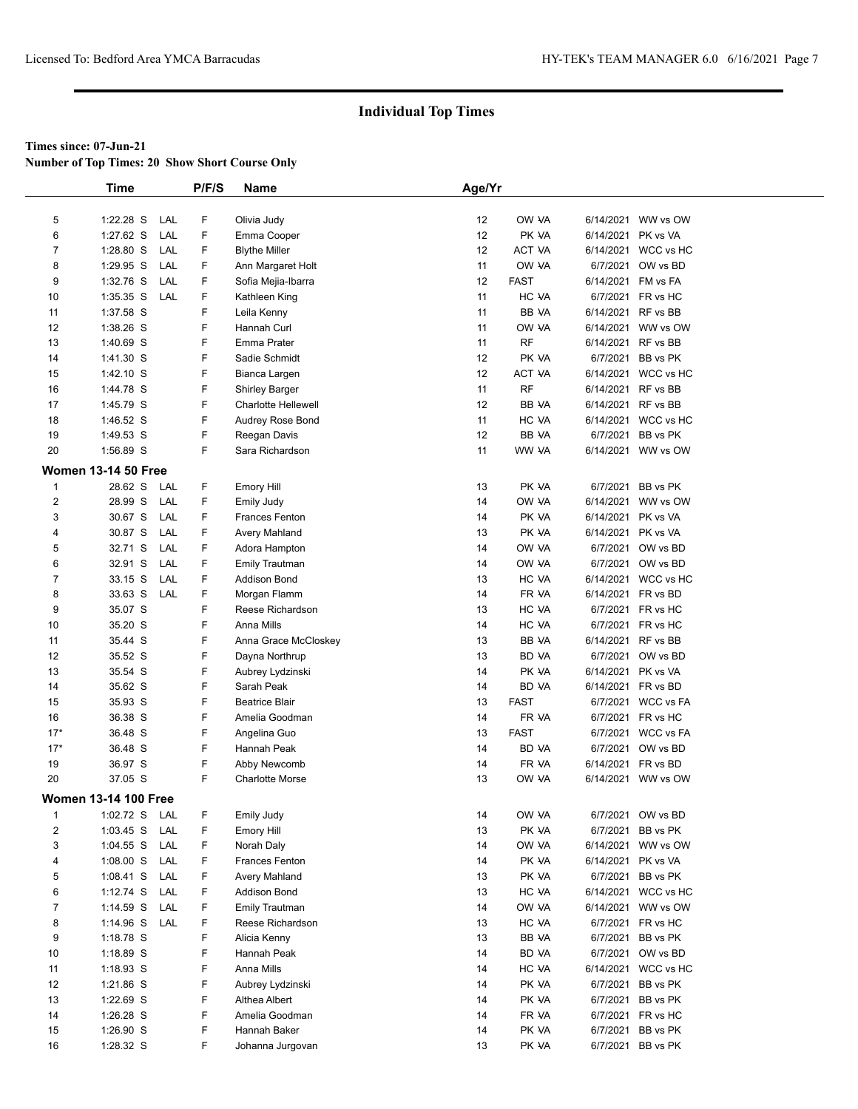**Number of Top Times: 20 Show Short Course Only**

|                | <b>Time</b>                 |            | P/F/S  | Name                   | Age/Yr |             |                    |                     |
|----------------|-----------------------------|------------|--------|------------------------|--------|-------------|--------------------|---------------------|
|                |                             |            |        |                        |        |             |                    |                     |
| 5              | 1:22.28 S                   | LAL        | F      | Olivia Judy            | 12     | OW VA       |                    | 6/14/2021 WW vs OW  |
| 6              | 1:27.62 S                   | LAL        | F.     | Emma Cooper            | 12     | PK VA       | 6/14/2021 PK vs VA |                     |
| $\overline{7}$ | 1:28.80 S                   | LAL        | F      | <b>Blythe Miller</b>   | 12     | ACT VA      |                    | 6/14/2021 WCC vs HC |
| 8              | 1:29.95 S                   | LAL        | F      | Ann Margaret Holt      | 11     | OW VA       |                    | 6/7/2021 OW vs BD   |
| 9              | 1:32.76 S                   | LAL        | F      | Sofia Mejia-Ibarra     | 12     | <b>FAST</b> |                    | 6/14/2021 FM vs FA  |
| 10             | $1:35.35$ S                 | LAL        | F      | Kathleen King          | 11     | HC VA       |                    | 6/7/2021 FR vs HC   |
| 11             | 1:37.58 S                   |            | F      | Leila Kenny            | 11     | BB VA       |                    | 6/14/2021 RF vs BB  |
| 12             | 1:38.26 S                   |            | F      | Hannah Curl            | 11     | OW VA       |                    | 6/14/2021 WW vs OW  |
| 13             | 1:40.69 S                   |            | F      | Emma Prater            | 11     | <b>RF</b>   |                    | 6/14/2021 RF vs BB  |
| 14             | 1:41.30 S                   |            | F      | Sadie Schmidt          | 12     | PK VA       |                    | 6/7/2021 BB vs PK   |
| 15             | $1:42.10$ S                 |            | F      | Bianca Largen          | 12     | ACT VA      |                    | 6/14/2021 WCC vs HC |
| 16             | 1:44.78 S                   |            | F      | <b>Shirley Barger</b>  | 11     | <b>RF</b>   | 6/14/2021 RF vs BB |                     |
| 17             | 1:45.79 S                   |            | F      | Charlotte Hellewell    | 12     | BB VA       | 6/14/2021 RF vs BB |                     |
| 18             | 1:46.52 S                   |            | F      | Audrey Rose Bond       | 11     | HC VA       |                    | 6/14/2021 WCC vs HC |
| 19             | 1:49.53 S                   |            | F      | Reegan Davis           | 12     | BB VA       |                    | 6/7/2021 BB vs PK   |
| 20             | 1:56.89 S                   |            | F      | Sara Richardson        | 11     | WW VA       |                    | 6/14/2021 WW vs OW  |
|                | <b>Women 13-14 50 Free</b>  |            |        |                        |        |             |                    |                     |
| $\mathbf{1}$   | 28.62 S                     | LAL        | F.     | Emory Hill             | 13     | PK VA       |                    | 6/7/2021 BB vs PK   |
| $\overline{2}$ | 28.99 S                     | LAL        | F      | Emily Judy             | 14     | OW VA       |                    | 6/14/2021 WW vs OW  |
| 3              | 30.67 S                     | LAL        | F      | Frances Fenton         | 14     | PK VA       | 6/14/2021 PK vs VA |                     |
| 4              | 30.87 S                     | LAL        | F      | Avery Mahland          | 13     | PK VA       | 6/14/2021 PK vs VA |                     |
| 5              | 32.71 S                     | LAL        | F      | Adora Hampton          | 14     | OW VA       |                    | 6/7/2021 OW vs BD   |
| 6              | 32.91 S                     | LAL        | F.     | <b>Emily Trautman</b>  | 14     | OW VA       |                    | 6/7/2021 OW vs BD   |
| $\overline{7}$ | 33.15 S                     | LAL        | F      | <b>Addison Bond</b>    | 13     | HC VA       |                    | 6/14/2021 WCC vs HC |
| 8              | 33.63 S                     | LAL        | F.     | Morgan Flamm           | 14     | FR VA       |                    | 6/14/2021 FR vs BD  |
| 9              | 35.07 S                     |            | F      | Reese Richardson       | 13     | HC VA       |                    | 6/7/2021 FR vs HC   |
| 10             | 35.20 S                     |            | F      | Anna Mills             | 14     | HC VA       |                    | 6/7/2021 FR vs HC   |
| 11             | 35.44 S                     |            | F      | Anna Grace McCloskey   | 13     | BB VA       |                    | 6/14/2021 RF vs BB  |
| 12             | 35.52 S                     |            | F      | Dayna Northrup         | 13     | BD VA       |                    | 6/7/2021 OW vs BD   |
| 13             | 35.54 S                     |            | F      | Aubrey Lydzinski       | 14     | PK VA       | 6/14/2021 PK vs VA |                     |
| 14             | 35.62 S                     |            | F      | Sarah Peak             | 14     | BD VA       |                    | 6/14/2021 FR vs BD  |
| 15             | 35.93 S                     |            | F      | <b>Beatrice Blair</b>  | 13     | <b>FAST</b> |                    | 6/7/2021 WCC vs FA  |
| 16             | 36.38 S                     |            | F      | Amelia Goodman         | 14     | FR VA       |                    | 6/7/2021 FR vs HC   |
| $17*$          | 36.48 S                     |            | F      | Angelina Guo           | 13     | <b>FAST</b> |                    | 6/7/2021 WCC vs FA  |
| $17*$          | 36.48 S                     |            | F      | Hannah Peak            | 14     | BD VA       |                    | 6/7/2021 OW vs BD   |
| 19             | 36.97 S                     |            | F      | Abby Newcomb           | 14     | FR VA       |                    | 6/14/2021 FR vs BD  |
| 20             | 37.05 S                     |            | F      | <b>Charlotte Morse</b> | 13     | OW VA       |                    | 6/14/2021 WW vs OW  |
|                | <b>Women 13-14 100 Free</b> |            |        |                        |        |             |                    |                     |
| $\mathbf{1}$   | 1:02.72 S                   | LAL        | F      | <b>Emily Judy</b>      | 14     | OW VA       |                    | 6/7/2021 OW vs BD   |
| 2              | $1:03.45$ S                 | LAL        | F      | <b>Emory Hill</b>      |        | PK VA       |                    | 6/7/2021 BB vs PK   |
|                | $1:04.55$ S                 |            |        | Norah Daly             | 13     | OW VA       |                    |                     |
| 3              |                             | LAL<br>LAL | F<br>F |                        | 14     |             |                    | 6/14/2021 WW vs OW  |
| 4<br>5         | 1:08.00 S                   |            | F      | Frances Fenton         | 14     | PK VA       | 6/14/2021 PK vs VA |                     |
|                | 1:08.41 S LAL               |            |        | Avery Mahland          | 13     | PK VA       |                    | 6/7/2021 BB vs PK   |
| 6              | $1:12.74$ S                 | LAL        | F      | <b>Addison Bond</b>    | 13     | HC VA       |                    | 6/14/2021 WCC vs HC |
| $\overline{7}$ | $1:14.59$ S                 | LAL        | F.     | Emily Trautman         | 14     | OW VA       |                    | 6/14/2021 WW vs OW  |
| 8              | 1:14.96 S LAL               |            | F      | Reese Richardson       | 13     | HC VA       |                    | 6/7/2021 FR vs HC   |
| 9              | 1:18.78 S                   |            | F      | Alicia Kenny           | 13     | BB VA       |                    | 6/7/2021 BB vs PK   |
| 10             | 1:18.89 S                   |            | F      | Hannah Peak            | 14     | BD VA       |                    | 6/7/2021 OW vs BD   |
| 11             | $1:18.93$ S                 |            | F      | Anna Mills             | 14     | HC VA       |                    | 6/14/2021 WCC vs HC |
| 12             | 1:21.86 S                   |            | F      | Aubrey Lydzinski       | 14     | PK VA       |                    | 6/7/2021 BB vs PK   |
| 13             | 1:22.69 S                   |            | F      | Althea Albert          | 14     | PK VA       |                    | 6/7/2021 BB vs PK   |
| 14             | 1:26.28 S                   |            | F      | Amelia Goodman         | 14     | FR VA       |                    | 6/7/2021 FR vs HC   |
| 15             | 1:26.90 S                   |            | F      | Hannah Baker           | 14     | PK VA       |                    | 6/7/2021 BB vs PK   |
| 16             | 1:28.32 S                   |            | F.     | Johanna Jurgovan       | 13     | PK VA       |                    | 6/7/2021 BB vs PK   |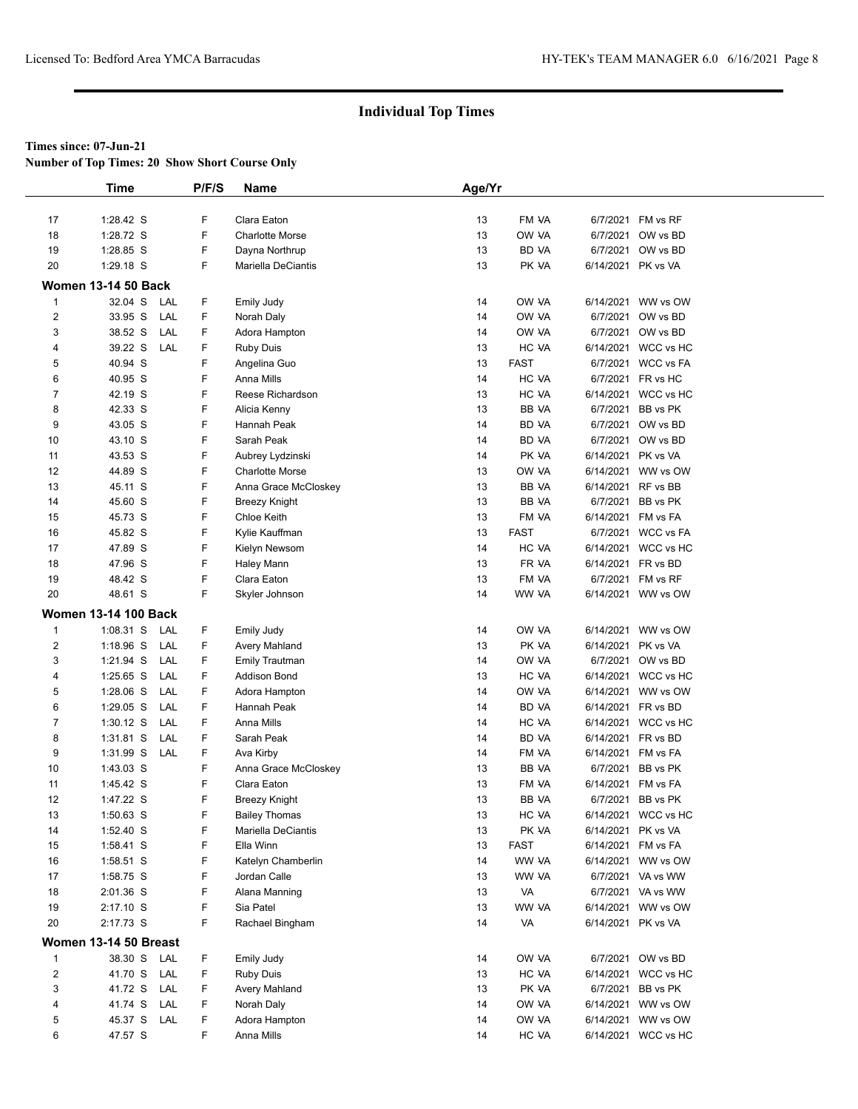**Number of Top Times: 20 Show Short Course Only**

|                         | <b>Time</b>                              | P/F/S  | Name                                       | Age/Yr   |                |                    |                     |
|-------------------------|------------------------------------------|--------|--------------------------------------------|----------|----------------|--------------------|---------------------|
|                         |                                          |        |                                            |          |                |                    |                     |
| 17                      | $1:28.42$ S                              | F      | Clara Eaton                                | 13       | FM VA          |                    | 6/7/2021 FM vs RF   |
| 18                      | 1:28.72 S                                | F      | <b>Charlotte Morse</b>                     | 13       | OW VA          |                    | 6/7/2021 OW vs BD   |
| 19                      | 1:28.85 S                                | F      | Dayna Northrup                             | 13       | BD VA          |                    | 6/7/2021 OW vs BD   |
| 20                      | $1:29.18$ S                              | F      | Mariella DeCiantis                         | 13       | PK VA          | 6/14/2021 PK vs VA |                     |
|                         | <b>Women 13-14 50 Back</b>               |        |                                            |          |                |                    |                     |
| $\mathbf{1}$            | 32.04 S<br>LAL                           | F      | Emily Judy                                 | 14       | OW VA          |                    | 6/14/2021 WW vs OW  |
| $\overline{\mathbf{c}}$ | 33.95 S<br>LAL                           | F      | Norah Daly                                 | 14       | OW VA          |                    | 6/7/2021 OW vs BD   |
| 3                       | 38.52 S<br>LAL                           | F      | Adora Hampton                              | 14       | OW VA          |                    | 6/7/2021 OW vs BD   |
| 4                       | 39.22 S<br>LAL                           | F      | <b>Ruby Duis</b>                           | 13       | HC VA          |                    | 6/14/2021 WCC vs HC |
| 5                       | 40.94 S                                  | F      | Angelina Guo                               | 13       | <b>FAST</b>    |                    | 6/7/2021 WCC vs FA  |
| 6                       | 40.95 S                                  | F      | Anna Mills                                 | 14       | HC VA          |                    | 6/7/2021 FR vs HC   |
| 7                       | 42.19 S                                  | F      | Reese Richardson                           | 13       | HC VA          |                    | 6/14/2021 WCC vs HC |
| 8                       | 42.33 S                                  | F<br>F | Alicia Kenny                               | 13       | BB VA          |                    | 6/7/2021 BB vs PK   |
| 9                       | 43.05 S<br>43.10 S                       | F      | Hannah Peak                                | 14       | BD VA          |                    | 6/7/2021 OW vs BD   |
| 10                      | 43.53 S                                  | F      | Sarah Peak                                 | 14<br>14 | BD VA<br>PK VA | 6/14/2021 PK vs VA | 6/7/2021 OW vs BD   |
| 11<br>12                | 44.89 S                                  | F      | Aubrey Lydzinski<br><b>Charlotte Morse</b> | 13       | OW VA          |                    | 6/14/2021 WW vs OW  |
| 13                      | 45.11 S                                  | F      | Anna Grace McCloskey                       | 13       | BB VA          |                    | 6/14/2021 RF vs BB  |
| 14                      | 45.60 S                                  | F      | Breezy Knight                              | 13       | BB VA          |                    | 6/7/2021 BB vs PK   |
| 15                      | 45.73 S                                  | F      | <b>Chloe Keith</b>                         | 13       | FM VA          |                    | 6/14/2021 FM vs FA  |
| 16                      | 45.82 S                                  | F      | Kylie Kauffman                             | 13       | <b>FAST</b>    |                    | 6/7/2021 WCC vs FA  |
| 17                      | 47.89 S                                  | F      | Kielyn Newsom                              | 14       | HC VA          |                    | 6/14/2021 WCC vs HC |
| 18                      | 47.96 S                                  | F      | Haley Mann                                 | 13       | FR VA          |                    | 6/14/2021 FR vs BD  |
| 19                      | 48.42 S                                  | F      | Clara Eaton                                | 13       | FM VA          |                    | 6/7/2021 FM vs RF   |
| 20                      | 48.61 S                                  | F      | Skyler Johnson                             | 14       | WW VA          |                    | 6/14/2021 WW vs OW  |
|                         | <b>Women 13-14 100 Back</b>              |        |                                            |          |                |                    |                     |
| $\mathbf{1}$            |                                          | F      |                                            | 14       | OW VA          |                    | 6/14/2021 WW vs OW  |
| $\overline{2}$          | $1:08.31$ S<br>LAL<br>$1:18.96$ S<br>LAL | F      | Emily Judy<br>Avery Mahland                | 13       | PK VA          | 6/14/2021 PK vs VA |                     |
| 3                       | 1:21.94 S<br>LAL                         | F      | <b>Emily Trautman</b>                      | 14       | OW VA          |                    | 6/7/2021 OW vs BD   |
| 4                       | $1:25.65$ S<br>LAL                       | F      | <b>Addison Bond</b>                        | 13       | HC VA          |                    | 6/14/2021 WCC vs HC |
| 5                       | LAL<br>$1:28.06$ S                       | F      | Adora Hampton                              | 14       | OW VA          |                    | 6/14/2021 WW vs OW  |
| 6                       | 1:29.05 S<br>LAL                         | F      | Hannah Peak                                | 14       | <b>BD VA</b>   |                    | 6/14/2021 FR vs BD  |
| $\overline{7}$          | $1:30.12$ S<br>LAL                       | F      | Anna Mills                                 | 14       | HC VA          |                    | 6/14/2021 WCC vs HC |
| 8                       | 1:31.81 S<br>LAL                         | F      | Sarah Peak                                 | 14       | BD VA          |                    | 6/14/2021 FR vs BD  |
| 9                       | 1:31.99 S<br>LAL                         | F      | Ava Kirby                                  | 14       | FM VA          |                    | 6/14/2021 FM vs FA  |
| 10                      | 1:43.03 S                                | F      | Anna Grace McCloskey                       | 13       | BB VA          |                    | 6/7/2021 BB vs PK   |
| 11                      | 1:45.42 S                                | F      | Clara Eaton                                | 13       | FM VA          |                    | 6/14/2021 FM vs FA  |
| 12                      | 1:47.22 S                                | F      | <b>Breezy Knight</b>                       | 13       | <b>BB VA</b>   |                    | 6/7/2021 BB vs PK   |
| 13                      | 1:50.63 S                                | F      | <b>Bailey Thomas</b>                       | 13       | HC VA          |                    | 6/14/2021 WCC vs HC |
| 14                      | 1:52.40 S                                | F      | Mariella DeCiantis                         | 13       | PK VA          | 6/14/2021 PK vs VA |                     |
| 15                      | 1:58.41 S                                | F      | Ella Winn                                  | 13       | <b>FAST</b>    |                    | 6/14/2021 FM vs FA  |
| 16                      | 1:58.51 S                                | F      | Katelyn Chamberlin                         | 14       | WW VA          |                    | 6/14/2021 WW vs OW  |
| 17                      | 1:58.75 S                                | F      | Jordan Calle                               | 13       | WW VA          |                    | 6/7/2021 VA vs WW   |
| 18                      | 2:01.36 S                                | F      | Alana Manning                              | 13       | VA             |                    | 6/7/2021 VA vs WW   |
| 19                      | $2:17.10$ S                              | F      | Sia Patel                                  | 13       | WW VA          |                    | 6/14/2021 WW vs OW  |
| 20                      | 2:17.73 S                                | F      | Rachael Bingham                            | 14       | VA             | 6/14/2021 PK vs VA |                     |
|                         | Women 13-14 50 Breast                    |        |                                            |          |                |                    |                     |
| $\mathbf{1}$            | 38.30 S LAL                              | F      | Emily Judy                                 | 14       | OW VA          |                    | 6/7/2021 OW vs BD   |
| $\boldsymbol{2}$        | 41.70 S<br>LAL                           | F      | <b>Ruby Duis</b>                           | 13       | HC VA          |                    | 6/14/2021 WCC vs HC |
| 3                       | 41.72 S<br>LAL                           | F      | Avery Mahland                              | 13       | PK VA          |                    | 6/7/2021 BB vs PK   |
| 4                       | 41.74 S<br>LAL                           | F      | Norah Daly                                 | 14       | OW VA          |                    | 6/14/2021 WW vs OW  |
| 5                       | 45.37 S LAL                              | F      | Adora Hampton                              | 14       | OW VA          |                    | 6/14/2021 WW vs OW  |
| 6                       | 47.57 S                                  | F      | Anna Mills                                 | 14       | HC VA          |                    | 6/14/2021 WCC vs HC |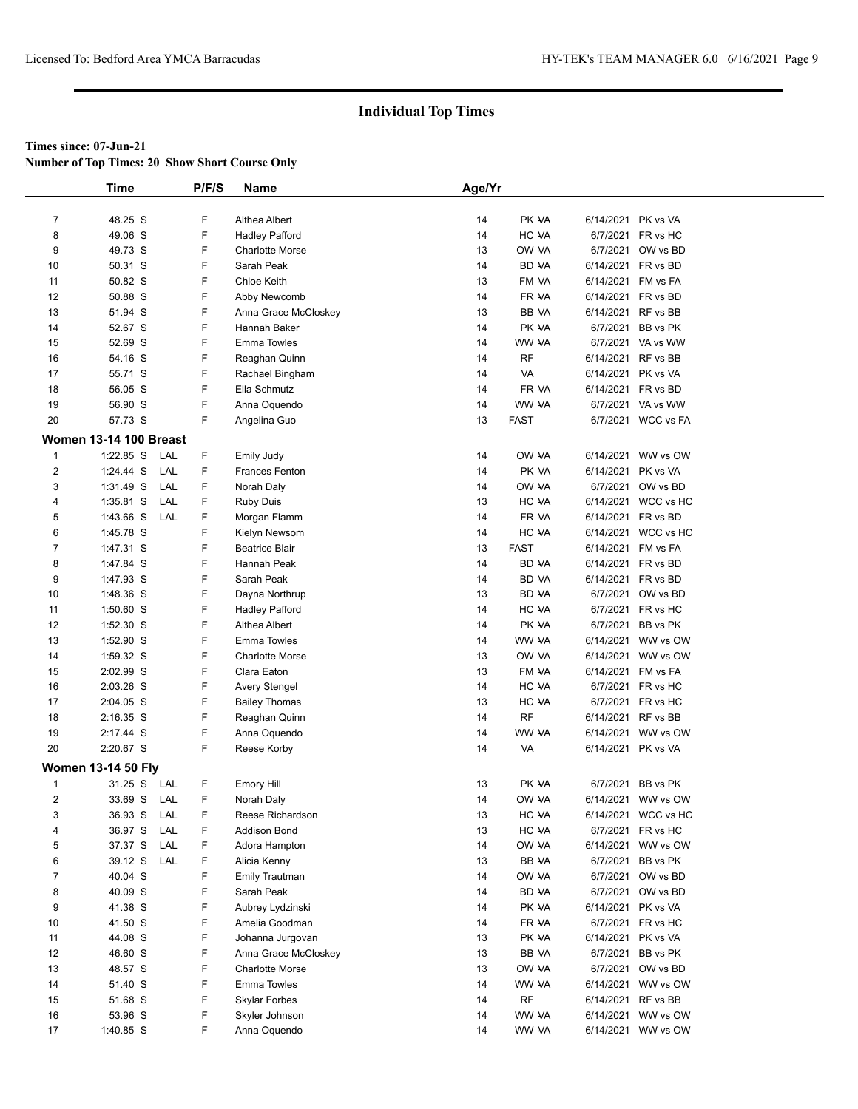**Number of Top Times: 20 Show Short Course Only**

|                | <b>Time</b>                   | P/F/S | Name                   | Age/Yr |              |                    |                     |  |
|----------------|-------------------------------|-------|------------------------|--------|--------------|--------------------|---------------------|--|
|                |                               |       |                        |        |              |                    |                     |  |
| $\overline{7}$ | 48.25 S                       | F     | Althea Albert          | 14     | PK VA        | 6/14/2021 PK vs VA |                     |  |
| 8              | 49.06 S                       | F     | <b>Hadley Pafford</b>  | 14     | HC VA        |                    | 6/7/2021 FR vs HC   |  |
| 9              | 49.73 S                       | F     | <b>Charlotte Morse</b> | 13     | OW VA        |                    | 6/7/2021 OW vs BD   |  |
| 10             | 50.31 S                       | F     | Sarah Peak             | 14     | BD VA        | 6/14/2021 FR vs BD |                     |  |
| 11             | 50.82 S                       | F     | <b>Chloe Keith</b>     | 13     | FM VA        | 6/14/2021 FM vs FA |                     |  |
| 12             | 50.88 S                       | F     | Abby Newcomb           | 14     | FR VA        | 6/14/2021 FR vs BD |                     |  |
| 13             | 51.94 S                       | F     | Anna Grace McCloskey   | 13     | BB VA        | 6/14/2021 RF vs BB |                     |  |
| 14             | 52.67 S                       | F     | Hannah Baker           | 14     | PK VA        |                    | 6/7/2021 BB vs PK   |  |
| 15             | 52.69 S                       | F     | <b>Emma Towles</b>     | 14     | WW VA        |                    | 6/7/2021 VA vs WW   |  |
| 16             | 54.16 S                       | F     | Reaghan Quinn          | 14     | <b>RF</b>    | 6/14/2021 RF vs BB |                     |  |
| 17             | 55.71 S                       | F     | Rachael Bingham        | 14     | VA           | 6/14/2021 PK vs VA |                     |  |
| 18             | 56.05 S                       | F     | Ella Schmutz           | 14     | FR VA        | 6/14/2021 FR vs BD |                     |  |
| 19             | 56.90 S                       | F     | Anna Oquendo           | 14     | WW VA        |                    | 6/7/2021 VA vs WW   |  |
| 20             | 57.73 S                       | F     | Angelina Guo           | 13     | <b>FAST</b>  |                    | 6/7/2021 WCC vs FA  |  |
|                | <b>Women 13-14 100 Breast</b> |       |                        |        |              |                    |                     |  |
| $\mathbf{1}$   | $1:22.85$ S<br>LAL            | F     | <b>Emily Judy</b>      | 14     | OW VA        |                    | 6/14/2021 WW vs OW  |  |
| $\overline{2}$ | $1:24.44$ S<br>LAL            | F     | Frances Fenton         | 14     | PK VA        | 6/14/2021 PK vs VA |                     |  |
| 3              | 1:31.49 S<br>LAL              | F     | Norah Daly             | 14     | OW VA        |                    | 6/7/2021 OW vs BD   |  |
| 4              | $1:35.81$ S<br>LAL            | F     | <b>Ruby Duis</b>       | 13     | HC VA        |                    | 6/14/2021 WCC vs HC |  |
| 5              | 1:43.66 S<br>LAL              | F     | Morgan Flamm           | 14     | FR VA        | 6/14/2021 FR vs BD |                     |  |
| 6              | 1:45.78 S                     | F     | Kielyn Newsom          | 14     | HC VA        |                    | 6/14/2021 WCC vs HC |  |
| 7              | 1:47.31 S                     | F     | <b>Beatrice Blair</b>  | 13     | <b>FAST</b>  | 6/14/2021 FM vs FA |                     |  |
| 8              | 1:47.84 S                     | F     | Hannah Peak            | 14     | <b>BD VA</b> | 6/14/2021 FR vs BD |                     |  |
| 9              | 1:47.93 S                     | F     | Sarah Peak             | 14     | BD VA        | 6/14/2021 FR vs BD |                     |  |
| 10             | 1:48.36 S                     | F     | Dayna Northrup         | 13     | BD VA        |                    | 6/7/2021 OW vs BD   |  |
| 11             | $1:50.60$ S                   | F     | <b>Hadley Pafford</b>  | 14     | HC VA        |                    | 6/7/2021 FR vs HC   |  |
| 12             | 1:52.30 S                     | F     | Althea Albert          | 14     | PK VA        |                    | 6/7/2021 BB vs PK   |  |
| 13             | 1:52.90 S                     | F     | <b>Emma Towles</b>     | 14     | WW VA        |                    | 6/14/2021 WW vs OW  |  |
| 14             | 1:59.32 S                     | F     | <b>Charlotte Morse</b> | 13     | OW VA        |                    | 6/14/2021 WW vs OW  |  |
| 15             | 2:02.99 S                     | F     | Clara Eaton            | 13     | FM VA        | 6/14/2021 FM vs FA |                     |  |
| 16             | 2:03.26 S                     | F     | Avery Stengel          | 14     | HC VA        |                    | 6/7/2021 FR vs HC   |  |
| 17             | 2:04.05 S                     | F     | <b>Bailey Thomas</b>   | 13     | HC VA        |                    | 6/7/2021 FR vs HC   |  |
| 18             | $2:16.35$ S                   | F     | Reaghan Quinn          | 14     | <b>RF</b>    | 6/14/2021 RF vs BB |                     |  |
| 19             | 2:17.44 S                     | F     | Anna Oquendo           | 14     | WW VA        |                    | 6/14/2021 WW vs OW  |  |
| 20             | 2:20.67 S                     | F     | Reese Korby            | 14     | VA           | 6/14/2021 PK vs VA |                     |  |
|                | <b>Women 13-14 50 Fly</b>     |       |                        |        |              |                    |                     |  |
| $\mathbf{1}$   | 31.25 S<br>LAL                | F     | <b>Emory Hill</b>      | 13     | PK VA        |                    | 6/7/2021 BB vs PK   |  |
| $\overline{2}$ | 33.69 S LAL                   | F     | Norah Daly             | 14     | OW VA        |                    | 6/14/2021 WW vs OW  |  |
| 3              | LAL<br>36.93 S                | F     | Reese Richardson       | 13     | HC VA        |                    | 6/14/2021 WCC vs HC |  |
| 4              | 36.97 S<br>LAL                | F     | Addison Bond           | 13     | HC VA        |                    | 6/7/2021 FR vs HC   |  |
| 5              | 37.37 S<br>LAL                | F     | Adora Hampton          | 14     | OW VA        |                    | 6/14/2021 WW vs OW  |  |
| 6              | 39.12 S<br>LAL                | F     | Alicia Kenny           | 13     | BB VA        |                    | 6/7/2021 BB vs PK   |  |
| $\overline{7}$ | 40.04 S                       | F     | <b>Emily Trautman</b>  | 14     | OW VA        |                    | 6/7/2021 OW vs BD   |  |
| 8              | 40.09 S                       | F     | Sarah Peak             | 14     | BD VA        |                    | 6/7/2021 OW vs BD   |  |
| 9              | 41.38 S                       | F     | Aubrey Lydzinski       | 14     | PK VA        | 6/14/2021 PK vs VA |                     |  |
| 10             | 41.50 S                       | F     | Amelia Goodman         | 14     | FR VA        |                    | 6/7/2021 FR vs HC   |  |
| 11             | 44.08 S                       | F     | Johanna Jurgovan       | 13     | PK VA        | 6/14/2021 PK vs VA |                     |  |
| 12             | 46.60 S                       | F     | Anna Grace McCloskey   | 13     | BB VA        |                    | 6/7/2021 BB vs PK   |  |
| 13             | 48.57 S                       | F     | <b>Charlotte Morse</b> | 13     | OW VA        |                    | 6/7/2021 OW vs BD   |  |
| 14             | 51.40 S                       | F     | <b>Emma Towles</b>     | 14     | WW VA        |                    | 6/14/2021 WW vs OW  |  |
| 15             | 51.68 S                       | F     | <b>Skylar Forbes</b>   | 14     | <b>RF</b>    | 6/14/2021 RF vs BB |                     |  |
| 16             | 53.96 S                       | F     | Skyler Johnson         | 14     | WW VA        |                    | 6/14/2021 WW vs OW  |  |
| 17             | 1:40.85 S                     | F     | Anna Oquendo           | 14     | WW VA        |                    | 6/14/2021 WW vs OW  |  |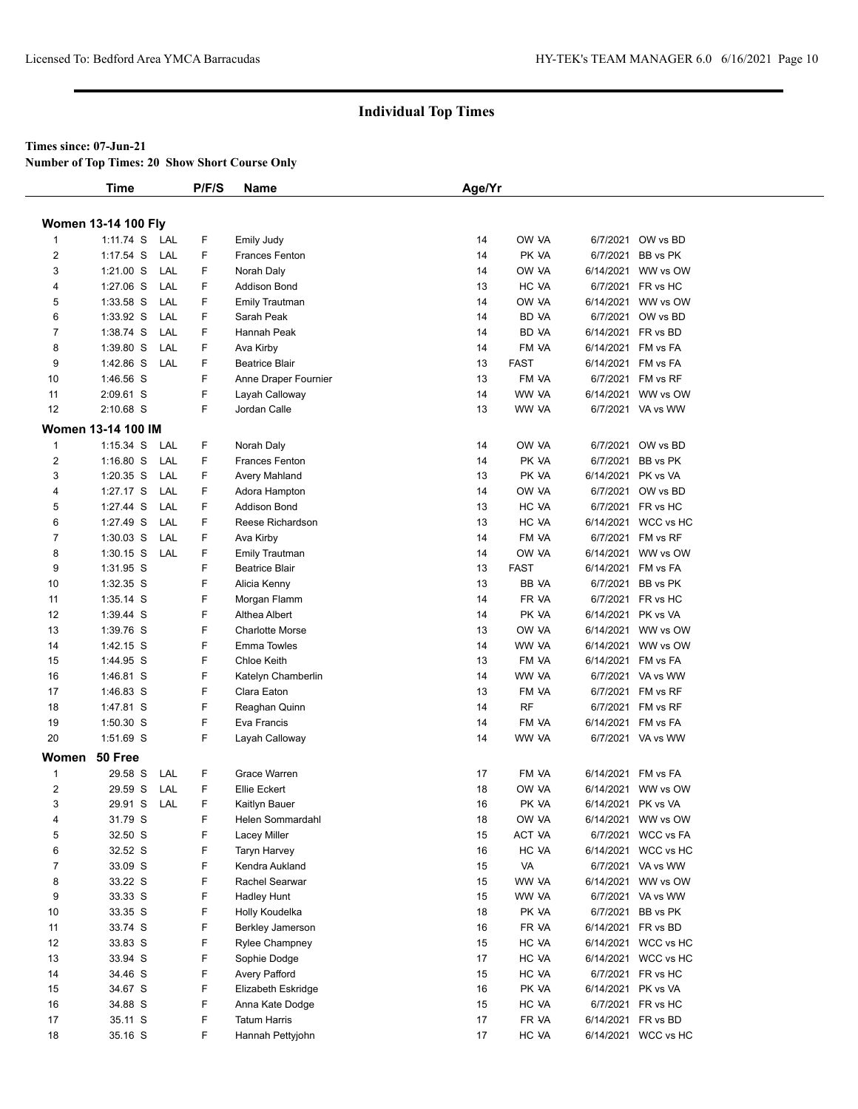#### **Times since: 07-Jun-21**

**Number of Top Times: 20 Show Short Course Only**

|                         | <b>Time</b>                |     | P/F/S | <b>Name</b>             | Age/Yr |              |                    |                     |  |
|-------------------------|----------------------------|-----|-------|-------------------------|--------|--------------|--------------------|---------------------|--|
|                         |                            |     |       |                         |        |              |                    |                     |  |
|                         | <b>Women 13-14 100 Fly</b> |     |       |                         |        |              |                    |                     |  |
| 1                       | 1:11.74 S LAL              |     | F     | Emily Judy              | 14     | OW VA        |                    | 6/7/2021 OW vs BD   |  |
| $\overline{\mathbf{c}}$ | $1:17.54$ S                | LAL | F.    | <b>Frances Fenton</b>   | 14     | PK VA        |                    | 6/7/2021 BB vs PK   |  |
| 3                       | 1:21.00 S                  | LAL | F     | Norah Daly              | 14     | OW VA        |                    | 6/14/2021 WW vs OW  |  |
| 4                       | $1:27.06$ S                | LAL | F     | Addison Bond            | 13     | HC VA        |                    | 6/7/2021 FR vs HC   |  |
| 5                       | 1:33.58 S                  | LAL | F     | <b>Emily Trautman</b>   | 14     | OW VA        |                    | 6/14/2021 WW vs OW  |  |
| 6                       | 1:33.92 S                  | LAL | F     | Sarah Peak              | 14     | <b>BD VA</b> |                    | 6/7/2021 OW vs BD   |  |
| $\overline{7}$          | 1:38.74 S                  | LAL | F     | Hannah Peak             | 14     | <b>BD VA</b> |                    | 6/14/2021 FR vs BD  |  |
| 8                       | $1:39.80$ S                | LAL | F     | Ava Kirby               | 14     | FM VA        |                    | 6/14/2021 FM vs FA  |  |
| 9                       | 1:42.86 S                  | LAL | F     | <b>Beatrice Blair</b>   | 13     | <b>FAST</b>  |                    | 6/14/2021 FM vs FA  |  |
| 10                      | 1:46.56 S                  |     | F     | Anne Draper Fournier    | 13     | FM VA        |                    | 6/7/2021 FM vs RF   |  |
| 11                      | 2:09.61 S                  |     | F     | Layah Calloway          | 14     | WW VA        |                    | 6/14/2021 WW vs OW  |  |
| 12                      | 2:10.68 S                  |     | F     | Jordan Calle            | 13     | WW VA        |                    | 6/7/2021 VA vs WW   |  |
|                         | <b>Women 13-14 100 IM</b>  |     |       |                         |        |              |                    |                     |  |
| $\mathbf{1}$            | $1:15.34$ S                | LAL | F     | Norah Daly              | 14     | OW VA        |                    | 6/7/2021 OW vs BD   |  |
| $\overline{\mathbf{c}}$ | $1:16.80$ S                | LAL | F     | <b>Frances Fenton</b>   | 14     | PK VA        | 6/7/2021           | BB vs PK            |  |
| 3                       | $1:20.35$ S                | LAL | F     | Avery Mahland           | 13     | PK VA        |                    | 6/14/2021 PK vs VA  |  |
| 4                       | $1:27.17$ S                | LAL | F     | Adora Hampton           | 14     | OW VA        |                    | 6/7/2021 OW vs BD   |  |
| 5                       | 1:27.44 S                  | LAL | F     | <b>Addison Bond</b>     | 13     | HC VA        |                    | 6/7/2021 FR vs HC   |  |
| 6                       | 1:27.49 S                  | LAL | F     | Reese Richardson        | 13     | HC VA        |                    | 6/14/2021 WCC vs HC |  |
| $\overline{7}$          | $1:30.03$ S                | LAL | F     | Ava Kirby               | 14     | FM VA        |                    | 6/7/2021 FM vs RF   |  |
| 8                       | $1:30.15$ S                | LAL | F     | Emily Trautman          | 14     | OW VA        |                    | 6/14/2021 WW vs OW  |  |
| 9                       | 1:31.95 S                  |     | F     | <b>Beatrice Blair</b>   | 13     | <b>FAST</b>  |                    | 6/14/2021 FM vs FA  |  |
| 10                      | 1:32.35 S                  |     | F     | Alicia Kenny            | 13     | BB VA        |                    | 6/7/2021 BB vs PK   |  |
| 11                      | 1:35.14 S                  |     | F     | Morgan Flamm            | 14     | FR VA        |                    | 6/7/2021 FR vs HC   |  |
| 12                      | 1:39.44 S                  |     | F     | Althea Albert           | 14     | PK VA        |                    | 6/14/2021 PK vs VA  |  |
| 13                      | 1:39.76 S                  |     | F     | <b>Charlotte Morse</b>  | 13     | OW VA        |                    | 6/14/2021 WW vs OW  |  |
| 14                      | 1:42.15 S                  |     | F     | <b>Emma Towles</b>      | 14     | WW VA        |                    | 6/14/2021 WW vs OW  |  |
| 15                      | 1:44.95 S                  |     | F     | Chloe Keith             | 13     | FM VA        |                    | 6/14/2021 FM vs FA  |  |
| 16                      | 1:46.81 S                  |     | F     | Katelyn Chamberlin      | 14     | WW VA        |                    | 6/7/2021 VA vs WW   |  |
| 17                      | 1:46.83 S                  |     | F     | Clara Eaton             | 13     | FM VA        |                    | 6/7/2021 FM vs RF   |  |
| 18                      | 1:47.81 S                  |     | F     | Reaghan Quinn           | 14     | RF           |                    | 6/7/2021 FM vs RF   |  |
| 19                      | 1:50.30 S                  |     | F     | Eva Francis             | 14     | FM VA        |                    | 6/14/2021 FM vs FA  |  |
| 20                      | 1:51.69 S                  |     | F     | Layah Calloway          | 14     | WW VA        |                    | 6/7/2021 VA vs WW   |  |
|                         | Women 50 Free              |     |       |                         |        |              |                    |                     |  |
| $\mathbf{1}$            | 29.58 S                    | LAL | F     | Grace Warren            | 17     | FM VA        |                    | 6/14/2021 FM vs FA  |  |
| 2                       | 29.59 S                    | LAL | F     | Ellie Eckert            | 18     | OW VA        |                    | 6/14/2021 WW vs OW  |  |
| 3                       | 29.91 S LAL                |     | F     | Kaitlyn Bauer           | 16     | PK VA        | 6/14/2021 PK vs VA |                     |  |
| 4                       | 31.79 S                    |     | F     | Helen Sommardahl        | 18     | ow ya        |                    | 6/14/2021 WW vs OW  |  |
| 5                       | 32.50 S                    |     | F     | Lacey Miller            | 15     | ACT VA       |                    | 6/7/2021 WCC vs FA  |  |
| 6                       | 32.52 S                    |     | F     | <b>Taryn Harvey</b>     | 16     | HC VA        |                    | 6/14/2021 WCC vs HC |  |
| 7                       | 33.09 S                    |     | F     | Kendra Aukland          | 15     | VA           |                    | 6/7/2021 VA vs WW   |  |
| 8                       | 33.22 S                    |     | F     | Rachel Searwar          | 15     | WW VA        |                    | 6/14/2021 WW vs OW  |  |
| 9                       | 33.33 S                    |     | F     | <b>Hadley Hunt</b>      | 15     | WW VA        |                    | 6/7/2021 VA vs WW   |  |
| 10                      | 33.35 S                    |     | F     | Holly Koudelka          | 18     | PK VA        |                    | 6/7/2021 BB vs PK   |  |
| 11                      | 33.74 S                    |     | F     | <b>Berkley Jamerson</b> | 16     | FR VA        |                    | 6/14/2021 FR vs BD  |  |
| 12                      | 33.83 S                    |     | F     | <b>Rylee Champney</b>   | 15     | HC VA        |                    | 6/14/2021 WCC vs HC |  |
| 13                      | 33.94 S                    |     | F     | Sophie Dodge            | 17     | HC VA        |                    | 6/14/2021 WCC vs HC |  |
| 14                      | 34.46 S                    |     | F     | Avery Pafford           | 15     | HC VA        |                    | 6/7/2021 FR vs HC   |  |
| 15                      | 34.67 S                    |     | F     | Elizabeth Eskridge      | 16     | PK VA        | 6/14/2021 PK vs VA |                     |  |
| 16                      | 34.88 S                    |     | F     | Anna Kate Dodge         | 15     | HC VA        |                    | 6/7/2021 FR vs HC   |  |
| 17                      | 35.11 S                    |     | F     | <b>Tatum Harris</b>     | 17     | FR VA        |                    | 6/14/2021 FR vs BD  |  |
| 18                      | 35.16 S                    |     | F.    | Hannah Pettyjohn        | 17     | HC VA        |                    | 6/14/2021 WCC vs HC |  |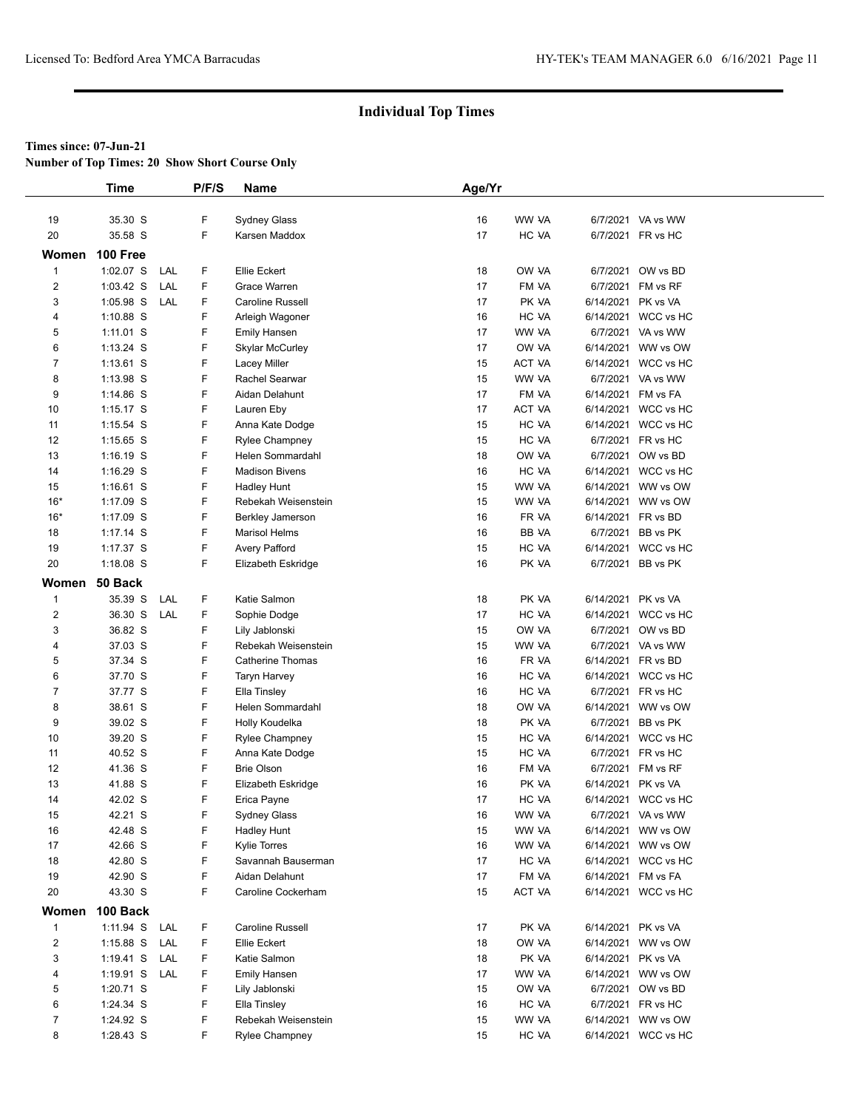**Number of Top Times: 20 Show Short Course Only**

|                         | <b>Time</b> |            | P/F/S | Name                    | Age/Yr |        |                    |                     |  |
|-------------------------|-------------|------------|-------|-------------------------|--------|--------|--------------------|---------------------|--|
|                         |             |            |       |                         |        |        |                    |                     |  |
| 19                      | 35.30 S     |            | F     | Sydney Glass            | 16     | WW VA  |                    | 6/7/2021 VA vs WW   |  |
| 20                      | 35.58 S     |            | F.    | Karsen Maddox           | 17     | HC VA  |                    | 6/7/2021 FR vs HC   |  |
| Women                   | 100 Free    |            |       |                         |        |        |                    |                     |  |
| $\mathbf{1}$            | 1:02.07 S   | LAL        | F     | <b>Ellie Eckert</b>     | 18     | OW VA  |                    | 6/7/2021 OW vs BD   |  |
| $\overline{c}$          | $1:03.42$ S | LAL        | F     | Grace Warren            | 17     | FM VA  | 6/7/2021           | FM vs RF            |  |
| 3                       | 1:05.98 S   | <b>LAL</b> | F     | Caroline Russell        | 17     | PK VA  | 6/14/2021 PK vs VA |                     |  |
| 4                       | 1:10.88 S   |            | F     | Arleigh Wagoner         | 16     | HC VA  |                    | 6/14/2021 WCC vs HC |  |
| 5                       | $1:11.01$ S |            | F     | <b>Emily Hansen</b>     | 17     | WW VA  |                    | 6/7/2021 VA vs WW   |  |
| 6                       | $1:13.24$ S |            | F     | <b>Skylar McCurley</b>  | 17     | OW VA  |                    | 6/14/2021 WW vs OW  |  |
| $\overline{7}$          | $1:13.61$ S |            | F     | Lacey Miller            | 15     | ACT VA |                    | 6/14/2021 WCC vs HC |  |
| 8                       | 1:13.98 S   |            | F     | <b>Rachel Searwar</b>   | 15     | WW VA  |                    | 6/7/2021 VA vs WW   |  |
| 9                       | $1:14.86$ S |            | F     | Aidan Delahunt          | 17     | FM VA  | 6/14/2021          | FM vs FA            |  |
| 10                      | $1:15.17$ S |            | F     | Lauren Eby              | 17     | ACT VA |                    | 6/14/2021 WCC vs HC |  |
| 11                      | $1:15.54$ S |            | F     | Anna Kate Dodge         | 15     | HC VA  |                    | 6/14/2021 WCC vs HC |  |
| 12                      | $1:15.65$ S |            | F     | Rylee Champney          | 15     | HC VA  |                    | 6/7/2021 FR vs HC   |  |
| 13                      | $1:16.19$ S |            | F     | <b>Helen Sommardahl</b> | 18     | OW VA  |                    | 6/7/2021 OW vs BD   |  |
| 14                      | $1:16.29$ S |            | F     | <b>Madison Bivens</b>   | 16     | HC VA  |                    | 6/14/2021 WCC vs HC |  |
| 15                      | $1:16.61$ S |            | F     | Hadley Hunt             | 15     | WW VA  |                    | 6/14/2021 WW vs OW  |  |
| $16*$                   | 1:17.09 S   |            | F     | Rebekah Weisenstein     | 15     | WW VA  |                    | 6/14/2021 WW vs OW  |  |
| $16*$                   | $1:17.09$ S |            | F     | <b>Berkley Jamerson</b> | 16     | FR VA  | 6/14/2021 FR vs BD |                     |  |
| 18                      | 1:17.14 S   |            | F     | <b>Marisol Helms</b>    | 16     | BB VA  |                    | 6/7/2021 BB vs PK   |  |
| 19                      | 1:17.37 S   |            | F     | Avery Pafford           | 15     | HC VA  |                    | 6/14/2021 WCC vs HC |  |
| 20                      | 1:18.08 S   |            | F     | Elizabeth Eskridge      | 16     | PK VA  |                    | 6/7/2021 BB vs PK   |  |
| Women                   | 50 Back     |            |       |                         |        |        |                    |                     |  |
| $\mathbf{1}$            | 35.39 S     | LAL        | F     | Katie Salmon            | 18     | PK VA  | 6/14/2021 PK vs VA |                     |  |
| $\overline{\mathbf{c}}$ | 36.30 S     | LAL        | F     | Sophie Dodge            | 17     | HC VA  |                    | 6/14/2021 WCC vs HC |  |
| 3                       | 36.82 S     |            | F     | Lily Jablonski          | 15     | OW VA  |                    | 6/7/2021 OW vs BD   |  |
| $\overline{4}$          | 37.03 S     |            | F     | Rebekah Weisenstein     | 15     | WW VA  |                    | 6/7/2021 VA vs WW   |  |
| 5                       | 37.34 S     |            | F     | Catherine Thomas        | 16     | FR VA  | 6/14/2021 FR vs BD |                     |  |
| 6                       | 37.70 S     |            | F     | Taryn Harvey            | 16     | HC VA  |                    | 6/14/2021 WCC vs HC |  |
| $\overline{7}$          | 37.77 S     |            | F     | Ella Tinsley            | 16     | HC VA  |                    | 6/7/2021 FR vs HC   |  |
| 8                       | 38.61 S     |            | F     | Helen Sommardahl        | 18     | OW VA  |                    | 6/14/2021 WW vs OW  |  |
| 9                       | 39.02 S     |            | F     | Holly Koudelka          | 18     | PK VA  | 6/7/2021           | BB vs PK            |  |
| 10                      | 39.20 S     |            | F     | <b>Rylee Champney</b>   | 15     | HC VA  |                    | 6/14/2021 WCC vs HC |  |
| 11                      | 40.52 S     |            | F     | Anna Kate Dodge         | 15     | HC VA  |                    | 6/7/2021 FR vs HC   |  |
| 12                      | 41.36 S     |            | F     | <b>Brie Olson</b>       | 16     | FM VA  |                    | 6/7/2021 FM vs RF   |  |
| 13                      | 41.88 S     |            | F     | Elizabeth Eskridge      | 16     | PK VA  | 6/14/2021 PK vs VA |                     |  |
| 14                      | 42.02 S     |            | F     | Erica Payne             | 17     | HC VA  |                    | 6/14/2021 WCC vs HC |  |
| 15                      | 42.21 S     |            | F     | <b>Sydney Glass</b>     | 16     | WW VA  |                    | 6/7/2021 VA vs WW   |  |
| 16                      | 42.48 S     |            | F     | <b>Hadley Hunt</b>      | 15     | WW VA  |                    | 6/14/2021 WW vs OW  |  |
| 17                      | 42.66 S     |            | F     | <b>Kylie Torres</b>     | 16     | WW VA  |                    | 6/14/2021 WW vs OW  |  |
| 18                      | 42.80 S     |            | F     | Savannah Bauserman      | 17     | HC VA  |                    | 6/14/2021 WCC vs HC |  |
| 19                      | 42.90 S     |            | F     | Aidan Delahunt          | 17     | FM VA  | 6/14/2021 FM vs FA |                     |  |
| 20                      | 43.30 S     |            | F     | Caroline Cockerham      | 15     | ACT VA |                    | 6/14/2021 WCC vs HC |  |
| Women                   | 100 Back    |            |       |                         |        |        |                    |                     |  |
| $\mathbf{1}$            | 1:11.94 S   | LAL        | F     | Caroline Russell        | 17     | PK VA  | 6/14/2021 PK vs VA |                     |  |
| $\overline{\mathbf{c}}$ | $1:15.88$ S | LAL        | F     | Ellie Eckert            | 18     | OW VA  |                    | 6/14/2021 WW vs OW  |  |
| 3                       | $1:19.41$ S | LAL        | F     | Katie Salmon            | 18     | PK VA  | 6/14/2021 PK vs VA |                     |  |
| 4                       | 1:19.91 S   | LAL        | F     | <b>Emily Hansen</b>     | 17     | WW VA  |                    | 6/14/2021 WW vs OW  |  |
| 5                       | 1:20.71 S   |            | F     | Lily Jablonski          | 15     | OW VA  |                    | 6/7/2021 OW vs BD   |  |
| 6                       | 1:24.34 S   |            | F     | Ella Tinsley            | 16     | HC VA  |                    | 6/7/2021 FR vs HC   |  |
| 7                       | 1:24.92 S   |            | F     | Rebekah Weisenstein     | 15     | WW VA  |                    | 6/14/2021 WW vs OW  |  |
| 8                       | 1:28.43 S   |            | F     | <b>Rylee Champney</b>   | 15     | HC VA  |                    | 6/14/2021 WCC vs HC |  |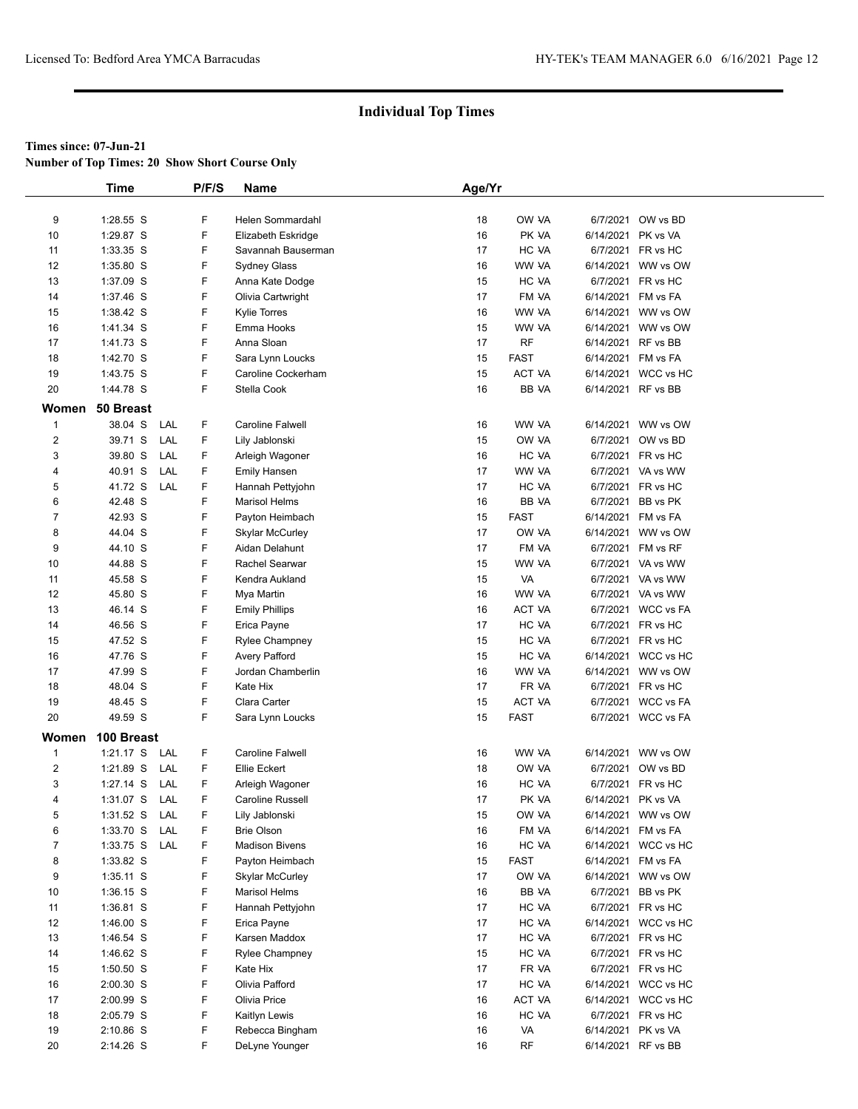**Number of Top Times: 20 Show Short Course Only**

|                | <b>Time</b>        | P/F/S    | Name                                      | Age/Yr   |                |                    |                                          |
|----------------|--------------------|----------|-------------------------------------------|----------|----------------|--------------------|------------------------------------------|
|                |                    |          |                                           |          |                |                    |                                          |
| 9              | 1:28.55 S          | F        | Helen Sommardahl                          | 18       | OW VA          |                    | 6/7/2021 OW vs BD                        |
| 10             | 1:29.87 S          | F        | Elizabeth Eskridge                        | 16       | PK VA          | 6/14/2021 PK vs VA |                                          |
| 11             | 1:33.35 S          | F        | Savannah Bauserman                        | 17       | HC VA          |                    | 6/7/2021 FR vs HC                        |
| 12             | 1:35.80 S          | F        | Sydney Glass                              | 16       | WW VA          |                    | 6/14/2021 WW vs OW                       |
| 13             | 1:37.09 S          | F        | Anna Kate Dodge                           | 15       | HC VA          |                    | 6/7/2021 FR vs HC                        |
| 14             | 1:37.46 S          | F        | Olivia Cartwright                         | 17       | FM VA          | 6/14/2021 FM vs FA |                                          |
| 15             | 1:38.42 S          | F        | <b>Kylie Torres</b>                       | 16       | WW VA          |                    | 6/14/2021 WW vs OW                       |
| 16             | 1:41.34 S          | F        | Emma Hooks                                | 15       | WW VA          |                    | 6/14/2021 WW vs OW                       |
| 17             | 1:41.73 S          | F        | Anna Sloan                                | 17       | RF             | 6/14/2021 RF vs BB |                                          |
| 18             | 1:42.70 S          | F        | Sara Lynn Loucks                          | 15       | <b>FAST</b>    | 6/14/2021 FM vs FA |                                          |
| 19             | 1:43.75 S          | F        | Caroline Cockerham                        | 15       | ACT VA         |                    | 6/14/2021 WCC vs HC                      |
| 20             | 1:44.78 S          | F        | Stella Cook                               | 16       | BB VA          | 6/14/2021 RF vs BB |                                          |
| Women          | 50 Breast          |          |                                           |          |                |                    |                                          |
| $\mathbf{1}$   | 38.04 S            | F<br>LAL | <b>Caroline Falwell</b>                   | 16       | WW VA          |                    | 6/14/2021 WW vs OW                       |
|                | 39.71 S            | LAL<br>F |                                           | 15       | OW VA          |                    | 6/7/2021 OW vs BD                        |
| $\mathbf 2$    | 39.80 S            | F<br>LAL | Lily Jablonski                            | 16       | HC VA          |                    | 6/7/2021 FR vs HC                        |
| 3              |                    | F<br>LAL | Arleigh Wagoner                           | 17       | WW VA          |                    | 6/7/2021 VA vs WW                        |
| 4              | 40.91 S            |          | <b>Emily Hansen</b>                       |          |                |                    |                                          |
| 5              | 41.72 S            | F<br>LAL | Hannah Pettyjohn                          | 17       | HC VA          |                    | 6/7/2021 FR vs HC                        |
| 6              | 42.48 S            | F        | <b>Marisol Helms</b>                      | 16       | BB VA          |                    | 6/7/2021 BB vs PK                        |
| 7              | 42.93 S            | F        | Payton Heimbach                           | 15       | FAST           | 6/14/2021 FM vs FA |                                          |
| 8              | 44.04 S            | F        | <b>Skylar McCurley</b>                    | 17       | OW VA          |                    | 6/14/2021 WW vs OW                       |
| 9              | 44.10 S            | F<br>F   | Aidan Delahunt                            | 17       | FM VA          |                    | 6/7/2021 FM vs RF<br>6/7/2021 VA vs WW   |
| 10             | 44.88 S            |          | Rachel Searwar                            | 15       | WW VA          |                    |                                          |
| 11             | 45.58 S            | F        | Kendra Aukland                            | 15       | VA             |                    | 6/7/2021 VA vs WW                        |
| 12             | 45.80 S            | F<br>F   | Mya Martin                                | 16       | WW VA          |                    | 6/7/2021 VA vs WW                        |
| 13             | 46.14 S            |          | <b>Emily Phillips</b>                     | 16       | ACT VA         |                    | 6/7/2021 WCC vs FA                       |
| 14             | 46.56 S            | F        | Erica Payne                               | 17       | HC VA          |                    | 6/7/2021 FR vs HC                        |
| 15<br>16       | 47.52 S<br>47.76 S | F<br>F   | <b>Rylee Champney</b>                     | 15<br>15 | HC VA<br>HC VA |                    | 6/7/2021 FR vs HC<br>6/14/2021 WCC vs HC |
|                | 47.99 S            | F        | <b>Avery Pafford</b><br>Jordan Chamberlin | 16       | WW VA          |                    | 6/14/2021 WW vs OW                       |
| 17<br>18       | 48.04 S            | F        | Kate Hix                                  | 17       | FR VA          |                    | 6/7/2021 FR vs HC                        |
| 19             | 48.45 S            | F        | Clara Carter                              | 15       | ACT VA         |                    | 6/7/2021 WCC vs FA                       |
| 20             | 49.59 S            | F        | Sara Lynn Loucks                          | 15       | <b>FAST</b>    |                    | 6/7/2021 WCC vs FA                       |
|                |                    |          |                                           |          |                |                    |                                          |
| Women          | 100 Breast         |          |                                           |          |                |                    |                                          |
| 1              | $1:21.17$ S        | F<br>LAL | <b>Caroline Falwell</b>                   | 16       | WW VA          |                    | 6/14/2021 WW vs OW                       |
| $\overline{c}$ | 1:21.89 S          | F<br>LAL | Ellie Eckert                              | 18       | OW VA          |                    | 6/7/2021 OW vs BD                        |
| 3              | $1:27.14$ S        | F<br>LAL | Arleigh Wagoner                           | 16       | HC VA          |                    | 6/7/2021 FR vs HC                        |
| 4              | $1:31.07$ S        | F<br>LAL | Caroline Russell                          | 17       | PK VA          | 6/14/2021 PK vs VA |                                          |
| 5              | $1:31.52$ S        | LAL<br>F | Lily Jablonski                            | 15       | OW VA          |                    | 6/14/2021 WW vs OW                       |
| 6              | 1:33.70 S          | LAL<br>F | <b>Brie Olson</b>                         | 16       | FM VA          | 6/14/2021 FM vs FA |                                          |
| 7              | 1:33.75 S          | LAL<br>F | <b>Madison Bivens</b>                     | 16       | HC VA          |                    | 6/14/2021 WCC vs HC                      |
| 8              | 1:33.82 S          | F        | Payton Heimbach                           | 15       | FAST           | 6/14/2021 FM vs FA |                                          |
| 9              | $1:35.11$ S        | F        | <b>Skylar McCurley</b>                    | 17       | OW VA          |                    | 6/14/2021 WW vs OW                       |
| 10             | $1:36.15$ S        | F        | <b>Marisol Helms</b>                      | 16       | BB VA          |                    | 6/7/2021 BB vs PK                        |
| 11             | 1:36.81 S          | F        | Hannah Pettyjohn                          | 17       | HC VA          |                    | 6/7/2021 FR vs HC                        |
| 12             | 1:46.00 S          | F        | Erica Payne                               | 17       | HC VA          |                    | 6/14/2021 WCC vs HC                      |
| 13             | 1:46.54 S          | F        | Karsen Maddox                             | 17       | HC VA          |                    | 6/7/2021 FR vs HC                        |
| 14             | 1:46.62 S          | F        | <b>Rylee Champney</b>                     | 15       | HC VA          |                    | 6/7/2021 FR vs HC                        |
| 15             | $1:50.50$ S        | F        | Kate Hix                                  | 17       | FR VA          |                    | 6/7/2021 FR vs HC                        |
| 16             | $2:00.30$ S        | F        | Olivia Pafford                            | 17       | HC VA          |                    | 6/14/2021 WCC vs HC                      |
| 17             | 2:00.99 S          | F        | Olivia Price                              | 16       | ACT VA         |                    | 6/14/2021 WCC vs HC                      |
| 18             | 2:05.79 S          | F        | Kaitlyn Lewis                             | 16       | HC VA          |                    | 6/7/2021 FR vs HC                        |
| 19             | 2:10.86 S          | F        | Rebecca Bingham                           | 16       | VA             | 6/14/2021 PK vs VA |                                          |
| 20             | 2:14.26 S          | F        | DeLyne Younger                            | 16       | RF             |                    | 6/14/2021 RF vs BB                       |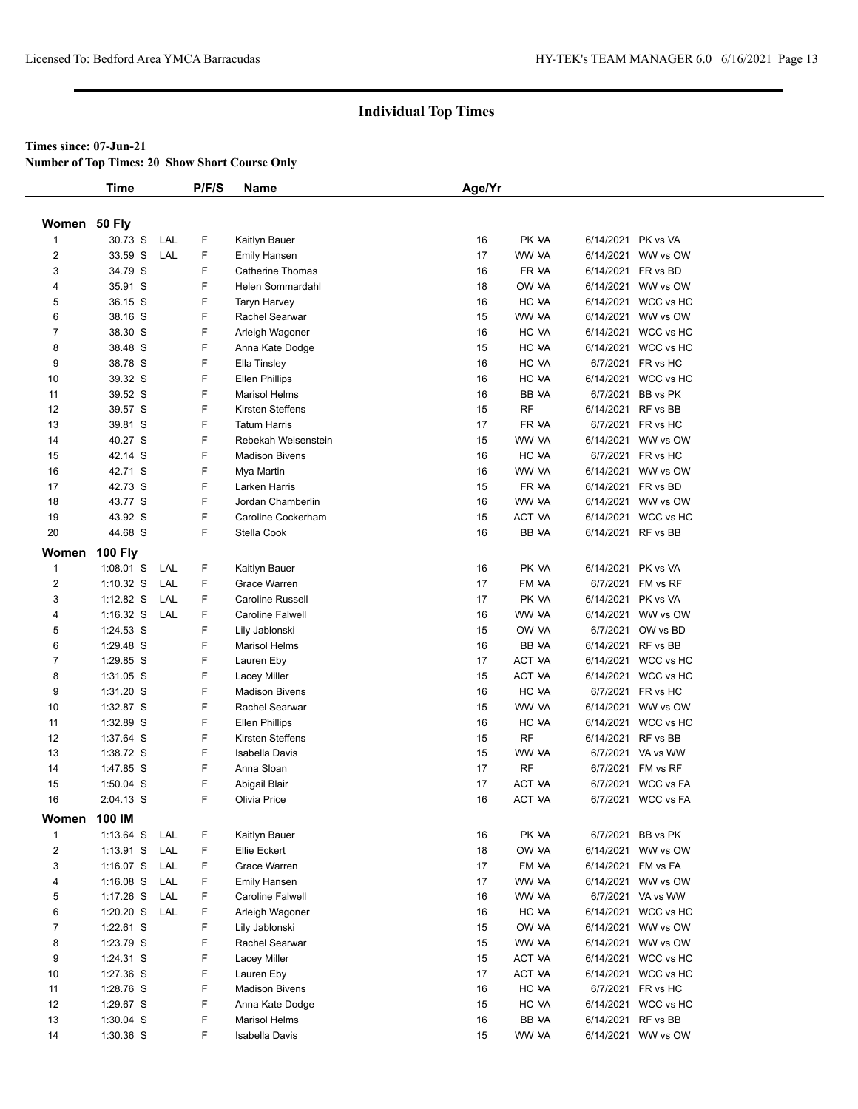#### **Times since: 07-Jun-21**

**Number of Top Times: 20 Show Short Course Only**

|                | <b>Time</b>    |     | P/F/S | Name                    | Age/Yr |               |                    |                     |
|----------------|----------------|-----|-------|-------------------------|--------|---------------|--------------------|---------------------|
|                |                |     |       |                         |        |               |                    |                     |
| Women 50 Fly   |                |     |       |                         |        |               |                    |                     |
| 1              | 30.73 S        | LAL | F     | Kaitlyn Bauer           | 16     | PK VA         | 6/14/2021 PK vs VA |                     |
| 2              | 33.59 S        | LAL | F     | <b>Emily Hansen</b>     | 17     | WW VA         |                    | 6/14/2021 WW vs OW  |
| 3              | 34.79 S        |     | F     | <b>Catherine Thomas</b> | 16     | FR VA         | 6/14/2021 FR vs BD |                     |
| 4              | 35.91 S        |     | F.    | Helen Sommardahl        | 18     | OW VA         |                    | 6/14/2021 WW vs OW  |
| 5              | 36.15 S        |     | F     | Taryn Harvey            | 16     | HC VA         |                    | 6/14/2021 WCC vs HC |
| 6              | 38.16 S        |     | F     | Rachel Searwar          | 15     | WW VA         |                    | 6/14/2021 WW vs OW  |
| $\overline{7}$ | 38.30 S        |     | F     | Arleigh Wagoner         | 16     | HC VA         |                    | 6/14/2021 WCC vs HC |
| 8              | 38.48 S        |     | F     | Anna Kate Dodge         | 15     | HC VA         |                    | 6/14/2021 WCC vs HC |
| 9              | 38.78 S        |     | F     | Ella Tinsley            | 16     | HC VA         |                    | 6/7/2021 FR vs HC   |
| 10             | 39.32 S        |     | F     | <b>Ellen Phillips</b>   | 16     | HC VA         |                    | 6/14/2021 WCC vs HC |
| 11             | 39.52 S        |     | F     | <b>Marisol Helms</b>    | 16     | BB VA         |                    | 6/7/2021 BB vs PK   |
| 12             | 39.57 S        |     | F     | Kirsten Steffens        | 15     | RF            | 6/14/2021 RF vs BB |                     |
| 13             | 39.81 S        |     | F     | <b>Tatum Harris</b>     | 17     | FR VA         |                    | 6/7/2021 FR vs HC   |
| 14             | 40.27 S        |     | F     | Rebekah Weisenstein     | 15     | WW VA         |                    | 6/14/2021 WW vs OW  |
| 15             | 42.14 S        |     | F.    | <b>Madison Bivens</b>   | 16     | HC VA         |                    | 6/7/2021 FR vs HC   |
| 16             | 42.71 S        |     | F     | Mya Martin              | 16     | WW VA         |                    | 6/14/2021 WW vs OW  |
| 17             | 42.73 S        |     | F     | Larken Harris           | 15     | FR VA         | 6/14/2021 FR vs BD |                     |
| 18             | 43.77 S        |     | F     | Jordan Chamberlin       | 16     | WW VA         |                    | 6/14/2021 WW vs OW  |
| 19             | 43.92 S        |     | F     | Caroline Cockerham      | 15     | ACT VA        |                    | 6/14/2021 WCC vs HC |
| 20             | 44.68 S        |     | F     | Stella Cook             | 16     | BB VA         | 6/14/2021 RF vs BB |                     |
| Women          | <b>100 Fly</b> |     |       |                         |        |               |                    |                     |
| $\mathbf{1}$   | $1:08.01$ S    | LAL | F     | Kaitlyn Bauer           | 16     | PK VA         | 6/14/2021 PK vs VA |                     |
| $\overline{2}$ | $1:10.32$ S    | LAL | F     | Grace Warren            | 17     | FM VA         |                    | 6/7/2021 FM vs RF   |
| 3              | $1:12.82$ S    | LAL | F.    | Caroline Russell        | 17     | PK VA         | 6/14/2021 PK vs VA |                     |
| 4              | $1:16.32$ S    | LAL | F     | Caroline Falwell        | 16     | WW VA         |                    | 6/14/2021 WW vs OW  |
| 5              | 1:24.53 S      |     | F     | Lily Jablonski          | 15     | OW VA         |                    | 6/7/2021 OW vs BD   |
| 6              | 1:29.48 S      |     | F     | <b>Marisol Helms</b>    | 16     | BB VA         | 6/14/2021 RF vs BB |                     |
| 7              | 1:29.85 S      |     | F     | Lauren Eby              | 17     | ACT VA        |                    | 6/14/2021 WCC vs HC |
| 8              | 1:31.05 S      |     | F     | Lacey Miller            | 15     | ACT VA        |                    | 6/14/2021 WCC vs HC |
| 9              | 1:31.20 S      |     | F.    | <b>Madison Bivens</b>   | 16     | HC VA         |                    | 6/7/2021 FR vs HC   |
| 10             | 1:32.87 S      |     | F     | Rachel Searwar          | 15     | WW VA         |                    | 6/14/2021 WW vs OW  |
| 11             | 1:32.89 S      |     | F     | <b>Ellen Phillips</b>   | 16     | HC VA         |                    | 6/14/2021 WCC vs HC |
| 12             | 1:37.64 S      |     | F     | Kirsten Steffens        | 15     | <b>RF</b>     | 6/14/2021 RF vs BB |                     |
| 13             | 1:38.72 S      |     | F     | Isabella Davis          | 15     | WW VA         |                    | 6/7/2021 VA vs WW   |
| 14             | 1:47.85 S      |     | F     | Anna Sloan              | 17     | RF            |                    | 6/7/2021 FM vs RF   |
| 15             | $1:50.04$ S    |     | F     | Abigail Blair           | 17     | <b>ACT VA</b> |                    | 6/7/2021 WCC vs FA  |
| 16             | 2:04.13 S      |     | F     | Olivia Price            | 16     | ACT VA        |                    | 6/7/2021 WCC vs FA  |
| Women          | 100 IM         |     |       |                         |        |               |                    |                     |
| $\mathbf{1}$   | $1:13.64$ S    | LAL | F     | Kaitlyn Bauer           | 16     | PK VA         |                    | 6/7/2021 BB vs PK   |
| $\overline{2}$ | $1:13.91$ S    | LAL | F     | Ellie Eckert            | 18     | OW VA         |                    | 6/14/2021 WW vs OW  |
| 3              | 1:16.07 $S$    | LAL | F     | Grace Warren            | 17     | FM VA         | 6/14/2021 FM vs FA |                     |
| 4              | $1:16.08$ S    | LAL | F     | <b>Emily Hansen</b>     | 17     | WW VA         |                    | 6/14/2021 WW vs OW  |
| 5              | $1:17.26$ S    | LAL | F     | Caroline Falwell        | 16     | WW VA         |                    | 6/7/2021 VA vs WW   |
| 6              | $1:20.20$ S    | LAL | F     | Arleigh Wagoner         | 16     | HC VA         |                    | 6/14/2021 WCC vs HC |
| $\overline{7}$ | 1:22.61 S      |     | F     | Lily Jablonski          | 15     | OW VA         |                    | 6/14/2021 WW vs OW  |
| 8              | 1:23.79 S      |     | F     | Rachel Searwar          | 15     | WW VA         |                    | 6/14/2021 WW vs OW  |
| 9              | 1:24.31 S      |     | F     | <b>Lacey Miller</b>     | 15     | ACT VA        |                    | 6/14/2021 WCC vs HC |
|                |                |     | F     |                         |        |               |                    |                     |
| 10             | 1:27.36 S      |     |       | Lauren Eby              | 17     | ACT VA        |                    | 6/14/2021 WCC vs HC |
| 11             | 1:28.76 S      |     | F     | <b>Madison Bivens</b>   | 16     | HC VA         |                    | 6/7/2021 FR vs HC   |
| 12             | 1:29.67 S      |     | F     | Anna Kate Dodge         | 15     | HC VA         |                    | 6/14/2021 WCC vs HC |
| 13             | 1:30.04 S      |     | F     | <b>Marisol Helms</b>    | 16     | BB VA         | 6/14/2021 RF vs BB |                     |
| 14             | 1:30.36 S      |     | F.    | Isabella Davis          | 15     | WW VA         |                    | 6/14/2021 WW vs OW  |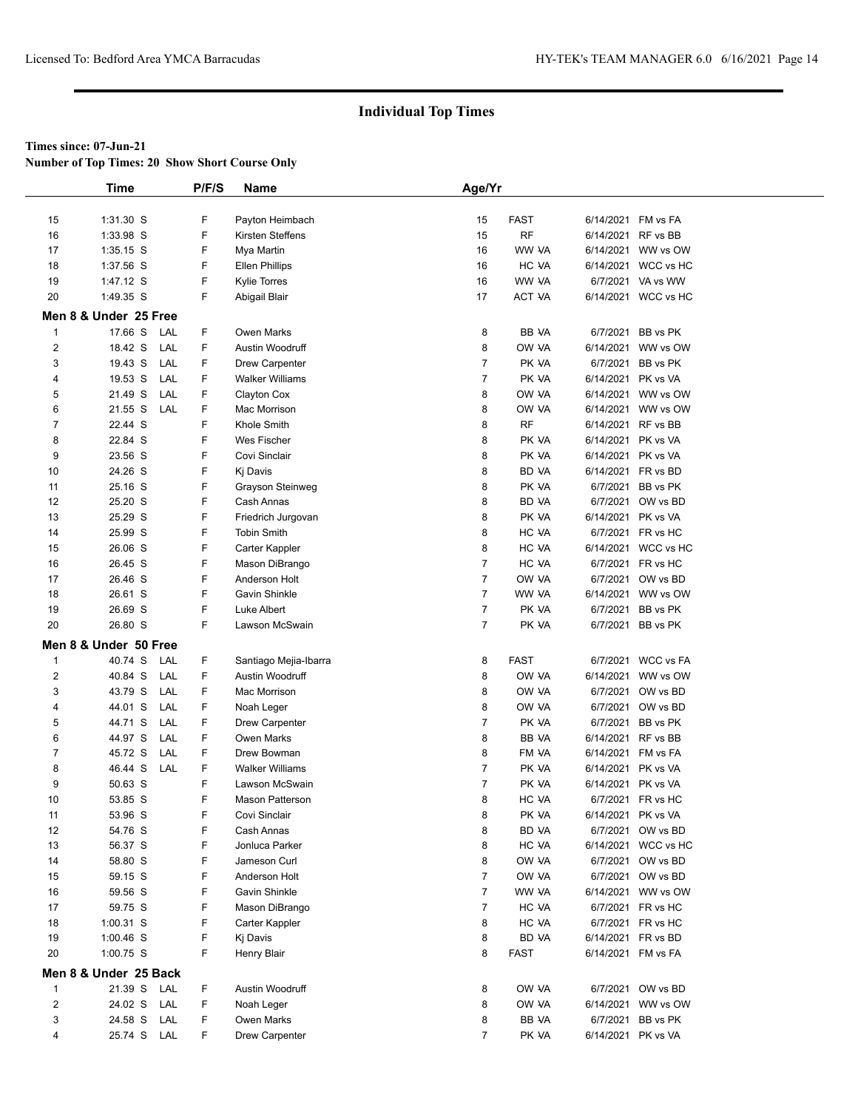**Number of Top Times: 20 Show Short Course Only**

|                | <b>Time</b>           |            | P/F/S  | Name                                | Age/Yr                           |                |                    |                                         |
|----------------|-----------------------|------------|--------|-------------------------------------|----------------------------------|----------------|--------------------|-----------------------------------------|
|                |                       |            |        |                                     |                                  |                |                    |                                         |
| 15             | 1:31.30 S             |            | F      | Payton Heimbach                     | 15                               | <b>FAST</b>    |                    | 6/14/2021 FM vs FA                      |
| 16             | 1:33.98 S             |            | F      | Kirsten Steffens                    | 15                               | <b>RF</b>      |                    | 6/14/2021 RF vs BB                      |
| 17             | $1:35.15$ S           |            | F      | Mya Martin                          | 16                               | WW VA          |                    | 6/14/2021 WW vs OW                      |
| 18             | 1:37.56 S             |            | F      | <b>Ellen Phillips</b>               | 16                               | HC VA          |                    | 6/14/2021 WCC vs HC                     |
| 19             | 1:47.12 S             |            | F      | <b>Kylie Torres</b>                 | 16                               | WW VA          |                    | 6/7/2021 VA vs WW                       |
| 20             | 1:49.35 S             |            | F      | Abigail Blair                       | 17                               | ACT VA         |                    | 6/14/2021 WCC vs HC                     |
|                | Men 8 & Under 25 Free |            |        |                                     |                                  |                |                    |                                         |
| 1              | 17.66 S               | LAL        | F      | <b>Owen Marks</b>                   | 8                                | BB VA          |                    | 6/7/2021 BB vs PK                       |
| 2              | 18.42 S               | LAL        | F      | Austin Woodruff                     | 8                                | OW VA          |                    | 6/14/2021 WW vs OW                      |
| 3              | 19.43 S               | LAL        | F      | <b>Drew Carpenter</b>               | $\overline{7}$                   | PK VA          |                    | 6/7/2021 BB vs PK                       |
| 4              | 19.53 S               | LAL        | F      | <b>Walker Williams</b>              | $\overline{7}$                   | PK VA          |                    | 6/14/2021 PK vs VA                      |
| 5              | 21.49 S               | LAL        | F      | Clayton Cox                         | 8                                | OW VA          |                    | 6/14/2021 WW vs OW                      |
| 6              | 21.55 S               | LAL        | F      | Mac Morrison                        | 8                                | OW VA          |                    | 6/14/2021 WW vs OW                      |
| $\overline{7}$ | 22.44 S               |            | F      | Khole Smith                         | 8                                | <b>RF</b>      |                    | 6/14/2021 RF vs BB                      |
| 8              | 22.84 S               |            | F      | Wes Fischer                         | 8                                | PK VA          |                    | 6/14/2021 PK vs VA                      |
| 9              | 23.56 S               |            | F      | Covi Sinclair                       | 8                                | PK VA          |                    | 6/14/2021 PK vs VA                      |
| 10             | 24.26 S               |            | F      | Kj Davis                            | 8                                | <b>BD VA</b>   |                    | 6/14/2021 FR vs BD                      |
| 11             | 25.16 S               |            | F      | Grayson Steinweg                    | 8                                | PK VA          |                    | 6/7/2021 BB vs PK                       |
| 12             | 25.20 S               |            | F      | Cash Annas                          | 8                                | BD VA          |                    | 6/7/2021 OW vs BD                       |
| 13             | 25.29 S               |            | F      | Friedrich Jurgovan                  | 8                                | PK VA          |                    | 6/14/2021 PK vs VA                      |
| 14             | 25.99 S               |            | F      | <b>Tobin Smith</b>                  | 8                                | HC VA          |                    | 6/7/2021 FR vs HC                       |
| 15             | 26.06 S               |            | F      | Carter Kappler                      | 8                                | HC VA          |                    | 6/14/2021 WCC vs HC                     |
| 16             | 26.45 S               |            | F      | Mason DiBrango                      | $\overline{7}$                   | HC VA          |                    | 6/7/2021 FR vs HC                       |
| 17             | 26.46 S               |            | F      | Anderson Holt                       | $\overline{7}$                   | OW VA          |                    | 6/7/2021 OW vs BD                       |
| 18             | 26.61 S               |            | F      | Gavin Shinkle                       | $\overline{7}$                   | WW VA          |                    | 6/14/2021 WW vs OW                      |
| 19             | 26.69 S               |            | F      | Luke Albert                         | $\overline{7}$                   | PK VA          |                    | 6/7/2021 BB vs PK                       |
| 20             | 26.80 S               |            | F      | Lawson McSwain                      | $\overline{7}$                   | PK VA          |                    | 6/7/2021 BB vs PK                       |
|                | Men 8 & Under 50 Free |            |        |                                     |                                  |                |                    |                                         |
|                |                       |            |        |                                     |                                  |                |                    |                                         |
| 1              | 40.74 S               | LAL        | F<br>F | Santiago Mejia-Ibarra               | 8                                | <b>FAST</b>    |                    | 6/7/2021 WCC vs FA                      |
| 2<br>3         | 40.84 S<br>43.79 S    | LAL<br>LAL | F      | Austin Woodruff                     | 8                                | OW VA<br>OW VA |                    | 6/14/2021 WW vs OW                      |
|                |                       |            |        | Mac Morrison                        | 8                                |                |                    | 6/7/2021 OW vs BD                       |
| 4              | 44.01 S<br>44.71 S    | LAL        | F<br>F | Noah Leger                          | 8<br>$\overline{7}$              | OW VA<br>PK VA |                    | 6/7/2021 OW vs BD                       |
| 5<br>6         | 44.97 S               | LAL<br>LAL | F      | Drew Carpenter<br><b>Owen Marks</b> | 8                                | <b>BB VA</b>   |                    | 6/7/2021 BB vs PK<br>6/14/2021 RF vs BB |
|                |                       |            |        |                                     |                                  |                |                    |                                         |
| 7              | 45.72 S<br>46.44 S    | LAL        | F<br>F | Drew Bowman                         | 8                                | FM VA          |                    | 6/14/2021 FM vs FA                      |
| 8              | 50.63 S               | LAL        | F      | <b>Walker Williams</b>              | $\overline{7}$<br>$\overline{7}$ | PK VA          |                    | 6/14/2021 PK vs VA                      |
| 9              |                       |            | F      | Lawson McSwain                      | 8                                | PK VA          |                    | 6/14/2021 PK vs VA                      |
| 10             | 53.85 S<br>53.96 S    |            | F      | <b>Mason Patterson</b>              |                                  | HC VA          |                    | 6/7/2021 FR vs HC                       |
| 11             |                       |            | F      | Covi Sinclair                       | 8<br>8                           | PK VA          | 6/14/2021 PK vs VA | 6/7/2021 OW vs BD                       |
| 12             | 54.76 S               |            |        | Cash Annas                          |                                  | BD VA          |                    |                                         |
| 13             | 56.37 S               |            | F      | Jonluca Parker                      | 8                                | HC VA          |                    | 6/14/2021 WCC vs HC                     |
| 14             | 58.80 S               |            | F      | Jameson Curl                        | 8                                | OW VA          |                    | 6/7/2021 OW vs BD                       |
| 15             | 59.15 S               |            | F      | Anderson Holt                       | $\overline{7}$                   | OW VA          |                    | 6/7/2021 OW vs BD                       |
| 16             | 59.56 S               |            | F      | Gavin Shinkle                       | $\overline{7}$                   | WW VA          |                    | 6/14/2021 WW vs OW                      |
| 17             | 59.75 S               |            | F      | Mason DiBrango                      | $\overline{7}$                   | HC VA          |                    | 6/7/2021 FR vs HC                       |
| 18             | 1:00.31 S             |            | F      | Carter Kappler                      | 8                                | HC VA          |                    | 6/7/2021 FR vs HC                       |
| 19             | $1:00.46$ S           |            | F      | Kj Davis                            | 8                                | BD VA          |                    | 6/14/2021 FR vs BD                      |
| 20             | $1:00.75$ S           |            | F      | Henry Blair                         | 8                                | FAST           |                    | 6/14/2021 FM vs FA                      |
|                | Men 8 & Under 25 Back |            |        |                                     |                                  |                |                    |                                         |
| 1              | 21.39 S LAL           |            | F      | Austin Woodruff                     | 8                                | OW VA          |                    | 6/7/2021 OW vs BD                       |
| 2              | 24.02 S               | LAL        | F      | Noah Leger                          | 8                                | OW VA          |                    | 6/14/2021 WW vs OW                      |
| 3              | 24.58 S               | LAL        | F      | Owen Marks                          | 8                                | BB VA          |                    | 6/7/2021 BB vs PK                       |
| 4              | 25.74 S LAL           |            | F.     | <b>Drew Carpenter</b>               | $\overline{7}$                   | PK VA          |                    | 6/14/2021 PK vs VA                      |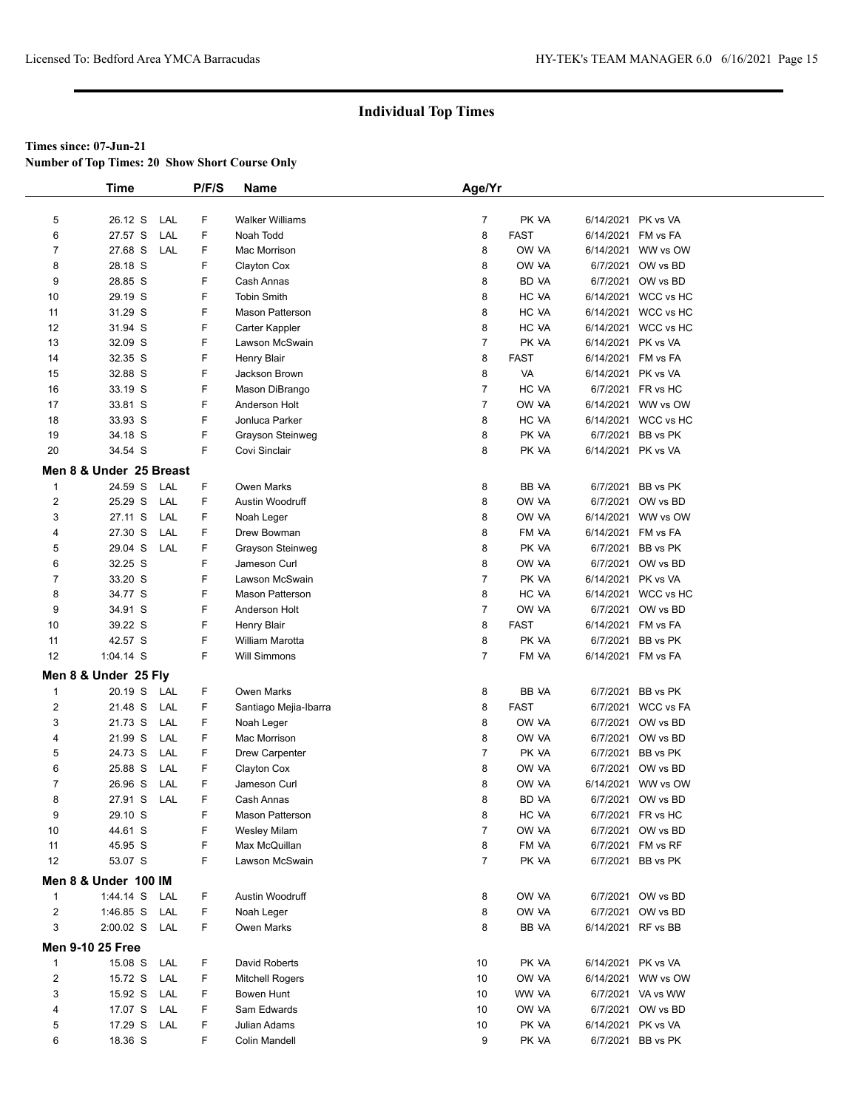**Number of Top Times: 20 Show Short Course Only**

|                         | <b>Time</b>             |     | P/F/S | <b>Name</b>            | Age/Yr         |              |                    |                     |
|-------------------------|-------------------------|-----|-------|------------------------|----------------|--------------|--------------------|---------------------|
|                         |                         |     |       |                        |                |              |                    |                     |
| 5                       | 26.12 S                 | LAL | F     | <b>Walker Williams</b> | 7              | PK VA        | 6/14/2021 PK vs VA |                     |
| 6                       | 27.57 S                 | LAL | F     | Noah Todd              | 8              | <b>FAST</b>  | 6/14/2021 FM vs FA |                     |
| 7                       | 27.68 S                 | LAL | F     | Mac Morrison           | 8              | OW VA        |                    | 6/14/2021 WW vs OW  |
| 8                       | 28.18 S                 |     | F     | Clayton Cox            | 8              | OW VA        |                    | 6/7/2021 OW vs BD   |
| 9                       | 28.85 S                 |     | F     | Cash Annas             | 8              | BD VA        |                    | 6/7/2021 OW vs BD   |
| 10                      | 29.19 S                 |     | F     | <b>Tobin Smith</b>     | 8              | HC VA        |                    | 6/14/2021 WCC vs HC |
| 11                      | 31.29 S                 |     | F     | <b>Mason Patterson</b> | 8              | HC VA        |                    | 6/14/2021 WCC vs HC |
| 12                      | 31.94 S                 |     | F     | Carter Kappler         | 8              | HC VA        |                    | 6/14/2021 WCC vs HC |
| 13                      | 32.09 S                 |     | F     | Lawson McSwain         | $\overline{7}$ | PK VA        | 6/14/2021 PK vs VA |                     |
| 14                      | 32.35 S                 |     | F     | Henry Blair            | 8              | <b>FAST</b>  | 6/14/2021 FM vs FA |                     |
| 15                      | 32.88 S                 |     | F     | Jackson Brown          | 8              | VA           | 6/14/2021 PK vs VA |                     |
| 16                      | 33.19 S                 |     | F     | Mason DiBrango         | $\overline{7}$ | HC VA        |                    | 6/7/2021 FR vs HC   |
| 17                      | 33.81 S                 |     | F     | Anderson Holt          | $\overline{7}$ | OW VA        |                    | 6/14/2021 WW vs OW  |
| 18                      | 33.93 S                 |     | F     | Jonluca Parker         | 8              | HC VA        |                    | 6/14/2021 WCC vs HC |
| 19                      | 34.18 S                 |     | F     | Grayson Steinweg       | 8              | PK VA        |                    | 6/7/2021 BB vs PK   |
| 20                      | 34.54 S                 |     | F     | Covi Sinclair          | 8              | PK VA        | 6/14/2021 PK vs VA |                     |
|                         |                         |     |       |                        |                |              |                    |                     |
|                         | Men 8 & Under 25 Breast |     |       |                        |                |              |                    |                     |
| $\mathbf{1}$            | 24.59 S                 | LAL | F     | Owen Marks             | 8              | BB VA        |                    | 6/7/2021 BB vs PK   |
| 2                       | 25.29 S                 | LAL | F     | Austin Woodruff        | 8              | OW VA        |                    | 6/7/2021 OW vs BD   |
| 3                       | 27.11 S                 | LAL | F     | Noah Leger             | 8              | OW VA        |                    | 6/14/2021 WW vs OW  |
| 4                       | 27.30 S                 | LAL | F     | Drew Bowman            | 8              | FM VA        | 6/14/2021 FM vs FA |                     |
| 5                       | 29.04 S                 | LAL | F     | Grayson Steinweg       | 8              | PK VA        |                    | 6/7/2021 BB vs PK   |
| 6                       | 32.25 S                 |     | F     | Jameson Curl           | 8              | OW VA        |                    | 6/7/2021 OW vs BD   |
| 7                       | 33.20 S                 |     | F     | Lawson McSwain         | 7              | PK VA        | 6/14/2021 PK vs VA |                     |
| 8                       | 34.77 S                 |     | F     | <b>Mason Patterson</b> | 8              | HC VA        |                    | 6/14/2021 WCC vs HC |
| 9                       | 34.91 S                 |     | F     | Anderson Holt          | $\overline{7}$ | OW VA        |                    | 6/7/2021 OW vs BD   |
| 10                      | 39.22 S                 |     | F     | <b>Henry Blair</b>     | 8              | <b>FAST</b>  | 6/14/2021 FM vs FA |                     |
| 11                      | 42.57 S                 |     | F     | William Marotta        | 8              | PK VA        |                    | 6/7/2021 BB vs PK   |
| 12                      | $1:04.14$ S             |     | F     | <b>Will Simmons</b>    | $\overline{7}$ | FM VA        | 6/14/2021 FM vs FA |                     |
|                         | Men 8 & Under 25 Fly    |     |       |                        |                |              |                    |                     |
| $\mathbf{1}$            | 20.19 S                 | LAL | F     | Owen Marks             | 8              | BB VA        |                    | 6/7/2021 BB vs PK   |
| 2                       | 21.48 S                 | LAL | F     | Santiago Mejia-Ibarra  | 8              | <b>FAST</b>  |                    | 6/7/2021 WCC vs FA  |
| 3                       | 21.73 S                 | LAL | F     | Noah Leger             | 8              | OW VA        |                    | 6/7/2021 OW vs BD   |
| 4                       | 21.99 S                 | LAL | F     | Mac Morrison           | 8              | OW VA        |                    | 6/7/2021 OW vs BD   |
| 5                       | 24.73 S                 | LAL | F     | <b>Drew Carpenter</b>  | 7              | PK VA        |                    | 6/7/2021 BB vs PK   |
| 6                       | 25.88 S                 | LAL | F     | Clayton Cox            | 8              | OW VA        |                    | 6/7/2021 OW vs BD   |
| 7                       | 26.96 S                 | LAL | F     | Jameson Curl           | 8              | OW VA        |                    | 6/14/2021 WW vs OW  |
| 8                       | 27.91 S                 | LAL | F     | Cash Annas             | 8              | <b>BD VA</b> |                    | 6/7/2021 OW vs BD   |
| 9                       | 29.10 S                 |     | F     | <b>Mason Patterson</b> | 8              | HC VA        |                    | 6/7/2021 FR vs HC   |
| 10                      | 44.61 S                 |     | F     | <b>Wesley Milam</b>    | $\overline{7}$ | OW VA        |                    | 6/7/2021 OW vs BD   |
| 11                      | 45.95 S                 |     | F     | Max McQuillan          | 8              | FM VA        |                    | 6/7/2021 FM vs RF   |
| 12                      | 53.07 S                 |     | F     | Lawson McSwain         | 7              | PK VA        |                    | 6/7/2021 BB vs PK   |
|                         |                         |     |       |                        |                |              |                    |                     |
|                         | Men 8 & Under 100 IM    |     |       |                        |                |              |                    |                     |
| $\mathbf{1}$            | 1:44.14 S               | LAL | F     | Austin Woodruff        | 8              | OW VA        |                    | 6/7/2021 OW vs BD   |
| $\overline{2}$          | $1:46.85$ S             | LAL | F     | Noah Leger             | 8              | OW VA        |                    | 6/7/2021 OW vs BD   |
| 3                       | 2:00.02 S LAL           |     | F     | Owen Marks             | 8              | BB VA        | 6/14/2021 RF vs BB |                     |
|                         | <b>Men 9-10 25 Free</b> |     |       |                        |                |              |                    |                     |
| 1                       | 15.08 S                 | LAL | F     | David Roberts          | 10             | PK VA        | 6/14/2021 PK vs VA |                     |
| $\overline{\mathbf{c}}$ | 15.72 S                 | LAL | F     | <b>Mitchell Rogers</b> | 10             | OW VA        |                    | 6/14/2021 WW vs OW  |
| 3                       | 15.92 S                 | LAL | F     | Bowen Hunt             | 10             | WW VA        |                    | 6/7/2021 VA vs WW   |
| 4                       | 17.07 S                 | LAL | F     | Sam Edwards            | 10             | OW VA        |                    | 6/7/2021 OW vs BD   |
| 5                       | 17.29 S LAL             |     | F     | Julian Adams           | 10             | PK VA        | 6/14/2021 PK vs VA |                     |
| 6                       | 18.36 S                 |     | F     | Colin Mandell          | 9              | PK VA        |                    | 6/7/2021 BB vs PK   |
|                         |                         |     |       |                        |                |              |                    |                     |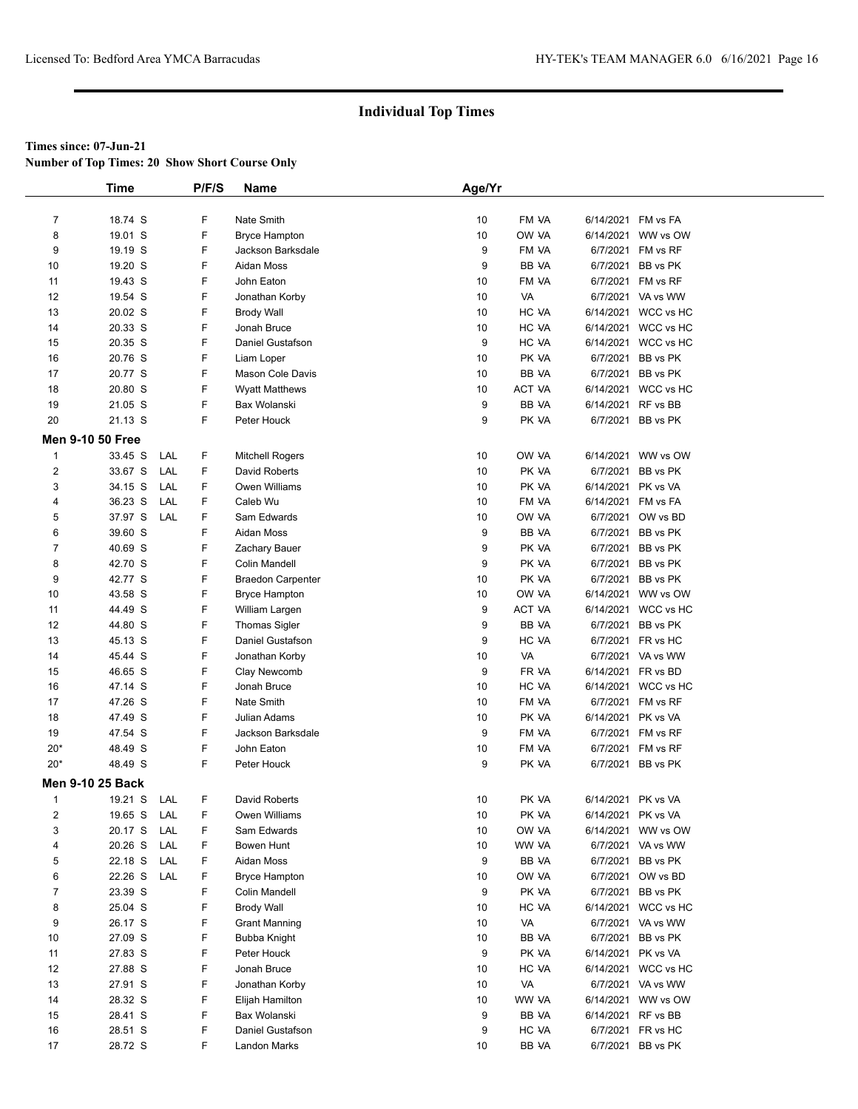**Number of Top Times: 20 Show Short Course Only**

|                         | <b>Time</b>             |     | P/F/S | Name                     | Age/Yr |        |                    |                     |
|-------------------------|-------------------------|-----|-------|--------------------------|--------|--------|--------------------|---------------------|
|                         |                         |     |       |                          |        |        |                    |                     |
| $\overline{7}$          | 18.74 S                 |     | F     | Nate Smith               | 10     | FM VA  | 6/14/2021 FM vs FA |                     |
| 8                       | 19.01 S                 |     | F     | <b>Bryce Hampton</b>     | 10     | OW VA  | 6/14/2021          | WW vs OW            |
| 9                       | 19.19 S                 |     | F     | Jackson Barksdale        | 9      | FM VA  |                    | 6/7/2021 FM vs RF   |
| 10                      | 19.20 S                 |     | F     | Aidan Moss               | 9      | BB VA  | 6/7/2021           | BB vs PK            |
| 11                      | 19.43 S                 |     | F     | John Eaton               | 10     | FM VA  |                    | 6/7/2021 FM vs RF   |
| 12                      | 19.54 S                 |     | F     | Jonathan Korby           | 10     | VA     |                    | 6/7/2021 VA vs WW   |
| 13                      | 20.02 S                 |     | F     | <b>Brody Wall</b>        | 10     | HC VA  | 6/14/2021          | WCC vs HC           |
| 14                      | 20.33 S                 |     | F     | Jonah Bruce              | 10     | HC VA  | 6/14/2021          | WCC vs HC           |
| 15                      | 20.35 S                 |     | F     | Daniel Gustafson         | 9      | HC VA  |                    | 6/14/2021 WCC vs HC |
| 16                      | 20.76 S                 |     | F     | Liam Loper               | 10     | PK VA  | 6/7/2021           | BB vs PK            |
| 17                      | 20.77 S                 |     | F     | Mason Cole Davis         | 10     | BB VA  | 6/7/2021           | BB vs PK            |
| 18                      | 20.80 S                 |     | F     | <b>Wyatt Matthews</b>    | 10     | ACT VA |                    | 6/14/2021 WCC vs HC |
| 19                      | 21.05 S                 |     | F     | Bax Wolanski             | 9      | BB VA  | 6/14/2021          | RF vs BB            |
| 20                      | 21.13 S                 |     | F     | Peter Houck              | 9      | PK VA  |                    | 6/7/2021 BB vs PK   |
|                         |                         |     |       |                          |        |        |                    |                     |
| <b>Men 9-10 50 Free</b> |                         |     |       |                          |        |        |                    |                     |
| $\mathbf{1}$            | 33.45 S                 | LAL | F     | <b>Mitchell Rogers</b>   | 10     | OW VA  | 6/14/2021          | WW vs OW            |
| $\overline{2}$          | 33.67 S                 | LAL | F     | David Roberts            | 10     | PK VA  | 6/7/2021           | BB vs PK            |
| 3                       | 34.15 S                 | LAL | F     | Owen Williams            | 10     | PK VA  | 6/14/2021 PK vs VA |                     |
| 4                       | 36.23 S                 | LAL | F     | Caleb Wu                 | 10     | FM VA  | 6/14/2021 FM vs FA |                     |
| 5                       | 37.97 S                 | LAL | F     | Sam Edwards              | 10     | OW VA  |                    | 6/7/2021 OW vs BD   |
| 6                       | 39.60 S                 |     | F     | Aidan Moss               | 9      | BB VA  | 6/7/2021           | BB vs PK            |
| $\overline{7}$          | 40.69 S                 |     | F     | Zachary Bauer            | 9      | PK VA  | 6/7/2021           | BB vs PK            |
| 8                       | 42.70 S                 |     | F     | Colin Mandell            | 9      | PK VA  | 6/7/2021           | BB vs PK            |
| 9                       | 42.77 S                 |     | F     | <b>Braedon Carpenter</b> | 10     | PK VA  |                    | 6/7/2021 BB vs PK   |
| 10                      | 43.58 S                 |     | F     | <b>Bryce Hampton</b>     | 10     | OW VA  |                    | 6/14/2021 WW vs OW  |
| 11                      | 44.49 S                 |     | F     | William Largen           | 9      | ACT VA |                    | 6/14/2021 WCC vs HC |
| 12                      | 44.80 S                 |     | F     | <b>Thomas Sigler</b>     | 9      | BB VA  | 6/7/2021           | BB vs PK            |
| 13                      | 45.13 S                 |     | F     | Daniel Gustafson         | 9      | HC VA  |                    | 6/7/2021 FR vs HC   |
| 14                      | 45.44 S                 |     | F     | Jonathan Korby           | 10     | VA     |                    | 6/7/2021 VA vs WW   |
| 15                      | 46.65 S                 |     | F     | Clay Newcomb             | 9      | FR VA  | 6/14/2021 FR vs BD |                     |
| 16                      | 47.14 S                 |     | F     | Jonah Bruce              | 10     | HC VA  |                    | 6/14/2021 WCC vs HC |
| 17                      | 47.26 S                 |     | F     | Nate Smith               | 10     | FM VA  |                    | 6/7/2021 FM vs RF   |
| 18                      | 47.49 S                 |     | F     | Julian Adams             | 10     | PK VA  | 6/14/2021 PK vs VA |                     |
| 19                      | 47.54 S                 |     | F     | Jackson Barksdale        | 9      | FM VA  |                    | 6/7/2021 FM vs RF   |
| $20*$                   | 48.49 S                 |     | F     | John Eaton               | 10     | FM VA  |                    | 6/7/2021 FM vs RF   |
| $20*$                   | 48.49 S                 |     | F     | Peter Houck              | 9      | PK VA  |                    | 6/7/2021 BB vs PK   |
|                         | <b>Men 9-10 25 Back</b> |     |       |                          |        |        |                    |                     |
| $\mathbf{1}$            | 19.21 S                 | LAL | F     | David Roberts            | 10     | PK VA  | 6/14/2021 PK vs VA |                     |
| 2                       | 19.65 S                 | LAL | F     | Owen Williams            | 10     | PK VA  | 6/14/2021 PK vs VA |                     |
| 3                       | 20.17 S                 | LAL | F     | Sam Edwards              | 10     | OW VA  |                    | 6/14/2021 WW vs OW  |
| 4                       | 20.26 S                 | LAL | F     | Bowen Hunt               | 10     | WW VA  |                    | 6/7/2021 VA vs WW   |
| 5                       | 22.18 S                 | LAL | F     | Aidan Moss               | 9      | BB VA  |                    | 6/7/2021 BB vs PK   |
| 6                       | 22.26 S                 | LAL | F     | <b>Bryce Hampton</b>     | 10     | OW VA  |                    | 6/7/2021 OW vs BD   |
| $\overline{7}$          | 23.39 S                 |     | F     | Colin Mandell            | 9      | PK VA  | 6/7/2021           | BB vs PK            |
| 8                       | 25.04 S                 |     | F     | <b>Brody Wall</b>        | 10     | HC VA  |                    | 6/14/2021 WCC vs HC |
| 9                       | 26.17 S                 |     | F     | <b>Grant Manning</b>     | 10     | VA     |                    | 6/7/2021 VA vs WW   |
| 10                      | 27.09 S                 |     | F     | Bubba Knight             | 10     | BB VA  |                    | 6/7/2021 BB vs PK   |
| 11                      | 27.83 S                 |     | F     | Peter Houck              | 9      | PK VA  | 6/14/2021 PK vs VA |                     |
| 12                      | 27.88 S                 |     | F     | Jonah Bruce              | 10     | HC VA  |                    | 6/14/2021 WCC vs HC |
| 13                      | 27.91 S                 |     | F     | Jonathan Korby           | 10     | VA     |                    | 6/7/2021 VA vs WW   |
| 14                      | 28.32 S                 |     | F     | Elijah Hamilton          | 10     | WW VA  |                    | 6/14/2021 WW vs OW  |
| 15                      | 28.41 S                 |     | F     | Bax Wolanski             | 9      | BB VA  | 6/14/2021 RF vs BB |                     |
| 16                      | 28.51 S                 |     | F     | Daniel Gustafson         | 9      | HC VA  |                    | 6/7/2021 FR vs HC   |
| 17                      | 28.72 S                 |     | F     | Landon Marks             | 10     | BB VA  |                    | 6/7/2021 BB vs PK   |
|                         |                         |     |       |                          |        |        |                    |                     |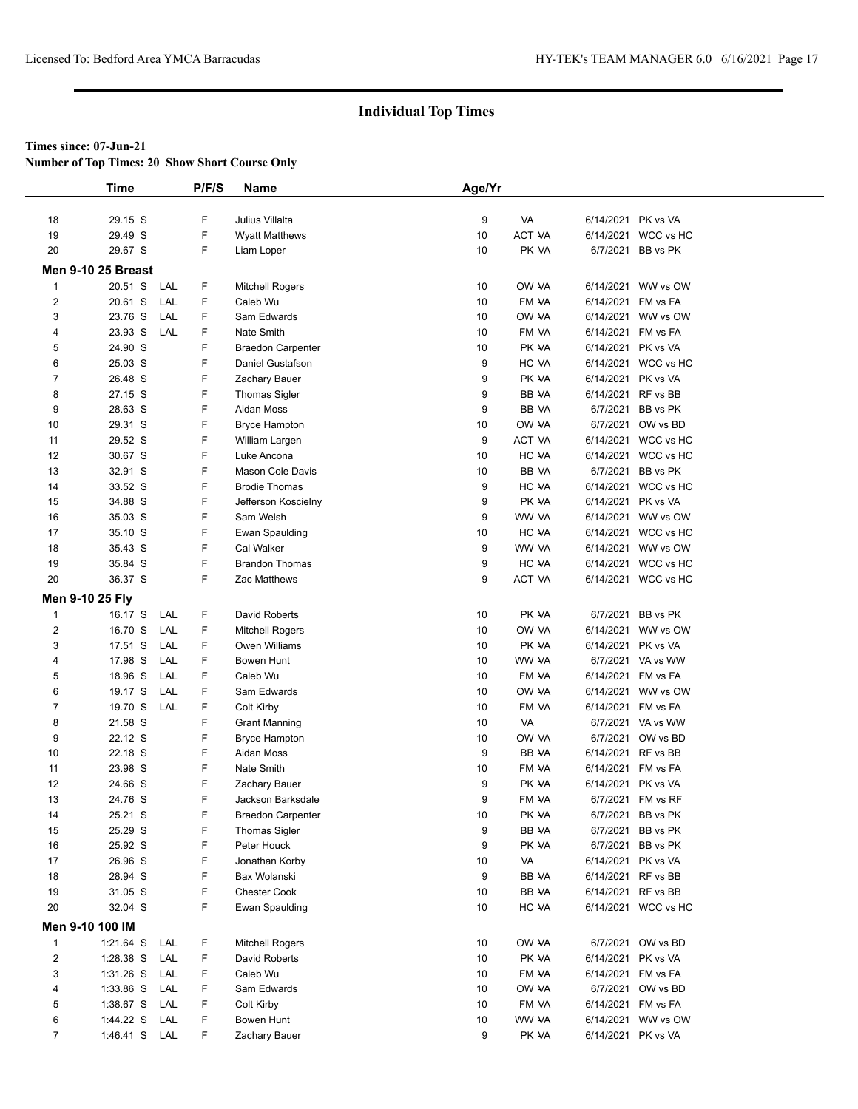**Number of Top Times: 20 Show Short Course Only**

|                         | <b>Time</b>               |     | P/F/S | <b>Name</b>              | Age/Yr |               |                    |                     |
|-------------------------|---------------------------|-----|-------|--------------------------|--------|---------------|--------------------|---------------------|
|                         |                           |     |       |                          |        |               |                    |                     |
| 18                      | 29.15 S                   |     | F     | Julius Villalta          | 9      | VA            | 6/14/2021          | PK vs VA            |
| 19                      | 29.49 S                   |     | F     | <b>Wyatt Matthews</b>    | 10     | <b>ACT VA</b> | 6/14/2021          | WCC vs HC           |
| 20                      | 29.67 S                   |     | F     | Liam Loper               | 10     | PK VA         |                    | 6/7/2021 BB vs PK   |
|                         | <b>Men 9-10 25 Breast</b> |     |       |                          |        |               |                    |                     |
| $\mathbf{1}$            | 20.51 S                   | LAL | F.    | Mitchell Rogers          | 10     | OW VA         | 6/14/2021          | WW vs OW            |
| $\overline{2}$          | 20.61 S                   | LAL | F     | Caleb Wu                 | 10     | FM VA         | 6/14/2021          | FM vs FA            |
| 3                       | 23.76 S                   | LAL | F     | Sam Edwards              | 10     | OW VA         | 6/14/2021          | WW vs OW            |
| 4                       | 23.93 S                   | LAL | F     | Nate Smith               | 10     | FM VA         | 6/14/2021          | FM vs FA            |
| 5                       | 24.90 S                   |     | F     | <b>Braedon Carpenter</b> | 10     | PK VA         | 6/14/2021          | PK vs VA            |
| 6                       | 25.03 S                   |     | F     | Daniel Gustafson         | 9      | HC VA         |                    | 6/14/2021 WCC vs HC |
| $\boldsymbol{7}$        | 26.48 S                   |     | F     | Zachary Bauer            | 9      | PK VA         | 6/14/2021          | PK vs VA            |
| 8                       | 27.15 S                   |     | F     | Thomas Sigler            | 9      | BB VA         | 6/14/2021          | RF vs BB            |
| 9                       | 28.63 S                   |     | F     | Aidan Moss               | 9      | BB VA         |                    | 6/7/2021 BB vs PK   |
| 10                      | 29.31 S                   |     | F     | Bryce Hampton            | 10     | OW VA         |                    | 6/7/2021 OW vs BD   |
| 11                      | 29.52 S                   |     | F     | William Largen           | 9      | ACT VA        |                    | 6/14/2021 WCC vs HC |
| 12                      | 30.67 S                   |     | F     | Luke Ancona              | 10     | HC VA         |                    | 6/14/2021 WCC vs HC |
| 13                      | 32.91 S                   |     | F     | Mason Cole Davis         | 10     | BB VA         | 6/7/2021           | BB vs PK            |
| 14                      | 33.52 S                   |     | F     | <b>Brodie Thomas</b>     | 9      | HC VA         | 6/14/2021          | WCC vs HC           |
| 15                      | 34.88 S                   |     | F     | Jefferson Koscielny      | 9      | PK VA         | 6/14/2021 PK vs VA |                     |
| 16                      | 35.03 S                   |     | F     | Sam Welsh                | 9      | WW VA         | 6/14/2021          | WW vs OW            |
| 17                      | 35.10 S                   |     | F     | Ewan Spaulding           | 10     | HC VA         |                    | 6/14/2021 WCC vs HC |
| 18                      | 35.43 S                   |     | F     | Cal Walker               | 9      | WW VA         |                    | 6/14/2021 WW vs OW  |
| 19                      | 35.84 S                   |     | F     | <b>Brandon Thomas</b>    | 9      | HC VA         | 6/14/2021          | WCC vs HC           |
| 20                      | 36.37 S                   |     | F     | Zac Matthews             | 9      | <b>ACT VA</b> |                    | 6/14/2021 WCC vs HC |
|                         | Men 9-10 25 Fly           |     |       |                          |        |               |                    |                     |
| $\mathbf{1}$            | 16.17 S                   | LAL | F     | David Roberts            | 10     | PK VA         | 6/7/2021           | BB vs PK            |
| $\overline{\mathbf{c}}$ | 16.70 S                   | LAL | F.    | <b>Mitchell Rogers</b>   | 10     | OW VA         | 6/14/2021          | WW vs OW            |
| 3                       | 17.51 S                   | LAL | F     | Owen Williams            | 10     | PK VA         | 6/14/2021          | PK vs VA            |
| 4                       | 17.98 S                   | LAL | F     | Bowen Hunt               | 10     | WW VA         |                    | 6/7/2021 VA vs WW   |
| 5                       | 18.96 S                   | LAL | F     | Caleb Wu                 | 10     | FM VA         | 6/14/2021          | FM vs FA            |
| 6                       | 19.17 S                   | LAL | F     | Sam Edwards              | 10     | OW VA         |                    | 6/14/2021 WW vs OW  |
| 7                       | 19.70 S                   | LAL | F     | Colt Kirby               | 10     | FM VA         | 6/14/2021 FM vs FA |                     |
| 8                       | 21.58 S                   |     | F     | <b>Grant Manning</b>     | 10     | VA            |                    | 6/7/2021 VA vs WW   |
| 9                       | 22.12 S                   |     | F     | <b>Bryce Hampton</b>     | 10     | OW VA         |                    | 6/7/2021 OW vs BD   |
| 10                      | 22.18 S                   |     | F     | Aidan Moss               | 9      | BB VA         |                    | 6/14/2021 RF vs BB  |
| 11                      | 23.98 S                   |     | F     | Nate Smith               | 10     | FM VA         | 6/14/2021          | FM vs FA            |
| 12                      | 24.66 S                   |     | F     | Zachary Bauer            | 9      | PK VA         | 6/14/2021          | PK vs VA            |
| 13                      | 24.76 S                   |     | F     | Jackson Barksdale        | 9      | FM VA         |                    | 6/7/2021 FM vs RF   |
| 14                      | 25.21 S                   |     | F     | <b>Braedon Carpenter</b> | 10     | PK VA         | 6/7/2021           | BB vs PK            |
| 15                      | 25.29 S                   |     | F     | Thomas Sigler            | 9      | BB VA         | 6/7/2021           | BB vs PK            |
| 16                      | 25.92 S                   |     | F     | Peter Houck              | 9      | PK VA         |                    | 6/7/2021 BB vs PK   |
| 17                      | 26.96 S                   |     | F     | Jonathan Korby           | 10     | VA            |                    | 6/14/2021 PK vs VA  |
| 18                      | 28.94 S                   |     | F     | Bax Wolanski             | 9      | BB VA         | 6/14/2021 RF vs BB |                     |
| 19                      | 31.05 S                   |     | F     | <b>Chester Cook</b>      | 10     | BB VA         | 6/14/2021 RF vs BB |                     |
| 20                      | 32.04 S                   |     | F     | Ewan Spaulding           | 10     | HC VA         |                    | 6/14/2021 WCC vs HC |
|                         | Men 9-10 100 IM           |     |       |                          |        |               |                    |                     |
| $\mathbf{1}$            | 1:21.64 S                 | LAL | F     | Mitchell Rogers          | 10     | OW VA         |                    | 6/7/2021 OW vs BD   |
| 2                       | 1:28.38 S                 | LAL | F     | David Roberts            | 10     | PK VA         | 6/14/2021          | PK vs VA            |
| 3                       | $1:31.26$ S               | LAL | F     | Caleb Wu                 | 10     | FM VA         | 6/14/2021          | FM vs FA            |
| 4                       | 1:33.86 S                 | LAL | F     | Sam Edwards              | 10     | OW VA         |                    | 6/7/2021 OW vs BD   |
| 5                       | 1:38.67 S                 | LAL | F     | Colt Kirby               | 10     | FM VA         |                    | 6/14/2021 FM vs FA  |
| 6                       | 1:44.22 S                 | LAL | F     | Bowen Hunt               | 10     | WW VA         | 6/14/2021          | WW vs OW            |
| $\overline{7}$          | 1:46.41 S LAL             |     | F.    | Zachary Bauer            | 9      | PK VA         | 6/14/2021 PK vs VA |                     |
|                         |                           |     |       |                          |        |               |                    |                     |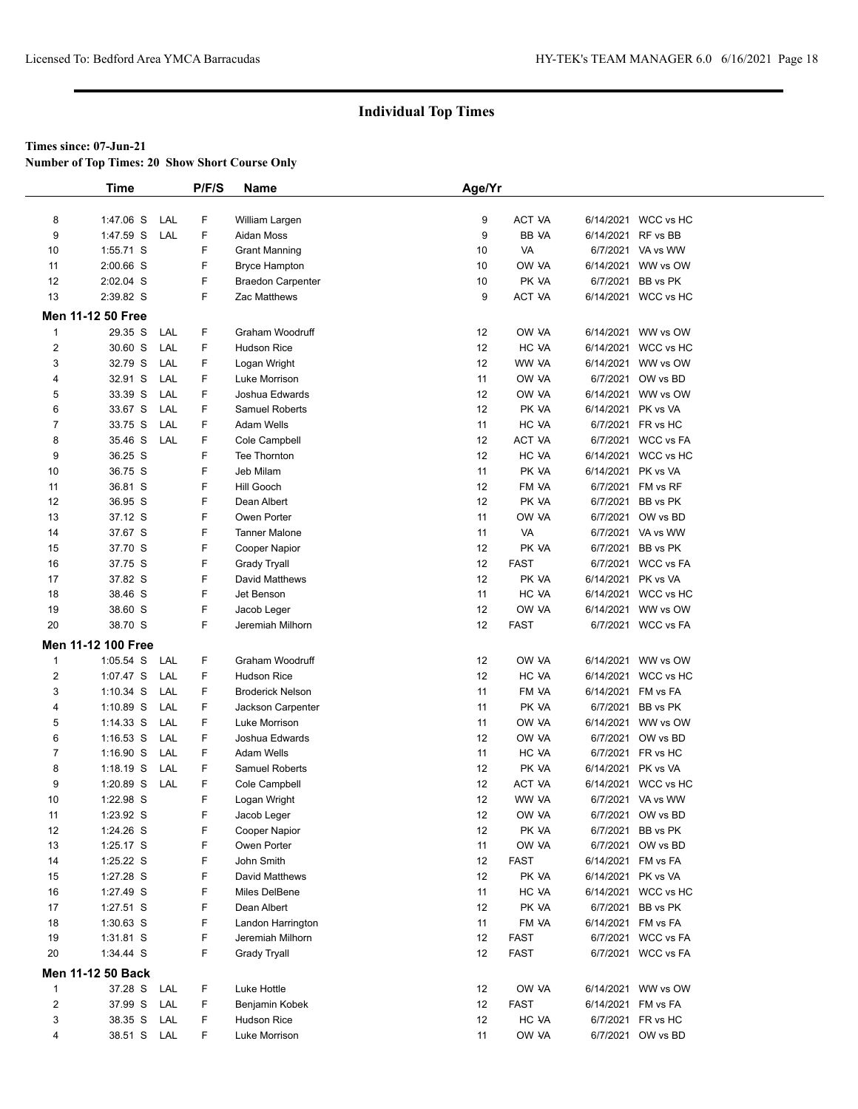**Number of Top Times: 20 Show Short Course Only**

|                | <b>Time</b>              |     | P/F/S | Name                     | Age/Yr            |             |                    |                     |  |
|----------------|--------------------------|-----|-------|--------------------------|-------------------|-------------|--------------------|---------------------|--|
|                |                          |     |       |                          |                   |             |                    |                     |  |
| 8              | 1:47.06 S                | LAL | F     | William Largen           | 9                 | ACT VA      |                    | 6/14/2021 WCC vs HC |  |
| 9              | 1:47.59 S                | LAL | F     | Aidan Moss               | 9                 | BB VA       | 6/14/2021          | RF vs BB            |  |
| 10             | 1:55.71 S                |     | F     | <b>Grant Manning</b>     | 10                | VA          |                    | 6/7/2021 VA vs WW   |  |
| 11             | $2:00.66$ S              |     | F     | <b>Bryce Hampton</b>     | 10                | OW VA       |                    | 6/14/2021 WW vs OW  |  |
| 12             | 2:02.04 S                |     | F     | <b>Braedon Carpenter</b> | 10                | PK VA       | 6/7/2021           | BB vs PK            |  |
| 13             | 2:39.82 S                |     | F     | Zac Matthews             | 9                 | ACT VA      |                    | 6/14/2021 WCC vs HC |  |
|                | <b>Men 11-12 50 Free</b> |     |       |                          |                   |             |                    |                     |  |
| 1              | 29.35 S                  | LAL | F     | Graham Woodruff          | 12                | OW VA       |                    | 6/14/2021 WW vs OW  |  |
| $\overline{2}$ | 30.60 S                  | LAL | F     | <b>Hudson Rice</b>       | 12                | HC VA       |                    | 6/14/2021 WCC vs HC |  |
| 3              | 32.79 S                  | LAL | F     | Logan Wright             | 12                | WW VA       |                    | 6/14/2021 WW vs OW  |  |
| 4              | 32.91 S                  | LAL | F     | Luke Morrison            | 11                | OW VA       |                    | 6/7/2021 OW vs BD   |  |
| 5              | 33.39 S                  | LAL | F     | Joshua Edwards           | 12                | OW VA       |                    | 6/14/2021 WW vs OW  |  |
| 6              | 33.67 S                  | LAL | F     | <b>Samuel Roberts</b>    | 12                | PK VA       | 6/14/2021 PK vs VA |                     |  |
| $\overline{7}$ | 33.75 S                  | LAL | F     | Adam Wells               | 11                | HC VA       |                    | 6/7/2021 FR vs HC   |  |
| 8              | 35.46 S                  | LAL | F     | Cole Campbell            | 12                | ACT VA      |                    | 6/7/2021 WCC vs FA  |  |
| 9              | 36.25 S                  |     | F     | Tee Thornton             | 12                | HC VA       |                    | 6/14/2021 WCC vs HC |  |
| 10             | 36.75 S                  |     | F     | Jeb Milam                | 11                | PK VA       | 6/14/2021 PK vs VA |                     |  |
| 11             | 36.81 S                  |     | F     | Hill Gooch               | 12                | FM VA       |                    | 6/7/2021 FM vs RF   |  |
| 12             | 36.95 S                  |     | F     | Dean Albert              | 12                | PK VA       | 6/7/2021           | BB vs PK            |  |
| 13             | 37.12 S                  |     | F     | Owen Porter              | 11                | OW VA       |                    | 6/7/2021 OW vs BD   |  |
| 14             | 37.67 S                  |     | F     | <b>Tanner Malone</b>     | 11                | VA          |                    | 6/7/2021 VA vs WW   |  |
| 15             | 37.70 S                  |     | F     | <b>Cooper Napior</b>     | 12                | PK VA       | 6/7/2021           | BB vs PK            |  |
| 16             | 37.75 S                  |     | F     | <b>Grady Tryall</b>      | 12                | <b>FAST</b> |                    | 6/7/2021 WCC vs FA  |  |
| 17             | 37.82 S                  |     | F     | David Matthews           | 12                | PK VA       | 6/14/2021 PK vs VA |                     |  |
| 18             | 38.46 S                  |     | F     | Jet Benson               | 11                | HC VA       |                    | 6/14/2021 WCC vs HC |  |
| 19             | 38.60 S                  |     | F     | Jacob Leger              | 12                | OW VA       |                    | 6/14/2021 WW vs OW  |  |
| 20             | 38.70 S                  |     | F     | Jeremiah Milhorn         | 12                | <b>FAST</b> |                    | 6/7/2021 WCC vs FA  |  |
|                |                          |     |       |                          |                   |             |                    |                     |  |
|                | Men 11-12 100 Free       |     |       |                          |                   |             |                    |                     |  |
| 1              | 1:05.54 S                | LAL | F     | Graham Woodruff          | 12                | OW VA       |                    | 6/14/2021 WW vs OW  |  |
| 2              | 1:07.47 S                | LAL | F     | <b>Hudson Rice</b>       | 12                | HC VA       |                    | 6/14/2021 WCC vs HC |  |
| 3              | $1:10.34$ S              | LAL | F     | <b>Broderick Nelson</b>  | 11                | FM VA       |                    | 6/14/2021 FM vs FA  |  |
| 4              | $1:10.89$ S              | LAL | F     | Jackson Carpenter        | 11                | PK VA       | 6/7/2021           | BB vs PK            |  |
| 5              | $1:14.33$ S              | LAL | F     | Luke Morrison            | 11                | OW VA       |                    | 6/14/2021 WW vs OW  |  |
| 6              | $1:16.53$ S              | LAL | F     | Joshua Edwards           | $12 \overline{ }$ | OW VA       |                    | 6/7/2021 OW vs BD   |  |
| $\overline{7}$ | $1:16.90$ S              | LAL | F     | Adam Wells               | 11                | HC VA       |                    | 6/7/2021 FR vs HC   |  |
| 8              | 1:18.19 S                | LAL | F     | <b>Samuel Roberts</b>    | 12                | PK VA       | 6/14/2021 PK vs VA |                     |  |
| 9              | 1:20.89 S                | LAL | F     | Cole Campbell            | 12                | ACT VA      |                    | 6/14/2021 WCC vs HC |  |
| 10             | 1:22.98 S                |     | F     | Logan Wright             | 12                | WW VA       |                    | 6/7/2021 VA vs WW   |  |
| 11             | 1:23.92 S                |     | F     | Jacob Leger              | 12                | OW VA       |                    | 6/7/2021 OW vs BD   |  |
| 12             | 1:24.26 S                |     | F     | Cooper Napior            | 12                | PK VA       | 6/7/2021           | BB vs PK            |  |
| 13             | 1:25.17 S                |     | F     | Owen Porter              | 11                | OW VA       |                    | 6/7/2021 OW vs BD   |  |
| 14             | 1:25.22 S                |     | F     | John Smith               | 12                | <b>FAST</b> |                    | 6/14/2021 FM vs FA  |  |
| 15             | 1:27.28 S                |     | F     | David Matthews           | 12                | PK VA       | 6/14/2021 PK vs VA |                     |  |
| 16             | 1:27.49 S                |     | F     | Miles DelBene            | 11                | HC VA       |                    | 6/14/2021 WCC vs HC |  |
| 17             | 1:27.51 S                |     | F     | Dean Albert              | 12                | PK VA       |                    | 6/7/2021 BB vs PK   |  |
| 18             | 1:30.63 S                |     | F     | Landon Harrington        | 11                | FM VA       |                    | 6/14/2021 FM vs FA  |  |
| 19             | 1:31.81 S                |     | F     | Jeremiah Milhorn         | 12                | <b>FAST</b> |                    | 6/7/2021 WCC vs FA  |  |
| 20             | 1:34.44 S                |     | F     | <b>Grady Tryall</b>      | 12                | <b>FAST</b> |                    | 6/7/2021 WCC vs FA  |  |
|                | Men 11-12 50 Back        |     |       |                          |                   |             |                    |                     |  |
| 1              | 37.28 S                  | LAL | F     | Luke Hottle              | 12                | OW VA       |                    | 6/14/2021 WW vs OW  |  |
| 2              | 37.99 S                  | LAL | F     | Benjamin Kobek           | 12                | FAST        |                    | 6/14/2021 FM vs FA  |  |
| 3              | 38.35 S                  | LAL | F     | Hudson Rice              | 12                | HC VA       |                    | 6/7/2021 FR vs HC   |  |
| 4              | 38.51 S LAL              |     | F     | Luke Morrison            | 11                | OW VA       |                    | 6/7/2021 OW vs BD   |  |
|                |                          |     |       |                          |                   |             |                    |                     |  |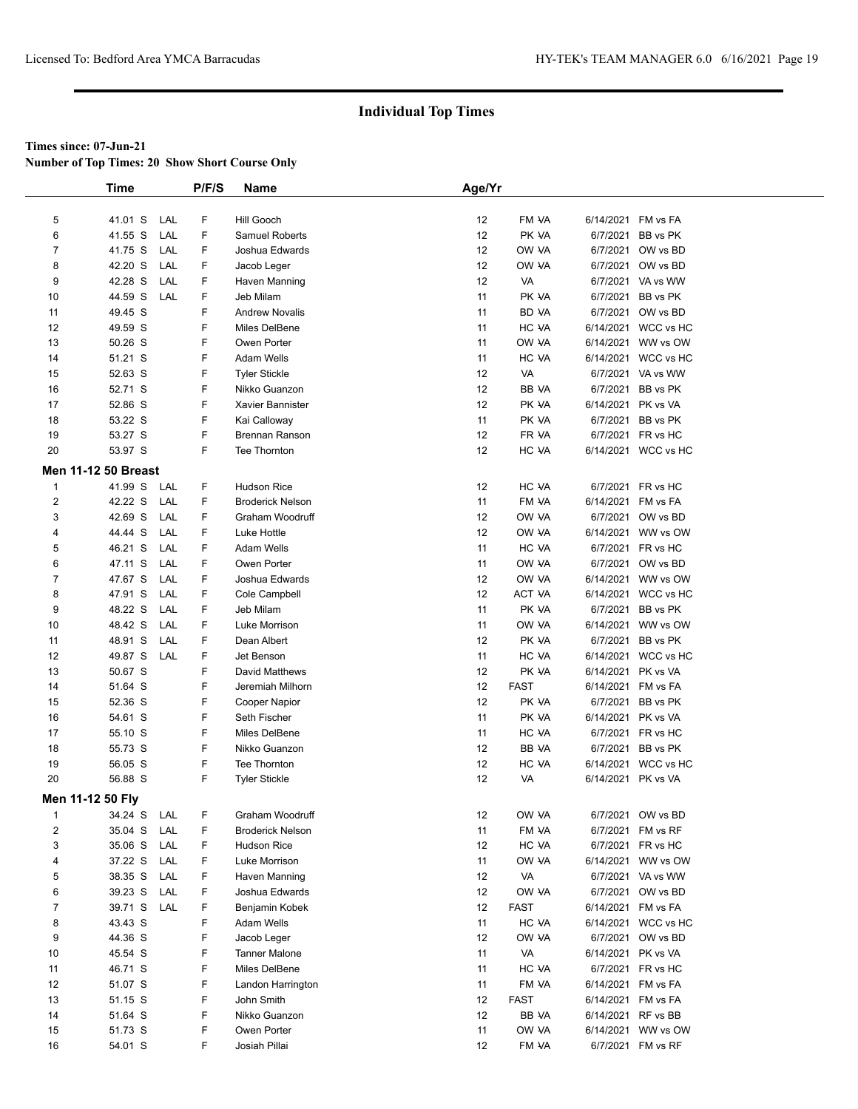**Number of Top Times: 20 Show Short Course Only**

|                  | <b>Time</b>                |     | P/F/S | <b>Name</b>             | Age/Yr            |             |                    |                     |
|------------------|----------------------------|-----|-------|-------------------------|-------------------|-------------|--------------------|---------------------|
|                  |                            |     |       |                         |                   |             |                    |                     |
| 5                | 41.01 S                    | LAL | F     | Hill Gooch              | 12                | FM VA       |                    | 6/14/2021 FM vs FA  |
| 6                | 41.55 S                    | LAL | F     | Samuel Roberts          | 12                | PK VA       |                    | 6/7/2021 BB vs PK   |
| 7                | 41.75 S                    | LAL | F.    | Joshua Edwards          | 12                | OW VA       |                    | 6/7/2021 OW vs BD   |
| 8                | 42.20 S                    | LAL | F     | Jacob Leger             | $12 \overline{ }$ | OW VA       |                    | 6/7/2021 OW vs BD   |
| 9                | 42.28 S                    | LAL | F     | Haven Manning           | 12                | VA          |                    | 6/7/2021 VA vs WW   |
| 10               | 44.59 S                    | LAL | F     | Jeb Milam               | 11                | PK VA       |                    | 6/7/2021 BB vs PK   |
| 11               | 49.45 S                    |     | F     | <b>Andrew Novalis</b>   | 11                | BD VA       |                    | 6/7/2021 OW vs BD   |
| 12               | 49.59 S                    |     | F     | Miles DelBene           | 11                | HC VA       |                    | 6/14/2021 WCC vs HC |
| 13               | 50.26 S                    |     | F     | Owen Porter             | 11                | OW VA       |                    | 6/14/2021 WW vs OW  |
| 14               | 51.21 S                    |     | F     | Adam Wells              | 11                | HC VA       |                    | 6/14/2021 WCC vs HC |
| 15               | 52.63 S                    |     | F     | <b>Tyler Stickle</b>    | 12                | VA          |                    | 6/7/2021 VA vs WW   |
| 16               | 52.71 S                    |     | F     | Nikko Guanzon           | $12 \overline{ }$ | BB VA       |                    | 6/7/2021 BB vs PK   |
| 17               | 52.86 S                    |     | F     | Xavier Bannister        | 12                | PK VA       | 6/14/2021 PK vs VA |                     |
| 18               | 53.22 S                    |     | F     | Kai Calloway            | 11                | PK VA       |                    | 6/7/2021 BB vs PK   |
| 19               | 53.27 S                    |     | F     | Brennan Ranson          | 12                | FR VA       |                    | 6/7/2021 FR vs HC   |
| 20               | 53.97 S                    |     | F.    | Tee Thornton            | $12 \overline{ }$ | HC VA       |                    | 6/14/2021 WCC vs HC |
|                  | <b>Men 11-12 50 Breast</b> |     |       |                         |                   |             |                    |                     |
| $\mathbf{1}$     | 41.99 S                    | LAL | F     | <b>Hudson Rice</b>      | $12 \overline{ }$ | HC VA       |                    | 6/7/2021 FR vs HC   |
| $\overline{2}$   | 42.22 S                    | LAL | F     | <b>Broderick Nelson</b> | 11                | FM VA       |                    | 6/14/2021 FM vs FA  |
| 3                | 42.69 S                    | LAL | F     | Graham Woodruff         | 12                | OW VA       |                    | 6/7/2021 OW vs BD   |
| 4                | 44.44 S                    | LAL | F.    | Luke Hottle             | 12                | OW VA       |                    | 6/14/2021 WW vs OW  |
| 5                | 46.21 S                    | LAL | F     | Adam Wells              | 11                | HC VA       |                    | 6/7/2021 FR vs HC   |
| 6                | 47.11 S                    | LAL | F     | Owen Porter             | 11                | OW VA       |                    | 6/7/2021 OW vs BD   |
| 7                | 47.67 S                    | LAL | F     | Joshua Edwards          | 12                | OW VA       |                    | 6/14/2021 WW vs OW  |
| 8                | 47.91 S                    | LAL | F     | Cole Campbell           | 12                | ACT VA      |                    | 6/14/2021 WCC vs HC |
| 9                | 48.22 S                    | LAL | F.    | Jeb Milam               | 11                | PK VA       |                    | 6/7/2021 BB vs PK   |
| 10               | 48.42 S                    | LAL | F.    | Luke Morrison           | 11                | OW VA       |                    | 6/14/2021 WW vs OW  |
| 11               | 48.91 S                    | LAL | F     | Dean Albert             | $12 \overline{ }$ | PK VA       |                    | 6/7/2021 BB vs PK   |
| 12               | 49.87 S                    | LAL | F.    | Jet Benson              | 11                | HC VA       |                    | 6/14/2021 WCC vs HC |
| 13               | 50.67 S                    |     | F     | David Matthews          | 12                | PK VA       | 6/14/2021 PK vs VA |                     |
| 14               | 51.64 S                    |     | F     | Jeremiah Milhorn        | 12                | <b>FAST</b> |                    | 6/14/2021 FM vs FA  |
| 15               | 52.36 S                    |     | F     | Cooper Napior           | 12                | PK VA       |                    | 6/7/2021 BB vs PK   |
| 16               | 54.61 S                    |     | F     | Seth Fischer            | 11                | PK VA       | 6/14/2021 PK vs VA |                     |
| 17               | 55.10 S                    |     | F     | Miles DelBene           | 11                | HC VA       |                    | 6/7/2021 FR vs HC   |
| 18               | 55.73 S                    |     | F     | Nikko Guanzon           | 12                | BB VA       |                    | 6/7/2021 BB vs PK   |
| 19               | 56.05 S                    |     | F     | Tee Thornton            | 12                | HC VA       |                    | 6/14/2021 WCC vs HC |
| 20               | 56.88 S                    |     | F     | <b>Tyler Stickle</b>    | $12 \overline{ }$ | VA          | 6/14/2021 PK vs VA |                     |
| Men 11-12 50 Fly |                            |     |       |                         |                   |             |                    |                     |
| 1                | 34.24 S                    | LAL | F     | Graham Woodruff         | 12                | OW VA       |                    | 6/7/2021 OW vs BD   |
| 2                | 35.04 S                    | LAL | F     | <b>Broderick Nelson</b> | 11                | FM VA       |                    | 6/7/2021 FM vs RF   |
| 3                | 35.06 S                    | LAL | F     | <b>Hudson Rice</b>      | 12                | HC VA       |                    | 6/7/2021 FR vs HC   |
| 4                | 37.22 S                    | LAL | F     | Luke Morrison           | 11                | OW VA       |                    | 6/14/2021 WW vs OW  |
| 5                | 38.35 S                    | LAL | F     | Haven Manning           | 12                | VA          |                    | 6/7/2021 VA vs WW   |
| 6                | 39.23 S                    | LAL | F     | Joshua Edwards          | 12                | OW VA       |                    | 6/7/2021 OW vs BD   |
| 7                | 39.71 S                    | LAL | F     | Benjamin Kobek          | 12                | FAST        |                    | 6/14/2021 FM vs FA  |
| 8                | 43.43 S                    |     | F     | Adam Wells              | 11                | HC VA       |                    | 6/14/2021 WCC vs HC |
| 9                | 44.36 S                    |     | F     | Jacob Leger             | 12                | OW VA       |                    | 6/7/2021 OW vs BD   |
| 10               | 45.54 S                    |     | F     | <b>Tanner Malone</b>    | 11                | VA          |                    | 6/14/2021 PK vs VA  |
| 11               | 46.71 S                    |     | F     | Miles DelBene           | 11                | HC VA       |                    | 6/7/2021 FR vs HC   |
| 12               | 51.07 S                    |     | F     | Landon Harrington       | 11                | FM VA       |                    | 6/14/2021 FM vs FA  |
| 13               | 51.15 S                    |     | F     | John Smith              | 12                | <b>FAST</b> |                    | 6/14/2021 FM vs FA  |
| 14               | 51.64 S                    |     | F     | Nikko Guanzon           | 12                | BB VA       | 6/14/2021 RF vs BB |                     |
| 15               | 51.73 S                    |     | F     | Owen Porter             | 11                | OW VA       |                    | 6/14/2021 WW vs OW  |
| 16               | 54.01 S                    |     | F     | Josiah Pillai           | 12                | FM VA       |                    | 6/7/2021 FM vs RF   |
|                  |                            |     |       |                         |                   |             |                    |                     |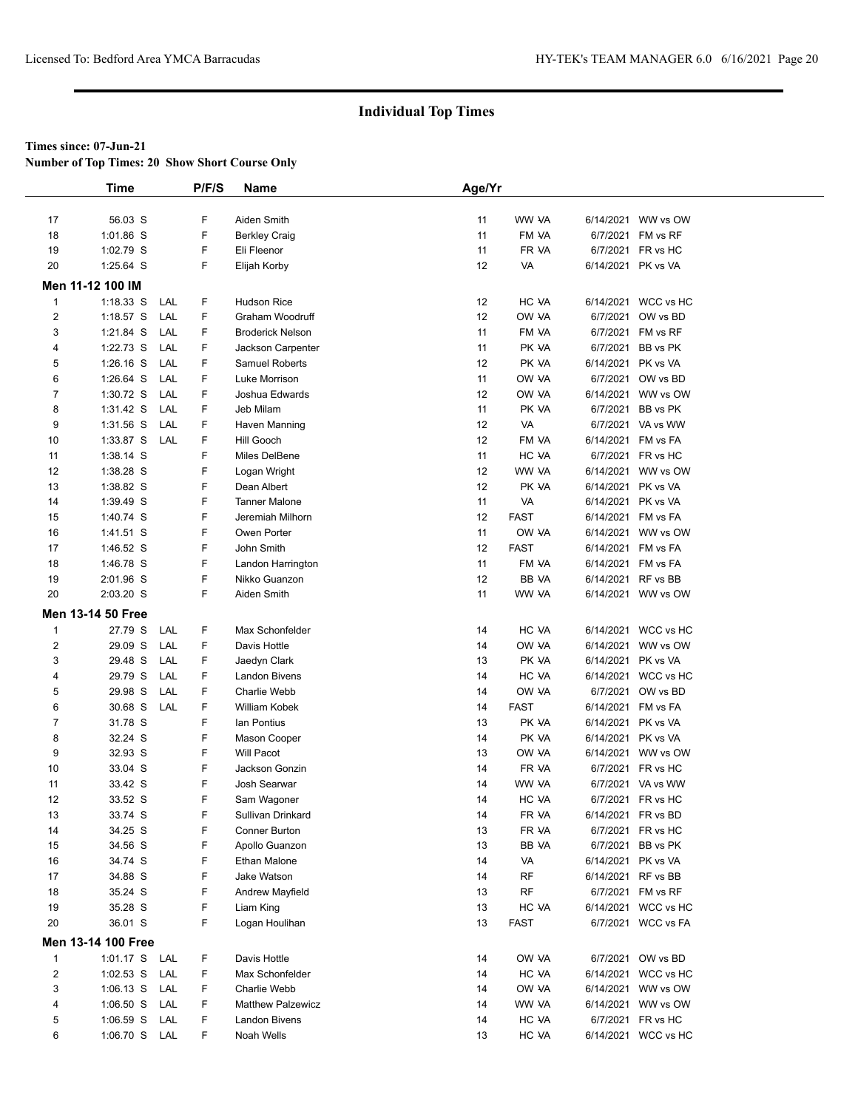**Number of Top Times: 20 Show Short Course Only**

|                | <b>Time</b>              |     | P/F/S | <b>Name</b>              | Age/Yr |             |                    |                     |
|----------------|--------------------------|-----|-------|--------------------------|--------|-------------|--------------------|---------------------|
|                |                          |     |       |                          |        |             |                    |                     |
| 17             | 56.03 S                  |     | F     | Aiden Smith              | 11     | WW VA       |                    | 6/14/2021 WW vs OW  |
| 18             | 1:01.86 S                |     | F     | <b>Berkley Craig</b>     | 11     | FM VA       |                    | 6/7/2021 FM vs RF   |
| 19             | 1:02.79 S                |     | F     | Eli Fleenor              | 11     | FR VA       |                    | 6/7/2021 FR vs HC   |
| 20             | 1:25.64 S                |     | F     | Elijah Korby             | 12     | VA          |                    | 6/14/2021 PK vs VA  |
|                | Men 11-12 100 IM         |     |       |                          |        |             |                    |                     |
| $\mathbf{1}$   | $1:18.33$ S              | LAL | F     | <b>Hudson Rice</b>       | 12     | HC VA       |                    | 6/14/2021 WCC vs HC |
| $\overline{2}$ | 1:18.57 $S$              | LAL | F     | Graham Woodruff          | 12     | OW VA       |                    | 6/7/2021 OW vs BD   |
| 3              | 1:21.84 S                | LAL | F     | <b>Broderick Nelson</b>  | 11     | FM VA       |                    | 6/7/2021 FM vs RF   |
| 4              | 1:22.73 S                | LAL | F     | Jackson Carpenter        | 11     | PK VA       |                    | 6/7/2021 BB vs PK   |
| 5              | $1:26.16$ S              | LAL | F     | Samuel Roberts           | 12     | PK VA       |                    | 6/14/2021 PK vs VA  |
| 6              | 1:26.64 S                | LAL | F     | Luke Morrison            | 11     | OW VA       |                    | 6/7/2021 OW vs BD   |
| $\overline{7}$ | 1:30.72 S                | LAL | F     | Joshua Edwards           | 12     | OW VA       |                    | 6/14/2021 WW vs OW  |
| 8              | $1:31.42$ S              | LAL | F     | Jeb Milam                | 11     | PK VA       |                    | 6/7/2021 BB vs PK   |
| 9              | $1:31.56$ S              | LAL | F     | Haven Manning            | 12     | VA          |                    | 6/7/2021 VA vs WW   |
| 10             | 1:33.87 S                | LAL | F     | Hill Gooch               | 12     | FM VA       |                    | 6/14/2021 FM vs FA  |
| 11             | 1:38.14 S                |     | F     | Miles DelBene            | 11     | HC VA       |                    | 6/7/2021 FR vs HC   |
| 12             | 1:38.28 S                |     | F     | Logan Wright             | 12     | WW VA       |                    | 6/14/2021 WW vs OW  |
| 13             | 1:38.82 S                |     | F     | Dean Albert              | 12     | PK VA       |                    | 6/14/2021 PK vs VA  |
| 14             | 1:39.49 S                |     | F     | <b>Tanner Malone</b>     | 11     | VA          |                    | 6/14/2021 PK vs VA  |
| 15             | 1:40.74 S                |     | F     | Jeremiah Milhorn         | 12     | <b>FAST</b> |                    | 6/14/2021 FM vs FA  |
| 16             | $1:41.51$ S              |     | F     | Owen Porter              | 11     | OW VA       |                    | 6/14/2021 WW vs OW  |
| 17             | 1:46.52 S                |     | F     | John Smith               | 12     | <b>FAST</b> |                    | 6/14/2021 FM vs FA  |
| 18             | 1:46.78 S                |     | F     | Landon Harrington        | 11     | FM VA       |                    | 6/14/2021 FM vs FA  |
| 19             | 2:01.96 S                |     | F     | Nikko Guanzon            | 12     | BB VA       |                    | 6/14/2021 RF vs BB  |
| 20             | 2:03.20 S                |     | F     | Aiden Smith              | 11     | WW VA       |                    | 6/14/2021 WW vs OW  |
|                | <b>Men 13-14 50 Free</b> |     |       |                          |        |             |                    |                     |
| $\mathbf{1}$   | 27.79 S                  | LAL | F     | Max Schonfelder          | 14     | HC VA       |                    | 6/14/2021 WCC vs HC |
| $\overline{2}$ | 29.09 S                  | LAL | F     | Davis Hottle             | 14     | OW VA       |                    | 6/14/2021 WW vs OW  |
| 3              | 29.48 S                  | LAL | F     | Jaedyn Clark             | 13     | PK VA       | 6/14/2021 PK vs VA |                     |
| 4              | 29.79 S                  | LAL | F     | Landon Bivens            | 14     | HC VA       |                    | 6/14/2021 WCC vs HC |
| 5              | 29.98 S                  | LAL | F     | Charlie Webb             | 14     | OW VA       |                    | 6/7/2021 OW vs BD   |
| 6              | 30.68 S                  | LAL | F     | William Kobek            | 14     | <b>FAST</b> |                    | 6/14/2021 FM vs FA  |
| $\overline{7}$ | 31.78 S                  |     | F     | lan Pontius              | 13     | PK VA       |                    | 6/14/2021 PK vs VA  |
| 8              | 32.24 S                  |     | F     | Mason Cooper             | 14     | PK VA       |                    | 6/14/2021 PK vs VA  |
| 9              | 32.93 S                  |     | F     | <b>Will Pacot</b>        | 13     | OW VA       |                    | 6/14/2021 WW vs OW  |
| 10             | 33.04 S                  |     | F     | Jackson Gonzin           | 14     | FR VA       |                    | 6/7/2021 FR vs HC   |
| 11             | 33.42 S                  |     | F     | Josh Searwar             | 14     | WW VA       |                    | 6/7/2021 VA vs WW   |
| 12             | 33.52 S                  |     | F     | Sam Wagoner              | 14     | HC VA       |                    | 6/7/2021 FR vs HC   |
| 13             | 33.74 S                  |     | F     | Sullivan Drinkard        | 14     | FR VA       |                    | 6/14/2021 FR vs BD  |
| 14             | 34.25 S                  |     | F     | Conner Burton            | 13     | FR VA       |                    | 6/7/2021 FR vs HC   |
| 15             | 34.56 S                  |     | F     | Apollo Guanzon           | 13     | BB VA       |                    | 6/7/2021 BB vs PK   |
| 16             | 34.74 S                  |     | F     | Ethan Malone             | 14     | VA          |                    | 6/14/2021 PK vs VA  |
| 17             | 34.88 S                  |     | F     | Jake Watson              | 14     | RF          |                    | 6/14/2021 RF vs BB  |
| 18             | 35.24 S                  |     | F     | <b>Andrew Mayfield</b>   | 13     | <b>RF</b>   |                    | 6/7/2021 FM vs RF   |
| 19             | 35.28 S                  |     | F     | Liam King                | 13     | HC VA       |                    | 6/14/2021 WCC vs HC |
| 20             | 36.01 S                  |     | F     | Logan Houlihan           | 13     | <b>FAST</b> |                    | 6/7/2021 WCC vs FA  |
|                | Men 13-14 100 Free       |     |       |                          |        |             |                    |                     |
| $\mathbf{1}$   | 1:01.17 S LAL            |     | F     | Davis Hottle             | 14     | OW VA       |                    | 6/7/2021 OW vs BD   |
| $\overline{2}$ | 1:02.53 S LAL            |     | F     | Max Schonfelder          | 14     | HC VA       |                    | 6/14/2021 WCC vs HC |
| 3              | 1:06.13 S LAL            |     | F     | Charlie Webb             | 14     | OW VA       |                    | 6/14/2021 WW vs OW  |
| 4              | 1:06.50 S LAL            |     | F     | <b>Matthew Palzewicz</b> | 14     | WW VA       |                    | 6/14/2021 WW vs OW  |
| 5              | 1:06.59 S LAL            |     | F     | Landon Bivens            | 14     | HC VA       |                    | 6/7/2021 FR vs HC   |
| 6              | 1:06.70 S LAL            |     | F.    | Noah Wells               | 13     | HC VA       |                    | 6/14/2021 WCC vs HC |
|                |                          |     |       |                          |        |             |                    |                     |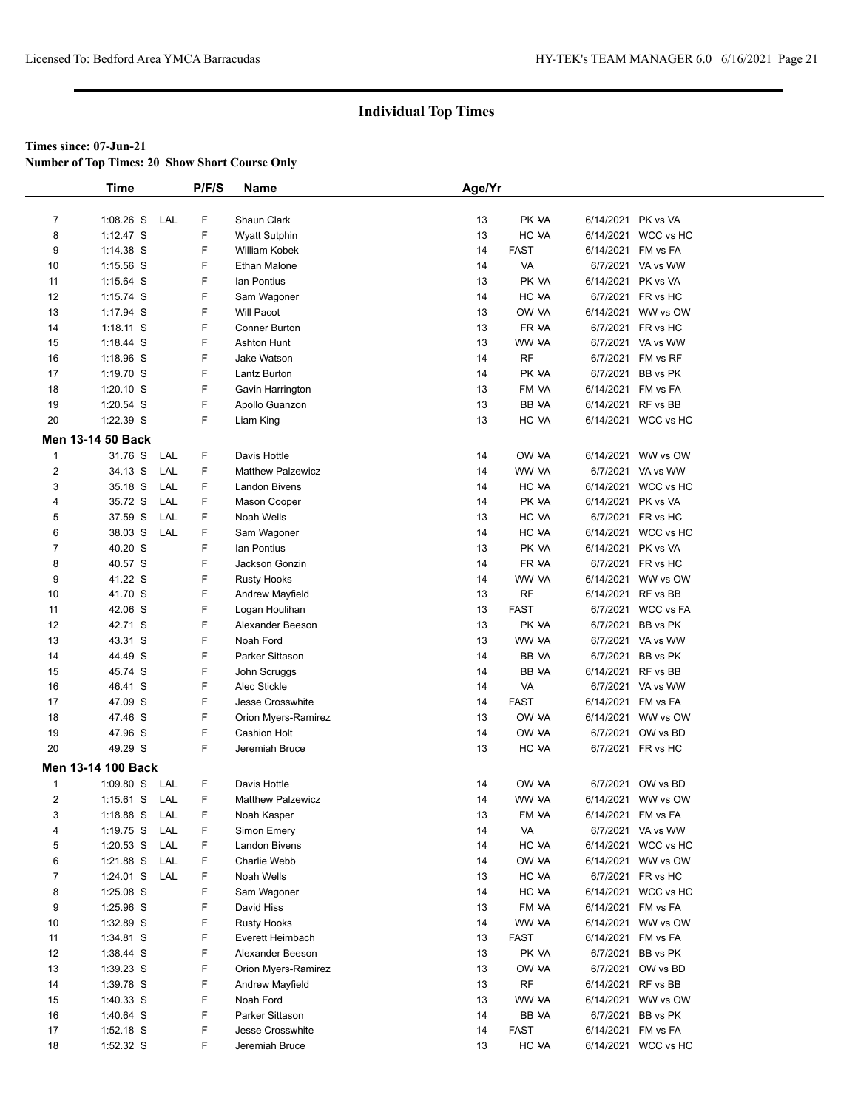**Number of Top Times: 20 Show Short Course Only**

|                | <b>Time</b>              |     | P/F/S | Name                     | Age/Yr   |             |                    |                     |
|----------------|--------------------------|-----|-------|--------------------------|----------|-------------|--------------------|---------------------|
|                |                          |     |       |                          |          |             |                    |                     |
| $\overline{7}$ | 1:08.26 S                | LAL | F     | Shaun Clark              | 13       | PK VA       | 6/14/2021 PK vs VA |                     |
| 8              | $1:12.47$ S              |     | F     | <b>Wyatt Sutphin</b>     | 13       | HC VA       |                    | 6/14/2021 WCC vs HC |
| 9              | $1:14.38$ S              |     | F     | William Kobek            | 14       | FAST        | 6/14/2021 FM vs FA |                     |
| 10             | 1:15.56 S                |     | F     | Ethan Malone             | 14       | VA          |                    | 6/7/2021 VA vs WW   |
| 11             | 1:15.64 S                |     | F     | lan Pontius              | 13       | PK VA       | 6/14/2021 PK vs VA |                     |
| 12             | 1:15.74 S                |     | F     | Sam Wagoner              | 14       | HC VA       |                    | 6/7/2021 FR vs HC   |
| 13             | 1:17.94 S                |     | F     | <b>Will Pacot</b>        | 13       | OW VA       |                    | 6/14/2021 WW vs OW  |
| 14             | $1:18.11$ S              |     | F     | Conner Burton            | 13       | FR VA       |                    | 6/7/2021 FR vs HC   |
| 15             | 1:18.44 S                |     | F     | <b>Ashton Hunt</b>       | 13       | WW VA       |                    | 6/7/2021 VA vs WW   |
| 16             | 1:18.96 S                |     | F     | Jake Watson              | 14       | <b>RF</b>   |                    | 6/7/2021 FM vs RF   |
| 17             | 1:19.70 S                |     | F     | Lantz Burton             | 14       | PK VA       |                    | 6/7/2021 BB vs PK   |
| 18             | 1:20.10 S                |     | F     | Gavin Harrington         | 13       | FM VA       | 6/14/2021 FM vs FA |                     |
| 19             | 1:20.54 S                |     | F     | Apollo Guanzon           | 13       | BB VA       | 6/14/2021 RF vs BB |                     |
| 20             | 1:22.39 S                |     | F     | Liam King                | 13       | HC VA       |                    | 6/14/2021 WCC vs HC |
|                |                          |     |       |                          |          |             |                    |                     |
|                | <b>Men 13-14 50 Back</b> |     |       |                          |          |             |                    |                     |
| $\mathbf{1}$   | 31.76 S                  | LAL | F     | Davis Hottle             | 14       | OW VA       | 6/14/2021          | WW vs OW            |
| $\overline{2}$ | 34.13 S                  | LAL | F     | <b>Matthew Palzewicz</b> | 14       | WW VA       |                    | 6/7/2021 VA vs WW   |
| 3              | 35.18 S                  | LAL | F     | <b>Landon Bivens</b>     | 14       | HC VA       |                    | 6/14/2021 WCC vs HC |
| 4              | 35.72 S                  | LAL | F     | Mason Cooper             | 14       | PK VA       | 6/14/2021 PK vs VA |                     |
| 5              | 37.59 S                  | LAL | F     | Noah Wells               | 13       | HC VA       |                    | 6/7/2021 FR vs HC   |
| 6              | 38.03 S                  | LAL | F     | Sam Wagoner              | 14       | HC VA       |                    | 6/14/2021 WCC vs HC |
| $\overline{7}$ | 40.20 S                  |     | F     | lan Pontius              | 13       | PK VA       | 6/14/2021 PK vs VA |                     |
| 8              | 40.57 S                  |     | F     | Jackson Gonzin           | 14       | FR VA       |                    | 6/7/2021 FR vs HC   |
| 9              | 41.22 S                  |     | F     | <b>Rusty Hooks</b>       | 14       | WW VA       |                    | 6/14/2021 WW vs OW  |
| 10             | 41.70 S                  |     | F     | Andrew Mayfield          | 13       | <b>RF</b>   | 6/14/2021 RF vs BB |                     |
| 11             | 42.06 S                  |     | F     | Logan Houlihan           | 13       | <b>FAST</b> |                    | 6/7/2021 WCC vs FA  |
| 12             | 42.71 S                  |     | F     | Alexander Beeson         | 13       | PK VA       |                    | 6/7/2021 BB vs PK   |
| 13             | 43.31 S                  |     | F     | Noah Ford                | 13       | WW VA       |                    | 6/7/2021 VA vs WW   |
| 14             | 44.49 S                  |     | F     | Parker Sittason          | 14       | BB VA       |                    | 6/7/2021 BB vs PK   |
| 15             | 45.74 S                  |     | F     | John Scruggs             | 14       | BB VA       | 6/14/2021 RF vs BB |                     |
| 16             | 46.41 S                  |     | F     | Alec Stickle             | 14       | VA          |                    | 6/7/2021 VA vs WW   |
| 17             | 47.09 S                  |     | F     | Jesse Crosswhite         | 14       | <b>FAST</b> | 6/14/2021 FM vs FA |                     |
| 18             | 47.46 S                  |     | F     | Orion Myers-Ramirez      | 13       | OW VA       |                    | 6/14/2021 WW vs OW  |
| 19             | 47.96 S                  |     | F     | <b>Cashion Holt</b>      | 14       | OW VA       |                    | 6/7/2021 OW vs BD   |
| 20             | 49.29 S                  |     | F     | Jeremiah Bruce           | 13       | HC VA       |                    | 6/7/2021 FR vs HC   |
|                | Men 13-14 100 Back       |     |       |                          |          |             |                    |                     |
| $\mathbf{1}$   | $1:09.80$ S              | LAL | F     | Davis Hottle             | 14       | OW VA       |                    | 6/7/2021 OW vs BD   |
| $\overline{2}$ | $1:15.61$ S              | LAL | F     | <b>Matthew Palzewicz</b> | 14       | WW VA       |                    | 6/14/2021 WW vs OW  |
| 3              |                          | LAL | F     | Noah Kasper              |          | FM VA       |                    |                     |
| 4              | 1:18.88 S                | LAL | F     | Simon Emery              | 13<br>14 | VA          | 6/14/2021 FM vs FA |                     |
|                | 1:19.75 $S$              |     |       |                          |          | HC VA       |                    | 6/7/2021 VA vs WW   |
| 5              | $1:20.53$ S              | LAL | F     | <b>Landon Bivens</b>     | 14       |             |                    | 6/14/2021 WCC vs HC |
| 6              | 1:21.88 S LAL            |     | F     | Charlie Webb             | 14       | OW VA       |                    | 6/14/2021 WW vs OW  |
| $\overline{7}$ | 1:24.01 S LAL            |     | F     | Noah Wells               | 13       | HC VA       |                    | 6/7/2021 FR vs HC   |
| 8              | 1:25.08 S                |     | F     | Sam Wagoner              | 14       | HC VA       |                    | 6/14/2021 WCC vs HC |
| 9              | 1:25.96 S                |     | F     | David Hiss               | 13       | FM VA       | 6/14/2021 FM vs FA |                     |
| 10             | 1:32.89 S                |     | F     | <b>Rusty Hooks</b>       | 14       | WW VA       |                    | 6/14/2021 WW vs OW  |
| 11             | 1:34.81 S                |     | F     | Everett Heimbach         | 13       | FAST        | 6/14/2021 FM vs FA |                     |
| 12             | 1:38.44 S                |     | F     | Alexander Beeson         | 13       | PK VA       |                    | 6/7/2021 BB vs PK   |
| 13             | 1:39.23 S                |     | F     | Orion Myers-Ramirez      | 13       | OW VA       |                    | 6/7/2021 OW vs BD   |
| 14             | 1:39.78 S                |     | F     | Andrew Mayfield          | 13       | <b>RF</b>   | 6/14/2021 RF vs BB |                     |
| 15             | $1:40.33$ S              |     | F     | Noah Ford                | 13       | WW VA       |                    | 6/14/2021 WW vs OW  |
| 16             | 1:40.64 S                |     | F     | Parker Sittason          | 14       | BB VA       |                    | 6/7/2021 BB vs PK   |
| 17             | 1:52.18 S                |     | F     | Jesse Crosswhite         | 14       | FAST        | 6/14/2021 FM vs FA |                     |
| 18             | 1:52.32 S                |     | F     | Jeremiah Bruce           | 13       | HC VA       |                    | 6/14/2021 WCC vs HC |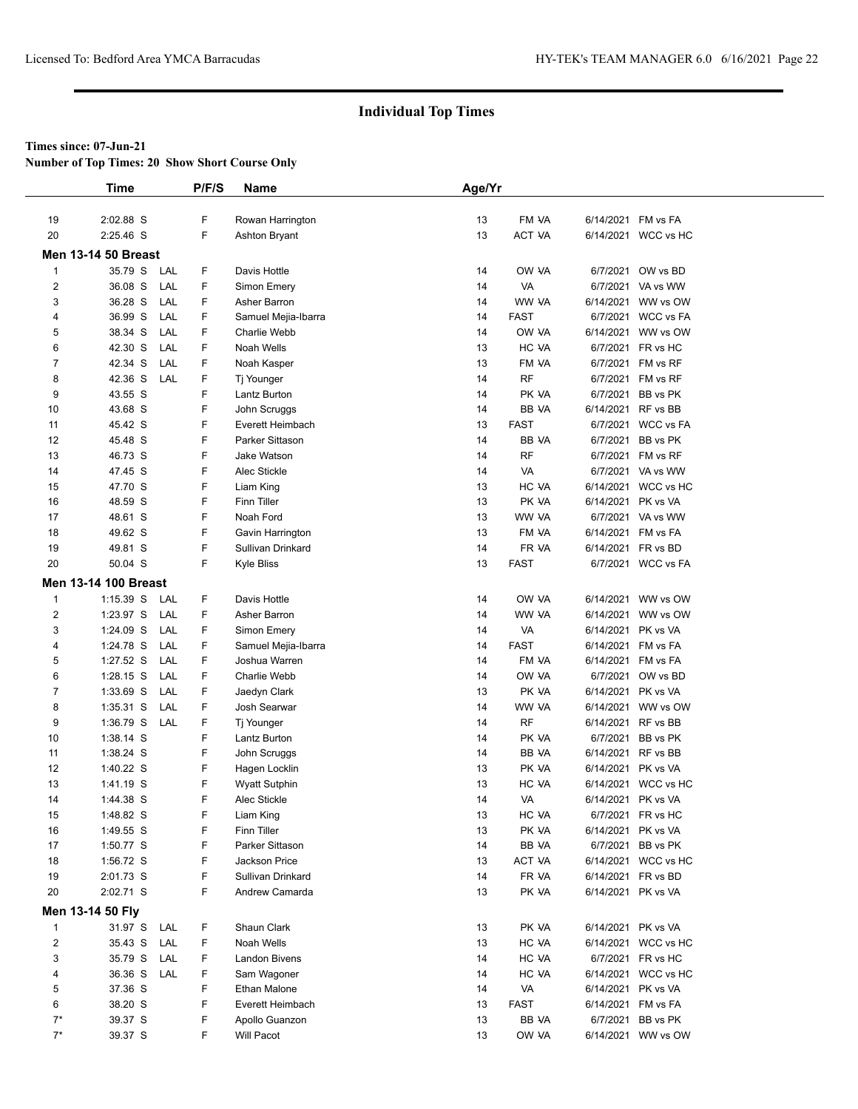**Number of Top Times: 20 Show Short Course Only**

|                         | <b>Time</b>                 | P/F/S | <b>Name</b>          | Age/Yr |              |                    |                     |
|-------------------------|-----------------------------|-------|----------------------|--------|--------------|--------------------|---------------------|
|                         |                             |       |                      |        |              |                    |                     |
| 19                      | 2:02.88 S                   | F     | Rowan Harrington     | 13     | FM VA        | 6/14/2021 FM vs FA |                     |
| 20                      | 2:25.46 S                   | F     | Ashton Bryant        | 13     | ACT VA       |                    | 6/14/2021 WCC vs HC |
|                         | <b>Men 13-14 50 Breast</b>  |       |                      |        |              |                    |                     |
| $\mathbf{1}$            | 35.79 S<br>LAL              | F     | Davis Hottle         | 14     | OW VA        |                    | 6/7/2021 OW vs BD   |
| $\overline{\mathbf{c}}$ | 36.08 S<br>LAL              | F     | Simon Emery          | 14     | VA           |                    | 6/7/2021 VA vs WW   |
| 3                       | 36.28 S<br>LAL              | F     | Asher Barron         | 14     | WW VA        |                    | 6/14/2021 WW vs OW  |
| 4                       | 36.99 S<br>LAL              | F     | Samuel Mejia-Ibarra  | 14     | <b>FAST</b>  |                    | 6/7/2021 WCC vs FA  |
| 5                       | 38.34 S<br>LAL              | F     | Charlie Webb         | 14     | OW VA        |                    | 6/14/2021 WW vs OW  |
| 6                       | 42.30 S<br>LAL              | F     | Noah Wells           | 13     | HC VA        |                    | 6/7/2021 FR vs HC   |
| $\overline{7}$          | 42.34 S<br>LAL              | F     | Noah Kasper          | 13     | FM VA        |                    | 6/7/2021 FM vs RF   |
| 8                       | 42.36 S<br>LAL              | F     | Tj Younger           | 14     | <b>RF</b>    |                    | 6/7/2021 FM vs RF   |
| 9                       | 43.55 S                     | F     | Lantz Burton         | 14     | PK VA        |                    | 6/7/2021 BB vs PK   |
| 10                      | 43.68 S                     | F     | John Scruggs         | 14     | BB VA        | 6/14/2021 RF vs BB |                     |
| 11                      | 45.42 S                     | F     | Everett Heimbach     | 13     | <b>FAST</b>  |                    | 6/7/2021 WCC vs FA  |
| 12                      | 45.48 S                     | F     | Parker Sittason      | 14     | BB VA        |                    | 6/7/2021 BB vs PK   |
| 13                      | 46.73 S                     | F     | Jake Watson          | 14     | <b>RF</b>    |                    | 6/7/2021 FM vs RF   |
| 14                      | 47.45 S                     | F     | Alec Stickle         | 14     | VA           |                    | 6/7/2021 VA vs WW   |
| 15                      | 47.70 S                     | F     | Liam King            | 13     | HC VA        |                    | 6/14/2021 WCC vs HC |
| 16                      | 48.59 S                     | F     | Finn Tiller          | 13     | PK VA        | 6/14/2021 PK vs VA |                     |
| 17                      | 48.61 S                     | F     | Noah Ford            | 13     | WW VA        |                    | 6/7/2021 VA vs WW   |
| 18                      | 49.62 S                     | F     | Gavin Harrington     | 13     | FM VA        |                    | 6/14/2021 FM vs FA  |
| 19                      | 49.81 S                     | F     | Sullivan Drinkard    | 14     | FR VA        | 6/14/2021 FR vs BD |                     |
| 20                      | 50.04 S                     | F     | <b>Kyle Bliss</b>    | 13     | <b>FAST</b>  |                    | 6/7/2021 WCC vs FA  |
|                         | <b>Men 13-14 100 Breast</b> |       |                      |        |              |                    |                     |
| $\mathbf{1}$            | $1:15.39$ S<br>LAL          | F     | Davis Hottle         | 14     | OW VA        |                    | 6/14/2021 WW vs OW  |
| $\overline{\mathbf{c}}$ | 1:23.97 S<br>LAL            | F     | Asher Barron         | 14     | WW VA        |                    | 6/14/2021 WW vs OW  |
| 3                       | 1:24.09 S<br>LAL            | F     | Simon Emery          | 14     | VA           | 6/14/2021 PK vs VA |                     |
| 4                       | 1:24.78 S<br>LAL            | F     | Samuel Mejia-Ibarra  | 14     | <b>FAST</b>  | 6/14/2021 FM vs FA |                     |
| 5                       | 1:27.52 S<br>LAL            | F     | Joshua Warren        | 14     | FM VA        |                    | 6/14/2021 FM vs FA  |
| 6                       | $1:28.15$ S<br>LAL          | F     | Charlie Webb         | 14     | OW VA        |                    | 6/7/2021 OW vs BD   |
| 7                       | 1:33.69 S<br>LAL            | F     | Jaedyn Clark         | 13     | PK VA        | 6/14/2021 PK vs VA |                     |
| 8                       | $1:35.31$ S<br>LAL          | F     | Josh Searwar         | 14     | WW VA        |                    | 6/14/2021 WW vs OW  |
| 9                       | 1:36.79 S<br>LAL            | F     | Tj Younger           | 14     | <b>RF</b>    | 6/14/2021 RF vs BB |                     |
| 10                      | 1:38.14 S                   | F     | Lantz Burton         | 14     | PK VA        |                    | 6/7/2021 BB vs PK   |
| 11                      | 1:38.24 S                   | F     | John Scruggs         | 14     | <b>BB VA</b> | 6/14/2021 RF vs BB |                     |
| 12                      | 1:40.22 S                   | F     | Hagen Locklin        | 13     | PK VA        | 6/14/2021 PK vs VA |                     |
| 13                      | 1:41.19 S                   | F     | <b>Wyatt Sutphin</b> | 13     | HC VA        |                    | 6/14/2021 WCC vs HC |
| 14                      | 1:44.38 S                   | F     | Alec Stickle         | 14     | VA           | 6/14/2021 PK vs VA |                     |
| 15                      | 1:48.82 S                   | F     | Liam King            | 13     | HC VA        |                    | 6/7/2021 FR vs HC   |
| 16                      | 1:49.55 S                   | F     | Finn Tiller          | 13     | PK VA        | 6/14/2021 PK vs VA |                     |
| 17                      | 1:50.77 S                   | F     | Parker Sittason      | 14     | BB VA        |                    | 6/7/2021 BB vs PK   |
| 18                      | 1:56.72 S                   | F     | Jackson Price        | 13     | ACT VA       |                    | 6/14/2021 WCC vs HC |
| 19                      | 2:01.73 S                   | F     | Sullivan Drinkard    | 14     | FR VA        | 6/14/2021 FR vs BD |                     |
| 20                      | 2:02.71 S                   | F     | Andrew Camarda       | 13     | PK VA        | 6/14/2021 PK vs VA |                     |
|                         | Men 13-14 50 Fly            |       |                      |        |              |                    |                     |
| $\mathbf{1}$            | 31.97 S LAL                 | F     | Shaun Clark          | 13     | PK VA        | 6/14/2021 PK vs VA |                     |
| $\overline{2}$          | LAL<br>35.43 S              | F     | Noah Wells           | 13     | HC VA        |                    | 6/14/2021 WCC vs HC |
| 3                       | 35.79 S<br>LAL              | F     | Landon Bivens        | 14     | HC VA        |                    | 6/7/2021 FR vs HC   |
| 4                       | 36.36 S<br>LAL              | F     | Sam Wagoner          | 14     | HC VA        |                    | 6/14/2021 WCC vs HC |
| 5                       | 37.36 S                     | F     | Ethan Malone         | 14     | VA           | 6/14/2021 PK vs VA |                     |
| 6                       | 38.20 S                     | F     | Everett Heimbach     | 13     | <b>FAST</b>  |                    | 6/14/2021 FM vs FA  |
| $7^*$                   | 39.37 S                     | F     | Apollo Guanzon       | 13     | BB VA        |                    | 6/7/2021 BB vs PK   |
| $7^*$                   | 39.37 S                     | F     | Will Pacot           | 13     | OW VA        |                    | 6/14/2021 WW vs OW  |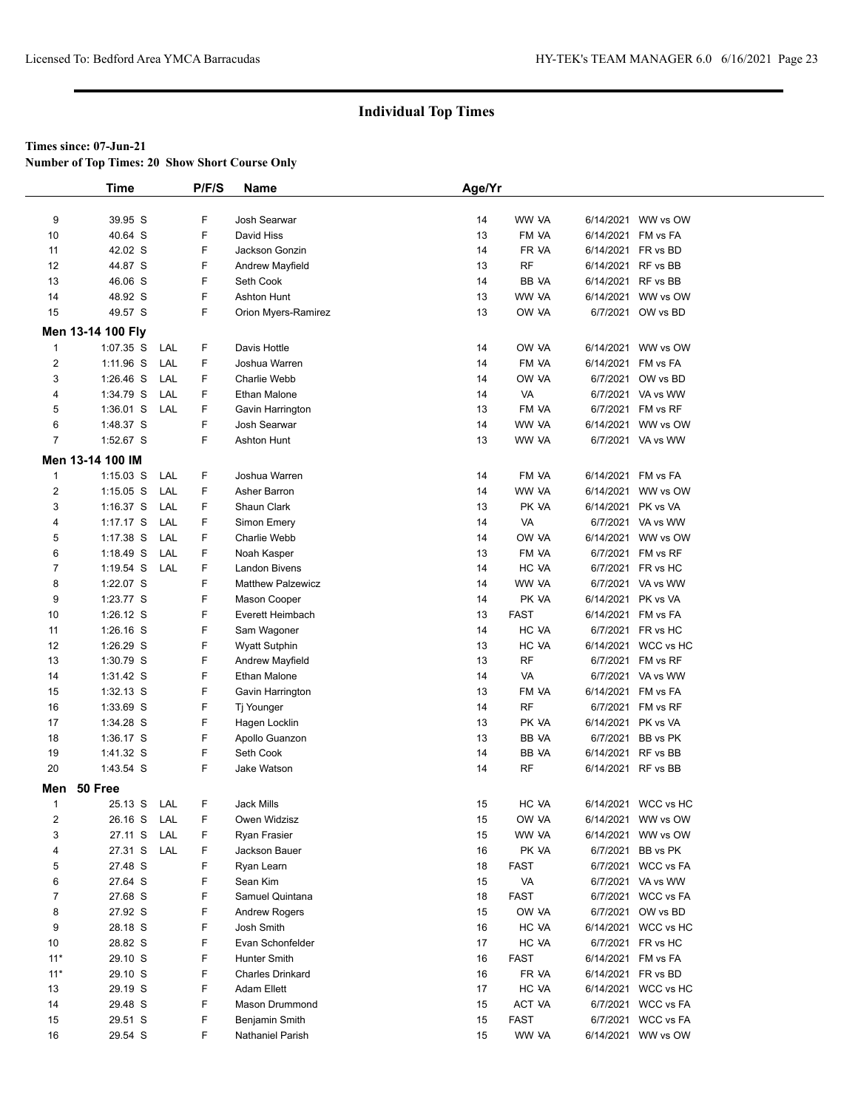**Number of Top Times: 20 Show Short Course Only**

|                         | <b>Time</b>       |     | P/F/S | <b>Name</b>              | Age/Yr |             |                    |                     |
|-------------------------|-------------------|-----|-------|--------------------------|--------|-------------|--------------------|---------------------|
|                         |                   |     |       |                          |        |             |                    |                     |
| 9                       | 39.95 S           |     | F     | Josh Searwar             | 14     | WW VA       |                    | 6/14/2021 WW vs OW  |
| 10                      | 40.64 S           |     | F     | David Hiss               | 13     | FM VA       | 6/14/2021 FM vs FA |                     |
| 11                      | 42.02 S           |     | F     | Jackson Gonzin           | 14     | FR VA       | 6/14/2021 FR vs BD |                     |
| 12                      | 44.87 S           |     | F     | Andrew Mayfield          | 13     | RF          | 6/14/2021 RF vs BB |                     |
| 13                      | 46.06 S           |     | F     | Seth Cook                | 14     | BB VA       | 6/14/2021 RF vs BB |                     |
| 14                      | 48.92 S           |     | F     | Ashton Hunt              | 13     | WW VA       |                    | 6/14/2021 WW vs OW  |
| 15                      | 49.57 S           |     | F     | Orion Myers-Ramirez      | 13     | OW VA       |                    | 6/7/2021 OW vs BD   |
|                         | Men 13-14 100 Fly |     |       |                          |        |             |                    |                     |
| $\mathbf{1}$            | $1:07.35$ S       | LAL | F     | Davis Hottle             | 14     | OW VA       |                    | 6/14/2021 WW vs OW  |
| $\boldsymbol{2}$        | $1:11.96$ S       | LAL | F     | Joshua Warren            | 14     | FM VA       | 6/14/2021 FM vs FA |                     |
| 3                       | $1:26.46$ S       | LAL | F     | Charlie Webb             | 14     | OW VA       |                    | 6/7/2021 OW vs BD   |
| 4                       | 1:34.79 S         | LAL | F     | Ethan Malone             | 14     | VA          |                    | 6/7/2021 VA vs WW   |
| 5                       | $1:36.01$ S       | LAL | F     | Gavin Harrington         | 13     | FM VA       |                    | 6/7/2021 FM vs RF   |
| 6                       | 1:48.37 S         |     | F     | Josh Searwar             | 14     | WW VA       |                    | 6/14/2021 WW vs OW  |
| 7                       | 1:52.67 S         |     | F     | Ashton Hunt              | 13     | WW VA       |                    | 6/7/2021 VA vs WW   |
|                         |                   |     |       |                          |        |             |                    |                     |
|                         | Men 13-14 100 IM  |     |       |                          |        |             |                    |                     |
| $\mathbf{1}$            | $1:15.03$ S       | LAL | F     | Joshua Warren            | 14     | FM VA       | 6/14/2021 FM vs FA |                     |
| $\overline{\mathbf{c}}$ | $1:15.05$ S       | LAL | F.    | Asher Barron             | 14     | WW VA       |                    | 6/14/2021 WW vs OW  |
| 3                       | $1:16.37$ S       | LAL | F     | Shaun Clark              | 13     | PK VA       | 6/14/2021 PK vs VA |                     |
| 4                       | $1:17.17$ S       | LAL | F     | Simon Emery              | 14     | VA          |                    | 6/7/2021 VA vs WW   |
| 5                       | $1:17.38$ S       | LAL | F     | Charlie Webb             | 14     | OW VA       |                    | 6/14/2021 WW vs OW  |
| 6                       | $1:18.49$ S       | LAL | F     | Noah Kasper              | 13     | FM VA       |                    | 6/7/2021 FM vs RF   |
| 7                       | $1:19.54$ S       | LAL | F     | <b>Landon Bivens</b>     | 14     | HC VA       |                    | 6/7/2021 FR vs HC   |
| 8                       | 1:22.07 S         |     | F     | <b>Matthew Palzewicz</b> | 14     | WW VA       |                    | 6/7/2021 VA vs WW   |
| 9                       | 1:23.77 S         |     | F     | <b>Mason Cooper</b>      | 14     | PK VA       | 6/14/2021 PK vs VA |                     |
| 10                      | $1:26.12$ S       |     | F     | Everett Heimbach         | 13     | <b>FAST</b> | 6/14/2021 FM vs FA |                     |
| 11                      | 1:26.16 S         |     | F     | Sam Wagoner              | 14     | HC VA       |                    | 6/7/2021 FR vs HC   |
| 12                      | $1:26.29$ S       |     | F     | <b>Wyatt Sutphin</b>     | 13     | HC VA       |                    | 6/14/2021 WCC vs HC |
| 13                      | 1:30.79 S         |     | F     | Andrew Mayfield          | 13     | <b>RF</b>   |                    | 6/7/2021 FM vs RF   |
| 14                      | $1:31.42$ S       |     | F     | Ethan Malone             | 14     | VA          |                    | 6/7/2021 VA vs WW   |
| 15                      | $1:32.13$ S       |     | F     | Gavin Harrington         | 13     | FM VA       | 6/14/2021 FM vs FA |                     |
| 16                      | 1:33.69 S         |     | F     | Tj Younger               | 14     | <b>RF</b>   |                    | 6/7/2021 FM vs RF   |
| 17                      | 1:34.28 S         |     | F     | Hagen Locklin            | 13     | PK VA       | 6/14/2021 PK vs VA |                     |
| 18                      | 1:36.17 S         |     | F     | Apollo Guanzon           | 13     | BB VA       |                    | 6/7/2021 BB vs PK   |
| 19                      | 1:41.32 S         |     | F     | Seth Cook                | 14     | BB VA       | 6/14/2021 RF vs BB |                     |
| 20                      | 1:43.54 S         |     | F     | Jake Watson              | 14     | RF          | 6/14/2021 RF vs BB |                     |
|                         | Men 50 Free       |     |       |                          |        |             |                    |                     |
| $\mathbf{1}$            | 25.13 S LAL       |     | F.    | Jack Mills               | 15     | HC VA       |                    | 6/14/2021 WCC vs HC |
| 2                       | 26.16 S           | LAL | F     | Owen Widzisz             | 15     | OW VA       |                    | 6/14/2021 WW vs OW  |
| 3                       | 27.11 S           | LAL | F     | Ryan Frasier             | 15     | WW VA       |                    | 6/14/2021 WW vs OW  |
| 4                       | 27.31 S           | LAL | F     | Jackson Bauer            | 16     | PK VA       |                    | 6/7/2021 BB vs PK   |
| 5                       | 27.48 S           |     | F     | Ryan Learn               | 18     | <b>FAST</b> |                    | 6/7/2021 WCC vs FA  |
| 6                       | 27.64 S           |     | F     | Sean Kim                 | 15     | VA          |                    | 6/7/2021 VA vs WW   |
| 7                       | 27.68 S           |     | F     | Samuel Quintana          | 18     | <b>FAST</b> |                    | 6/7/2021 WCC vs FA  |
| 8                       | 27.92 S           |     | F     | <b>Andrew Rogers</b>     | 15     | OW VA       |                    | 6/7/2021 OW vs BD   |
| 9                       | 28.18 S           |     | F     | Josh Smith               | 16     | HC VA       |                    | 6/14/2021 WCC vs HC |
| 10                      | 28.82 S           |     | F     | Evan Schonfelder         | 17     | HC VA       |                    | 6/7/2021 FR vs HC   |
| $11*$                   | 29.10 S           |     | F     | Hunter Smith             | 16     | <b>FAST</b> |                    | 6/14/2021 FM vs FA  |
| $11*$                   | 29.10 S           |     | F     | <b>Charles Drinkard</b>  | 16     | FR VA       |                    | 6/14/2021 FR vs BD  |
| 13                      | 29.19 S           |     | F     | Adam Ellett              | 17     | HC VA       |                    | 6/14/2021 WCC vs HC |
| 14                      | 29.48 S           |     | F     | Mason Drummond           | 15     | ACT VA      |                    | 6/7/2021 WCC vs FA  |
| 15                      | 29.51 S           |     | F     | Benjamin Smith           | 15     | FAST        |                    | 6/7/2021 WCC vs FA  |
| 16                      | 29.54 S           |     | F.    | Nathaniel Parish         | 15     | WW VA       |                    | 6/14/2021 WW vs OW  |
|                         |                   |     |       |                          |        |             |                    |                     |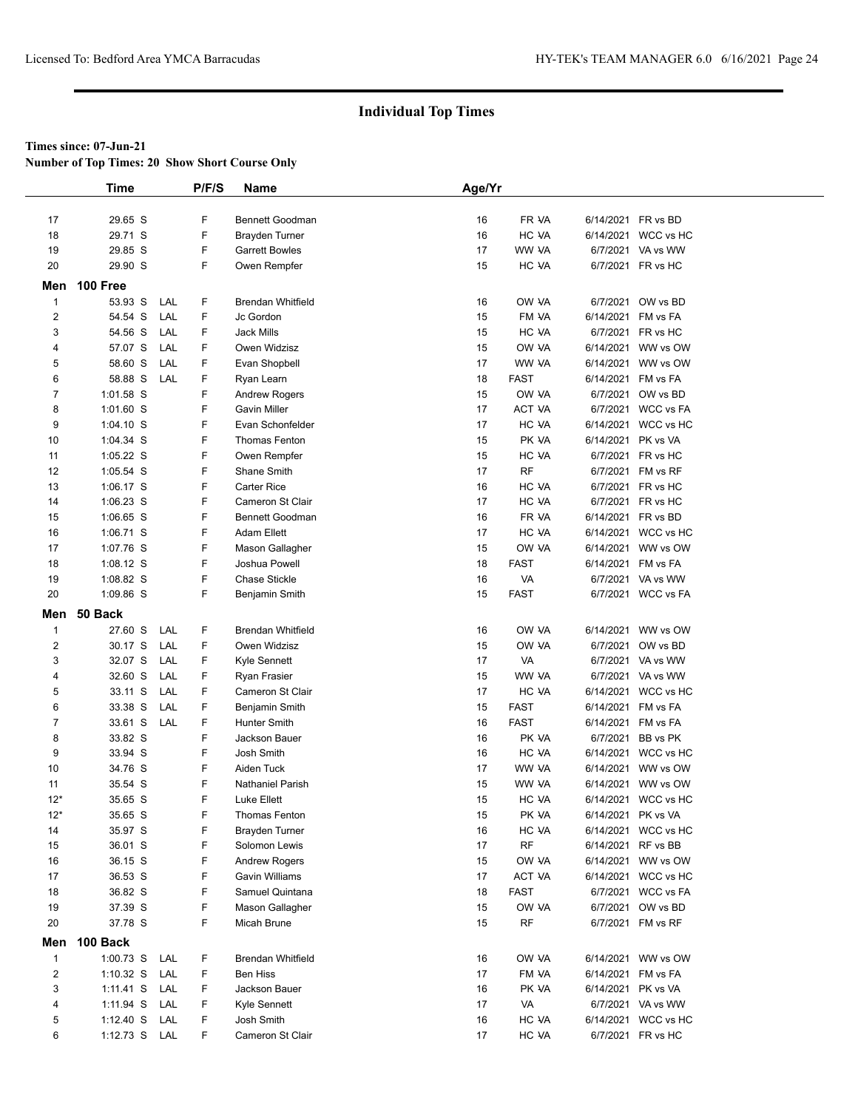**Number of Top Times: 20 Show Short Course Only**

|                | <b>Time</b>        |     | P/F/S  | <b>Name</b>                            | Age/Yr   |                |                    |                     |
|----------------|--------------------|-----|--------|----------------------------------------|----------|----------------|--------------------|---------------------|
|                |                    |     |        |                                        |          |                |                    |                     |
| 17             | 29.65 S            |     | F      | <b>Bennett Goodman</b>                 | 16       | FR VA          | 6/14/2021 FR vs BD |                     |
| 18             | 29.71 S            |     | F      | Brayden Turner                         | 16       | HC VA          |                    | 6/14/2021 WCC vs HC |
| 19             | 29.85 S            |     | F      | <b>Garrett Bowles</b>                  | 17       | WW VA          |                    | 6/7/2021 VA vs WW   |
| 20             | 29.90 S            |     | F      | Owen Rempfer                           | 15       | HC VA          |                    | 6/7/2021 FR vs HC   |
|                | Men 100 Free       |     |        |                                        |          |                |                    |                     |
| $\mathbf{1}$   | 53.93 S            | LAL | F      | <b>Brendan Whitfield</b>               | 16       | OW VA          |                    | 6/7/2021 OW vs BD   |
| 2              | 54.54 S            | LAL | F      | Jc Gordon                              | 15       | FM VA          |                    | 6/14/2021 FM vs FA  |
| 3              | 54.56 S            | LAL | F      | <b>Jack Mills</b>                      | 15       | HC VA          |                    | 6/7/2021 FR vs HC   |
| 4              | 57.07 S            | LAL | F      | Owen Widzisz                           | 15       | OW VA          |                    | 6/14/2021 WW vs OW  |
| 5              | 58.60 S            | LAL | F      | Evan Shopbell                          | 17       | WW VA          |                    | 6/14/2021 WW vs OW  |
| 6              | 58.88 S            | LAL | F      | Ryan Learn                             | 18       | FAST           | 6/14/2021 FM vs FA |                     |
| 7              | 1:01.58 S          |     | F      | Andrew Rogers                          | 15       | OW VA          |                    | 6/7/2021 OW vs BD   |
| 8              | 1:01.60 S          |     | F      | <b>Gavin Miller</b>                    | 17       | ACT VA         |                    | 6/7/2021 WCC vs FA  |
| 9              | $1:04.10$ S        |     | F      | Evan Schonfelder                       | 17       | HC VA          |                    | 6/14/2021 WCC vs HC |
| 10             | 1:04.34 S          |     | F      | Thomas Fenton                          | 15       | PK VA          | 6/14/2021 PK vs VA |                     |
| 11             | $1:05.22$ S        |     | F      | Owen Rempfer                           | 15       | HC VA          |                    | 6/7/2021 FR vs HC   |
| 12             | 1:05.54 S          |     | F      | Shane Smith                            | 17       | <b>RF</b>      |                    | 6/7/2021 FM vs RF   |
| 13             | $1:06.17$ S        |     | F      | <b>Carter Rice</b>                     | 16       | HC VA          |                    | 6/7/2021 FR vs HC   |
| 14             | 1:06.23 S          |     | F      | Cameron St Clair                       | 17       | HC VA          |                    | 6/7/2021 FR vs HC   |
| 15             | 1:06.65 S          |     | F      | <b>Bennett Goodman</b>                 | 16       | FR VA          | 6/14/2021 FR vs BD |                     |
| 16             | 1:06.71 S          |     | F      | <b>Adam Ellett</b>                     | 17       | HC VA          |                    | 6/14/2021 WCC vs HC |
| 17             | 1:07.76 S          |     | F      | Mason Gallagher                        | 15       | OW VA          |                    | 6/14/2021 WW vs OW  |
| 18             | $1:08.12$ S        |     | F      | Joshua Powell                          | 18       | <b>FAST</b>    | 6/14/2021 FM vs FA |                     |
| 19             | 1:08.82 S          |     | F      | <b>Chase Stickle</b>                   | 16       | VA             |                    | 6/7/2021 VA vs WW   |
| 20             | 1:09.86 S          |     | F      | Benjamin Smith                         | 15       | <b>FAST</b>    |                    | 6/7/2021 WCC vs FA  |
|                | Men 50 Back        |     |        |                                        |          |                |                    |                     |
| $\mathbf{1}$   | 27.60 S            | LAL | F      | <b>Brendan Whitfield</b>               | 16       | OW VA          |                    | 6/14/2021 WW vs OW  |
| $\overline{c}$ | 30.17 S            | LAL | F      | Owen Widzisz                           | 15       | OW VA          |                    | 6/7/2021 OW vs BD   |
| 3              | 32.07 S            | LAL | F      | Kyle Sennett                           | 17       | VA             |                    | 6/7/2021 VA vs WW   |
| 4              | 32.60 S            | LAL | F      | Ryan Frasier                           | 15       | WW VA          |                    | 6/7/2021 VA vs WW   |
| 5              | 33.11 S            | LAL | F      | Cameron St Clair                       | 17       | HC VA          |                    | 6/14/2021 WCC vs HC |
| 6              | 33.38 S            | LAL | F      | Benjamin Smith                         | 15       | <b>FAST</b>    | 6/14/2021 FM vs FA |                     |
| 7              | 33.61 S            | LAL | F      | Hunter Smith                           | 16       | <b>FAST</b>    | 6/14/2021 FM vs FA |                     |
| 8              | 33.82 S            |     | F      | Jackson Bauer                          | 16       | PK VA          |                    | 6/7/2021 BB vs PK   |
| 9              | 33.94 S            |     | F      | Josh Smith                             | 16       | HC VA          |                    | 6/14/2021 WCC vs HC |
| 10             | 34.76 S            |     | F      | Aiden Tuck                             | 17       | WW VA          |                    | 6/14/2021 WW vs OW  |
| 11             | 35.54 S            |     | F<br>F | <b>Nathaniel Parish</b>                | 15       | WW VA          |                    | 6/14/2021 WW vs OW  |
| $12*$<br>$12*$ | 35.65 S            |     |        | Luke Ellett                            | 15       | HC VA<br>PK VA | 6/14/2021 PK vs VA | 6/14/2021 WCC vs HC |
| 14             | 35.65 S<br>35.97 S |     | F<br>F | Thomas Fenton                          | 15       | HC VA          |                    | 6/14/2021 WCC vs HC |
|                |                    |     | F      | Brayden Turner<br>Solomon Lewis        | 16       |                | 6/14/2021 RF vs BB |                     |
| 15<br>16       | 36.01 S<br>36.15 S |     | F      |                                        | 17<br>15 | RF<br>OW VA    |                    | 6/14/2021 WW vs OW  |
| 17             | 36.53 S            |     | F      | <b>Andrew Rogers</b><br>Gavin Williams | 17       | ACT VA         |                    | 6/14/2021 WCC vs HC |
| 18             | 36.82 S            |     | F      | Samuel Quintana                        | 18       | FAST           |                    | 6/7/2021 WCC vs FA  |
| 19             | 37.39 S            |     | F      | Mason Gallagher                        | 15       | OW VA          |                    | 6/7/2021 OW vs BD   |
| 20             | 37.78 S            |     | F      | Micah Brune                            | 15       | <b>RF</b>      |                    | 6/7/2021 FM vs RF   |
|                |                    |     |        |                                        |          |                |                    |                     |
| Men            | 100 Back           |     |        |                                        |          |                |                    |                     |
| $\mathbf{1}$   | 1:00.73 S LAL      |     | F      | Brendan Whitfield                      | 16       | OW VA          |                    | 6/14/2021 WW vs OW  |
| 2              | $1:10.32$ S        | LAL | F      | Ben Hiss                               | 17       | FM VA          |                    | 6/14/2021 FM vs FA  |
| 3              | $1:11.41$ S        | LAL | F      | Jackson Bauer                          | 16       | PK VA          | 6/14/2021 PK vs VA |                     |
| 4              | 1:11.94 S          | LAL | F      | Kyle Sennett                           | 17       | VA             |                    | 6/7/2021 VA vs WW   |
| 5              | $1:12.40$ S        | LAL | F      | Josh Smith                             | 16<br>17 | HC VA          |                    | 6/14/2021 WCC vs HC |
| 6              | 1:12.73 S LAL      |     | F      | Cameron St Clair                       |          | HC VA          |                    | 6/7/2021 FR vs HC   |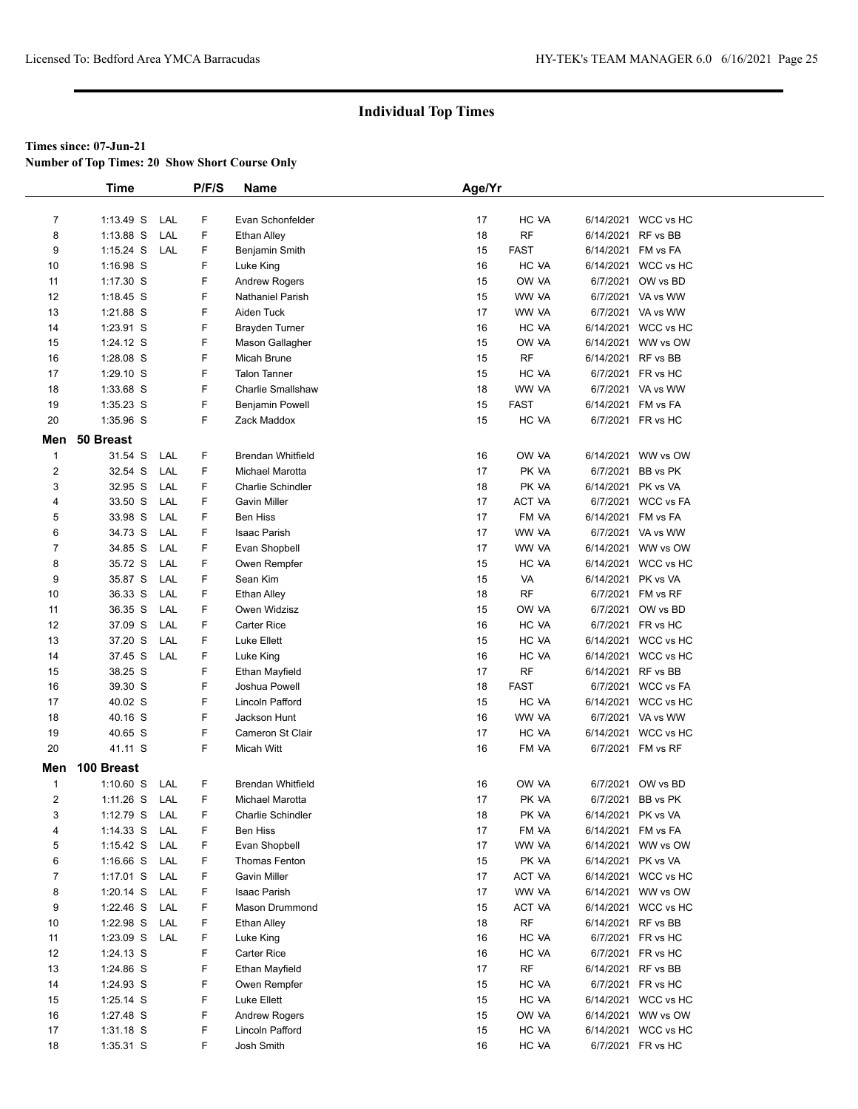**Number of Top Times: 20 Show Short Course Only**

|                | <b>Time</b> |     | P/F/S | <b>Name</b>              | Age/Yr |             |                    |                     |
|----------------|-------------|-----|-------|--------------------------|--------|-------------|--------------------|---------------------|
|                |             |     |       |                          |        |             |                    |                     |
| $\overline{7}$ | $1:13.49$ S | LAL | F     | Evan Schonfelder         | 17     | HC VA       |                    | 6/14/2021 WCC vs HC |
| 8              | $1:13.88$ S | LAL | F     | <b>Ethan Alley</b>       | 18     | <b>RF</b>   | 6/14/2021          | RF vs BB            |
| 9              | $1:15.24$ S | LAL | F     | Benjamin Smith           | 15     | <b>FAST</b> | 6/14/2021 FM vs FA |                     |
| 10             | 1:16.98 S   |     | F     | Luke King                | 16     | HC VA       |                    | 6/14/2021 WCC vs HC |
| 11             | 1:17.30 S   |     | F     | <b>Andrew Rogers</b>     | 15     | OW VA       | 6/7/2021           | OW vs BD            |
| 12             | 1:18.45 S   |     | F     | <b>Nathaniel Parish</b>  | 15     | WW VA       |                    | 6/7/2021 VA vs WW   |
| 13             | 1:21.88 S   |     | F     | Aiden Tuck               | 17     | WW VA       |                    | 6/7/2021 VA vs WW   |
| 14             | 1:23.91 S   |     | F     | <b>Brayden Turner</b>    | 16     | HC VA       |                    | 6/14/2021 WCC vs HC |
| 15             | 1:24.12 S   |     | F     | Mason Gallagher          | 15     | OW VA       |                    | 6/14/2021 WW vs OW  |
| 16             | 1:28.08 S   |     | F     | Micah Brune              | 15     | <b>RF</b>   | 6/14/2021 RF vs BB |                     |
| 17             | 1:29.10 S   |     | F     | <b>Talon Tanner</b>      | 15     | HC VA       | 6/7/2021           | FR vs HC            |
| 18             | 1:33.68 S   |     | F     | <b>Charlie Smallshaw</b> | 18     | WW VA       |                    | 6/7/2021 VA vs WW   |
| 19             | 1:35.23 S   |     | F     | <b>Benjamin Powell</b>   | 15     | <b>FAST</b> |                    | 6/14/2021 FM vs FA  |
| 20             | 1:35.96 S   |     | F     | Zack Maddox              | 15     | HC VA       |                    | 6/7/2021 FR vs HC   |
| Men            | 50 Breast   |     |       |                          |        |             |                    |                     |
| $\mathbf{1}$   | 31.54 S     | LAL | F     | <b>Brendan Whitfield</b> | 16     | OW VA       |                    | 6/14/2021 WW vs OW  |
| $\overline{2}$ | 32.54 S     | LAL | F     | Michael Marotta          | 17     | PK VA       | 6/7/2021           | BB vs PK            |
| 3              | 32.95 S     | LAL | F     | <b>Charlie Schindler</b> | 18     | PK VA       | 6/14/2021          | PK vs VA            |
| 4              | 33.50 S     | LAL | F     | <b>Gavin Miller</b>      | 17     | ACT VA      |                    | 6/7/2021 WCC vs FA  |
| 5              | 33.98 S     | LAL | F     | <b>Ben Hiss</b>          | 17     | FM VA       | 6/14/2021          | FM vs FA            |
| 6              | 34.73 S     | LAL | F     | Isaac Parish             | 17     | WW VA       |                    | 6/7/2021 VA vs WW   |
| $\overline{7}$ | 34.85 S     | LAL | F     | Evan Shopbell            | 17     | WW VA       |                    | 6/14/2021 WW vs OW  |
| 8              | 35.72 S     | LAL | F     | Owen Rempfer             | 15     | HC VA       |                    | 6/14/2021 WCC vs HC |
| 9              | 35.87 S     | LAL | F     | Sean Kim                 | 15     | VA          | 6/14/2021          | PK vs VA            |
| 10             | 36.33 S     | LAL | F     | <b>Ethan Alley</b>       | 18     | RF          |                    | 6/7/2021 FM vs RF   |
| 11             | 36.35 S     | LAL | F     | Owen Widzisz             | 15     | OW VA       |                    | 6/7/2021 OW vs BD   |
| 12             | 37.09 S     | LAL | F     | <b>Carter Rice</b>       | 16     | HC VA       |                    | 6/7/2021 FR vs HC   |
| 13             | 37.20 S     | LAL | F     | Luke Ellett              | 15     | HC VA       |                    | 6/14/2021 WCC vs HC |
| 14             | 37.45 S     | LAL | F     | Luke King                | 16     | HC VA       |                    | 6/14/2021 WCC vs HC |
| 15             | 38.25 S     |     | F     | Ethan Mayfield           | 17     | <b>RF</b>   | 6/14/2021          | RF vs BB            |
| 16             | 39.30 S     |     | F     | Joshua Powell            | 18     | <b>FAST</b> |                    | 6/7/2021 WCC vs FA  |
| 17             | 40.02 S     |     | F     | Lincoln Pafford          | 15     | HC VA       |                    | 6/14/2021 WCC vs HC |
| 18             | 40.16 S     |     | F     | Jackson Hunt             | 16     | WW VA       |                    | 6/7/2021 VA vs WW   |
| 19             | 40.65 S     |     | F     | Cameron St Clair         | 17     | HC VA       |                    | 6/14/2021 WCC vs HC |
| 20             | 41.11 S     |     | F     | <b>Micah Witt</b>        | 16     | FM VA       |                    | 6/7/2021 FM vs RF   |
| Men            | 100 Breast  |     |       |                          |        |             |                    |                     |
| $\mathbf{1}$   | $1:10.60$ S | LAL | F     | <b>Brendan Whitfield</b> | 16     | OW VA       |                    | 6/7/2021 OW vs BD   |
| 2              | $1:11.26$ S | LAL | F     | Michael Marotta          | 17     | PK VA       |                    | 6/7/2021 BB vs PK   |
| 3              | 1:12.79 S   | LAL | F     | <b>Charlie Schindler</b> | 18     | PK VA       | 6/14/2021 PK vs VA |                     |
| 4              | $1:14.33$ S | LAL | F     | Ben Hiss                 | 17     | FM VA       |                    | 6/14/2021 FM vs FA  |
| 5              | $1:15.42$ S | LAL | F     | Evan Shopbell            | 17     | WW VA       |                    | 6/14/2021 WW vs OW  |
| 6              | 1:16.66 S   | LAL | F     | Thomas Fenton            | 15     | PK VA       | 6/14/2021          | PK vs VA            |
| $\overline{7}$ | 1:17.01 S   | LAL | F     | <b>Gavin Miller</b>      | 17     | ACT VA      |                    | 6/14/2021 WCC vs HC |
| 8              | $1:20.14$ S | LAL | F     | Isaac Parish             | 17     | WW VA       |                    | 6/14/2021 WW vs OW  |
| 9              | 1:22.46 $S$ | LAL | F     | Mason Drummond           | 15     | ACT VA      |                    | 6/14/2021 WCC vs HC |
| 10             | 1:22.98 S   | LAL | F     | Ethan Alley              | 18     | <b>RF</b>   | 6/14/2021 RF vs BB |                     |
| 11             | $1:23.09$ S | LAL | F     | Luke King                | 16     | HC VA       |                    | 6/7/2021 FR vs HC   |
| 12             | 1:24.13 S   |     | F     | Carter Rice              | 16     | HC VA       | 6/7/2021           | FR vs HC            |
| 13             | 1:24.86 S   |     | F     | Ethan Mayfield           | 17     | RF          |                    | 6/14/2021 RF vs BB  |
| 14             | 1:24.93 S   |     | F     | Owen Rempfer             | 15     | HC VA       |                    | 6/7/2021 FR vs HC   |
| 15             | 1:25.14 S   |     | F     | Luke Ellett              | 15     | HC VA       |                    | 6/14/2021 WCC vs HC |
| 16             | 1:27.48 S   |     | F     | <b>Andrew Rogers</b>     | 15     | OW VA       |                    | 6/14/2021 WW vs OW  |
| 17             | $1:31.18$ S |     | F     | Lincoln Pafford          | 15     | HC VA       |                    | 6/14/2021 WCC vs HC |
| 18             | 1:35.31 S   |     | F     | Josh Smith               | 16     | HC VA       |                    | 6/7/2021 FR vs HC   |
|                |             |     |       |                          |        |             |                    |                     |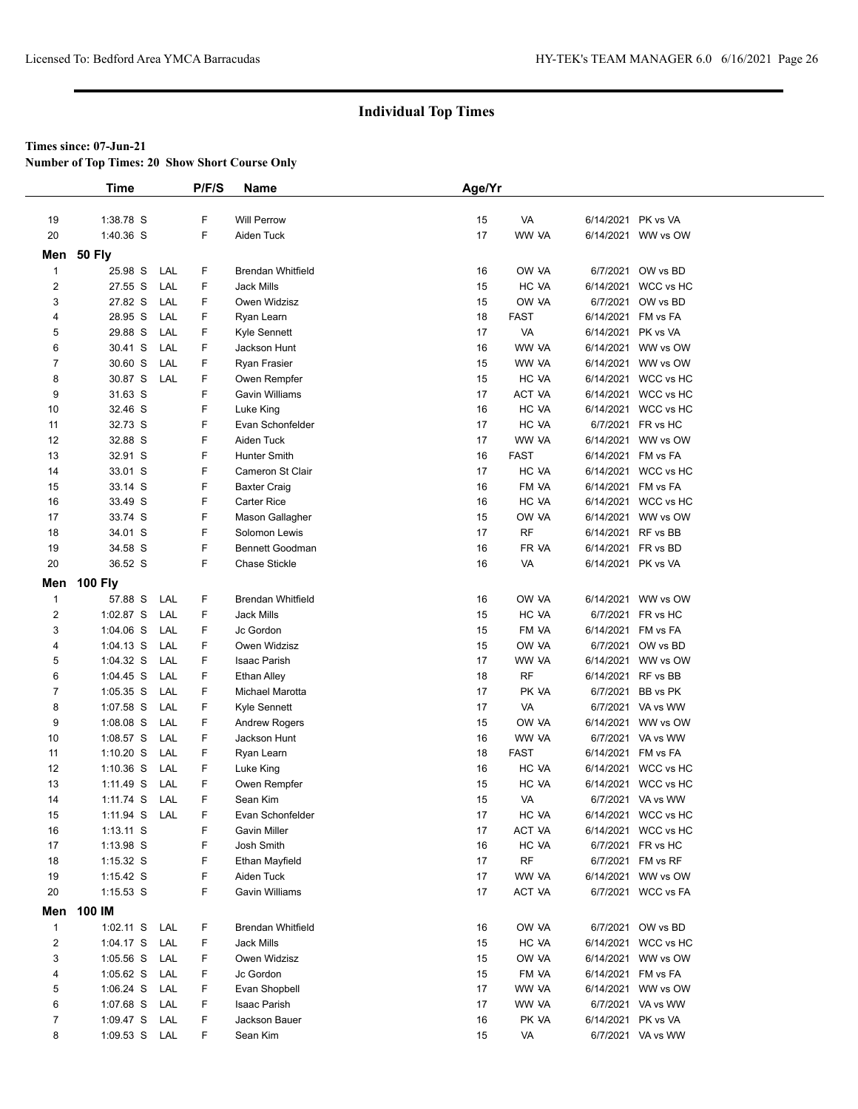**Number of Top Times: 20 Show Short Course Only**

|                | <b>Time</b>    |     | P/F/S | Name                     | Age/Yr |             |           |                     |  |
|----------------|----------------|-----|-------|--------------------------|--------|-------------|-----------|---------------------|--|
|                |                |     |       |                          |        |             |           |                     |  |
| 19             | 1:38.78 S      |     | F     | <b>Will Perrow</b>       | 15     | VA          |           | 6/14/2021 PK vs VA  |  |
| 20             | 1:40.36 S      |     | F     | Aiden Tuck               | 17     | WW VA       |           | 6/14/2021 WW vs OW  |  |
|                | Men 50 Fly     |     |       |                          |        |             |           |                     |  |
| $\mathbf{1}$   | 25.98 S        | LAL | F     | <b>Brendan Whitfield</b> | 16     | OW VA       |           | 6/7/2021 OW vs BD   |  |
| $\overline{2}$ | 27.55 S        | LAL | F     | <b>Jack Mills</b>        | 15     | HC VA       |           | 6/14/2021 WCC vs HC |  |
| 3              | 27.82 S        | LAL | F     | Owen Widzisz             | 15     | OW VA       |           | 6/7/2021 OW vs BD   |  |
| 4              | 28.95 S        | LAL | F     | Ryan Learn               | 18     | <b>FAST</b> |           | 6/14/2021 FM vs FA  |  |
| 5              | 29.88 S        | LAL | F     | Kyle Sennett             | 17     | VA          |           | 6/14/2021 PK vs VA  |  |
| 6              | 30.41 S        | LAL | F     | Jackson Hunt             | 16     | WW VA       |           | 6/14/2021 WW vs OW  |  |
| $\overline{7}$ | 30.60 S        | LAL | F     | Ryan Frasier             | 15     | WW VA       |           | 6/14/2021 WW vs OW  |  |
| 8              | 30.87 S        | LAL | F     | Owen Rempfer             | 15     | HC VA       |           | 6/14/2021 WCC vs HC |  |
| 9              | 31.63 S        |     | F     | Gavin Williams           | 17     | ACT VA      |           | 6/14/2021 WCC vs HC |  |
| 10             | 32.46 S        |     | F     | Luke King                | 16     | HC VA       |           | 6/14/2021 WCC vs HC |  |
| 11             | 32.73 S        |     | F     | Evan Schonfelder         | 17     | HC VA       |           | 6/7/2021 FR vs HC   |  |
| 12             | 32.88 S        |     | F     | Aiden Tuck               | 17     | WW VA       |           | 6/14/2021 WW vs OW  |  |
| 13             | 32.91 S        |     | F     | Hunter Smith             | 16     | <b>FAST</b> |           | 6/14/2021 FM vs FA  |  |
| 14             | 33.01 S        |     | F     | Cameron St Clair         | 17     | HC VA       |           | 6/14/2021 WCC vs HC |  |
| 15             | 33.14 S        |     | F     | <b>Baxter Craig</b>      | 16     | FM VA       | 6/14/2021 | FM vs FA            |  |
| 16             | 33.49 S        |     | F     | <b>Carter Rice</b>       | 16     | HC VA       |           | 6/14/2021 WCC vs HC |  |
| 17             | 33.74 S        |     | F     | Mason Gallagher          | 15     | OW VA       |           | 6/14/2021 WW vs OW  |  |
| 18             | 34.01 S        |     | F     | Solomon Lewis            | 17     | <b>RF</b>   |           | 6/14/2021 RF vs BB  |  |
| 19             | 34.58 S        |     | F     | Bennett Goodman          | 16     | FR VA       |           | 6/14/2021 FR vs BD  |  |
| 20             | 36.52 S        |     | F     | <b>Chase Stickle</b>     | 16     | VA          |           | 6/14/2021 PK vs VA  |  |
| Men            | <b>100 Fly</b> |     |       |                          |        |             |           |                     |  |
| $\mathbf{1}$   | 57.88 S        | LAL | F     | <b>Brendan Whitfield</b> | 16     | OW VA       |           | 6/14/2021 WW vs OW  |  |
| $\overline{2}$ | 1:02.87 S      | LAL | F     | <b>Jack Mills</b>        | 15     | HC VA       | 6/7/2021  | FR vs HC            |  |
| 3              | $1:04.06$ S    | LAL | F     | Jc Gordon                | 15     | FM VA       | 6/14/2021 | FM vs FA            |  |
| 4              | $1:04.13$ S    | LAL | F     | Owen Widzisz             | 15     | OW VA       |           | 6/7/2021 OW vs BD   |  |
| 5              | $1:04.32$ S    | LAL | F     | Isaac Parish             | 17     | WW VA       | 6/14/2021 | WW vs OW            |  |
| 6              | $1:04.45$ S    | LAL | F     | <b>Ethan Alley</b>       | 18     | <b>RF</b>   |           | 6/14/2021 RF vs BB  |  |
| 7              | $1:05.35$ S    | LAL | F     | Michael Marotta          | 17     | PK VA       |           | 6/7/2021 BB vs PK   |  |
| 8              | 1:07.58 S      | LAL | F     | Kyle Sennett             | 17     | VA          |           | 6/7/2021 VA vs WW   |  |
| 9              | 1:08.08 S      | LAL | F     | <b>Andrew Rogers</b>     | 15     | OW VA       |           | 6/14/2021 WW vs OW  |  |
| 10             | $1:08.57$ S    | LAL | F     | Jackson Hunt             | 16     | WW VA       |           | 6/7/2021 VA vs WW   |  |
| 11             | $1:10.20$ S    | LAL | F     | Ryan Learn               | 18     | <b>FAST</b> | 6/14/2021 | FM vs FA            |  |
| 12             | $1:10.36$ S    | LAL | F     | Luke King                | 16     | HC VA       |           | 6/14/2021 WCC vs HC |  |
| 13             | 1:11.49 S      | LAL | F     | Owen Rempfer             | 15     | HC VA       |           | 6/14/2021 WCC vs HC |  |
| 14             | 1:11.74 S      | LAL | F     | Sean Kim                 | 15     | VA          |           | 6/7/2021 VA vs WW   |  |
| 15             | 1:11.94 S      | LAL | F     | Evan Schonfelder         | 17     | HC VA       |           | 6/14/2021 WCC vs HC |  |
| 16             | $1:13.11$ S    |     | F     | Gavin Miller             | 17     | ACT VA      |           | 6/14/2021 WCC vs HC |  |
| 17             | 1:13.98 S      |     | F     | Josh Smith               | 16     | HC VA       |           | 6/7/2021 FR vs HC   |  |
| 18             | $1:15.32$ S    |     | F     | Ethan Mayfield           | 17     | <b>RF</b>   |           | 6/7/2021 FM vs RF   |  |
| 19             | $1:15.42$ S    |     | F     | Aiden Tuck               | 17     | WW VA       |           | 6/14/2021 WW vs OW  |  |
| 20             | $1:15.53$ S    |     | F     | Gavin Williams           | 17     | ACT VA      |           | 6/7/2021 WCC vs FA  |  |
|                | Men 100 IM     |     |       |                          |        |             |           |                     |  |
| $\mathbf{1}$   | $1:02.11$ S    | LAL | F     | Brendan Whitfield        | 16     | OW VA       |           | 6/7/2021 OW vs BD   |  |
| $\overline{c}$ | $1:04.17$ S    | LAL | F     | <b>Jack Mills</b>        | 15     | HC VA       |           | 6/14/2021 WCC vs HC |  |
| 3              | $1:05.56$ S    | LAL | F     | Owen Widzisz             | 15     | OW VA       |           | 6/14/2021 WW vs OW  |  |
| 4              | $1:05.62$ S    | LAL | F     | Jc Gordon                | 15     | FM VA       |           | 6/14/2021 FM vs FA  |  |
| 5              | $1:06.24$ S    | LAL | F     | Evan Shopbell            | 17     | WW VA       |           | 6/14/2021 WW vs OW  |  |
| 6              | 1:07.68 S      | LAL | F     | Isaac Parish             | 17     | WW VA       |           | 6/7/2021 VA vs WW   |  |
| $\overline{7}$ | 1:09.47 S      | LAL | F     | Jackson Bauer            | 16     | PK VA       |           | 6/14/2021 PK vs VA  |  |
| 8              | $1:09.53$ S    | LAL | F     | Sean Kim                 | 15     | VA          |           | 6/7/2021 VA vs WW   |  |
|                |                |     |       |                          |        |             |           |                     |  |